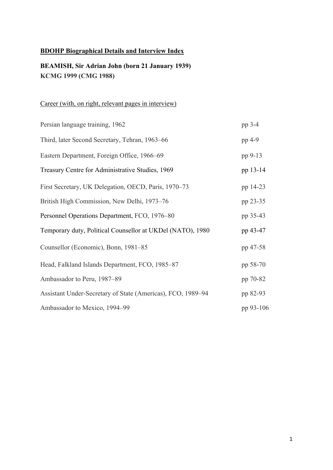# **BDOHP Biographical Details and Interview Index**

# **BEAMISH, Sir Adrian John (born 21 January 1939) KCMG 1999 (CMG 1988)**

# Career (with, on right, relevant pages in interview)

| Persian language training, 1962                             | pp 3-4    |
|-------------------------------------------------------------|-----------|
| Third, later Second Secretary, Tehran, 1963–66              | pp 4-9    |
| Eastern Department, Foreign Office, 1966–69                 | pp 9-13   |
| Treasury Centre for Administrative Studies, 1969            | pp 13-14  |
| First Secretary, UK Delegation, OECD, Paris, 1970-73        | pp 14-23  |
| British High Commission, New Delhi, 1973–76                 | pp 23-35  |
| Personnel Operations Department, FCO, 1976-80               | pp 35-43  |
| Temporary duty, Political Counsellor at UKDel (NATO), 1980  | pp 43-47  |
| Counsellor (Economic), Bonn, 1981-85                        | pp 47-58  |
| Head, Falkland Islands Department, FCO, 1985-87             | pp 58-70  |
| Ambassador to Peru, 1987–89                                 | pp 70-82  |
| Assistant Under-Secretary of State (Americas), FCO, 1989–94 | pp 82-93  |
| Ambassador to Mexico, 1994–99                               | pp 93-106 |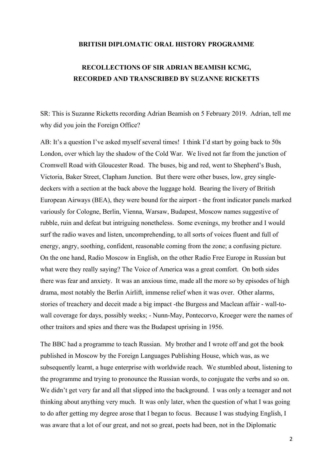#### **BRITISH DIPLOMATIC ORAL HISTORY PROGRAMME**

# **RECOLLECTIONS OF SIR ADRIAN BEAMISH KCMG, RECORDED AND TRANSCRIBED BY SUZANNE RICKETTS**

SR: This is Suzanne Ricketts recording Adrian Beamish on 5 February 2019. Adrian, tell me why did you join the Foreign Office?

AB: It's a question I've asked myself several times! I think I'd start by going back to 50s London, over which lay the shadow of the Cold War. We lived not far from the junction of Cromwell Road with Gloucester Road. The buses, big and red, went to Shepherd's Bush, Victoria, Baker Street, Clapham Junction. But there were other buses, low, grey singledeckers with a section at the back above the luggage hold. Bearing the livery of British European Airways (BEA), they were bound for the airport - the front indicator panels marked variously for Cologne, Berlin, Vienna, Warsaw, Budapest, Moscow names suggestive of rubble, ruin and defeat but intriguing nonetheless. Some evenings, my brother and I would surf the radio waves and listen, uncomprehending, to all sorts of voices fluent and full of energy, angry, soothing, confident, reasonable coming from the zone; a confusing picture. On the one hand, Radio Moscow in English, on the other Radio Free Europe in Russian but what were they really saying? The Voice of America was a great comfort. On both sides there was fear and anxiety. It was an anxious time, made all the more so by episodes of high drama, most notably the Berlin Airlift, immense relief when it was over. Other alarms, stories of treachery and deceit made a big impact -the Burgess and Maclean affair - wall-towall coverage for days, possibly weeks; - Nunn-May, Pontecorvo, Kroeger were the names of other traitors and spies and there was the Budapest uprising in 1956.

The BBC had a programme to teach Russian. My brother and I wrote off and got the book published in Moscow by the Foreign Languages Publishing House, which was, as we subsequently learnt, a huge enterprise with worldwide reach. We stumbled about, listening to the programme and trying to pronounce the Russian words, to conjugate the verbs and so on. We didn't get very far and all that slipped into the background. I was only a teenager and not thinking about anything very much. It was only later, when the question of what I was going to do after getting my degree arose that I began to focus. Because I was studying English, I was aware that a lot of our great, and not so great, poets had been, not in the Diplomatic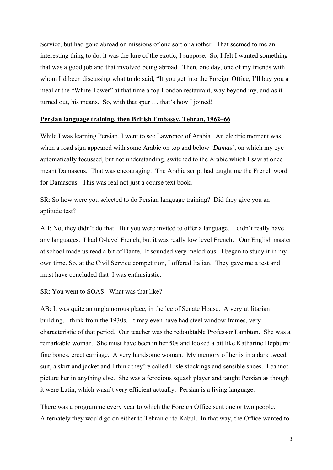Service, but had gone abroad on missions of one sort or another. That seemed to me an interesting thing to do: it was the lure of the exotic, I suppose. So, I felt I wanted something that was a good job and that involved being abroad. Then, one day, one of my friends with whom I'd been discussing what to do said, "If you get into the Foreign Office, I'll buy you a meal at the "White Tower" at that time a top London restaurant, way beyond my, and as it turned out, his means. So, with that spur … that's how I joined!

#### **Persian language training, then British Embassy, Tehran, 1962–66**

While I was learning Persian, I went to see Lawrence of Arabia. An electric moment was when a road sign appeared with some Arabic on top and below '*Damas'*, on which my eye automatically focussed, but not understanding, switched to the Arabic which I saw at once meant Damascus. That was encouraging. The Arabic script had taught me the French word for Damascus. This was real not just a course text book.

SR: So how were you selected to do Persian language training? Did they give you an aptitude test?

AB: No, they didn't do that. But you were invited to offer a language. I didn't really have any languages. I had O-level French, but it was really low level French. Our English master at school made us read a bit of Dante. It sounded very melodious. I began to study it in my own time. So, at the Civil Service competition, I offered Italian. They gave me a test and must have concluded that I was enthusiastic.

SR: You went to SOAS. What was that like?

AB: It was quite an unglamorous place, in the lee of Senate House. A very utilitarian building, I think from the 1930s. It may even have had steel window frames, very characteristic of that period. Our teacher was the redoubtable Professor Lambton. She was a remarkable woman. She must have been in her 50s and looked a bit like Katharine Hepburn: fine bones, erect carriage. A very handsome woman. My memory of her is in a dark tweed suit, a skirt and jacket and I think they're called Lisle stockings and sensible shoes. I cannot picture her in anything else. She was a ferocious squash player and taught Persian as though it were Latin, which wasn't very efficient actually. Persian is a living language.

There was a programme every year to which the Foreign Office sent one or two people. Alternately they would go on either to Tehran or to Kabul. In that way, the Office wanted to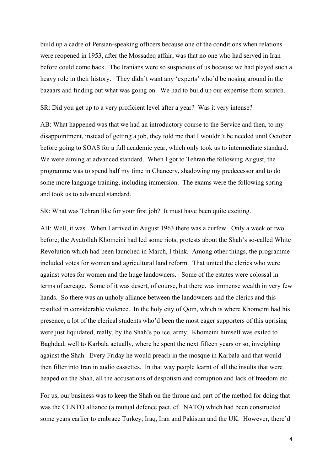build up a cadre of Persian-speaking officers because one of the conditions when relations were reopened in 1953, after the Mossadeq affair, was that no one who had served in Iran before could come back. The Iranians were so suspicious of us because we had played such a heavy role in their history. They didn't want any 'experts' who'd be nosing around in the bazaars and finding out what was going on. We had to build up our expertise from scratch.

SR: Did you get up to a very proficient level after a year? Was it very intense?

AB: What happened was that we had an introductory course to the Service and then, to my disappointment, instead of getting a job, they told me that I wouldn't be needed until October before going to SOAS for a full academic year, which only took us to intermediate standard. We were aiming at advanced standard. When I got to Tehran the following August, the programme was to spend half my time in Chancery, shadowing my predecessor and to do some more language training, including immersion. The exams were the following spring and took us to advanced standard.

SR: What was Tehran like for your first job? It must have been quite exciting.

AB: Well, it was. When I arrived in August 1963 there was a curfew. Only a week or two before, the Ayatollah Khomeini had led some riots, protests about the Shah's so-called White Revolution which had been launched in March, I think. Among other things, the programme included votes for women and agricultural land reform. That united the clerics who were against votes for women and the huge landowners. Some of the estates were colossal in terms of acreage. Some of it was desert, of course, but there was immense wealth in very few hands. So there was an unholy alliance between the landowners and the clerics and this resulted in considerable violence. In the holy city of Qom, which is where Khomeini had his presence, a lot of the clerical students who'd been the most eager supporters of this uprising were just liquidated, really, by the Shah's police, army. Khomeini himself was exiled to Baghdad, well to Karbala actually, where he spent the next fifteen years or so, inveighing against the Shah. Every Friday he would preach in the mosque in Karbala and that would then filter into Iran in audio cassettes. In that way people learnt of all the insults that were heaped on the Shah, all the accusations of despotism and corruption and lack of freedom etc.

For us, our business was to keep the Shah on the throne and part of the method for doing that was the CENTO alliance (a mutual defence pact, cf. NATO) which had been constructed some years earlier to embrace Turkey, Iraq, Iran and Pakistan and the UK. However, there'd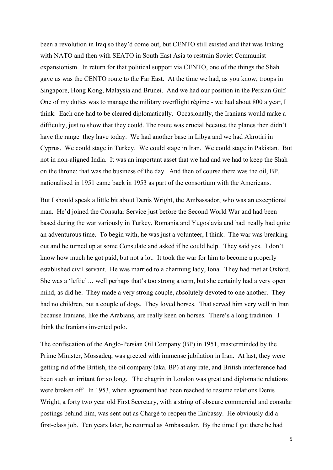been a revolution in Iraq so they'd come out, but CENTO still existed and that was linking with NATO and then with SEATO in South East Asia to restrain Soviet Communist expansionism. In return for that political support via CENTO, one of the things the Shah gave us was the CENTO route to the Far East. At the time we had, as you know, troops in Singapore, Hong Kong, Malaysia and Brunei. And we had our position in the Persian Gulf. One of my duties was to manage the military overflight régime - we had about 800 a year, I think. Each one had to be cleared diplomatically. Occasionally, the Iranians would make a difficulty, just to show that they could. The route was crucial because the planes then didn't have the range they have today. We had another base in Libya and we had Akrotiri in Cyprus. We could stage in Turkey. We could stage in Iran. We could stage in Pakistan. But not in non-aligned India. It was an important asset that we had and we had to keep the Shah on the throne: that was the business of the day. And then of course there was the oil, BP, nationalised in 1951 came back in 1953 as part of the consortium with the Americans.

But I should speak a little bit about Denis Wright, the Ambassador, who was an exceptional man. He'd joined the Consular Service just before the Second World War and had been based during the war variously in Turkey, Romania and Yugoslavia and had really had quite an adventurous time. To begin with, he was just a volunteer, I think. The war was breaking out and he turned up at some Consulate and asked if he could help. They said yes. I don't know how much he got paid, but not a lot. It took the war for him to become a properly established civil servant. He was married to a charming lady, Iona. They had met at Oxford. She was a 'leftie'… well perhaps that's too strong a term, but she certainly had a very open mind, as did he. They made a very strong couple, absolutely devoted to one another. They had no children, but a couple of dogs. They loved horses. That served him very well in Iran because Iranians, like the Arabians, are really keen on horses. There's a long tradition. I think the Iranians invented polo.

The confiscation of the Anglo-Persian Oil Company (BP) in 1951, masterminded by the Prime Minister, Mossadeq, was greeted with immense jubilation in Iran. At last, they were getting rid of the British, the oil company (aka. BP) at any rate, and British interference had been such an irritant for so long. The chagrin in London was great and diplomatic relations were broken off. In 1953, when agreement had been reached to resume relations Denis Wright, a forty two year old First Secretary, with a string of obscure commercial and consular postings behind him, was sent out as Chargé to reopen the Embassy. He obviously did a first-class job. Ten years later, he returned as Ambassador. By the time I got there he had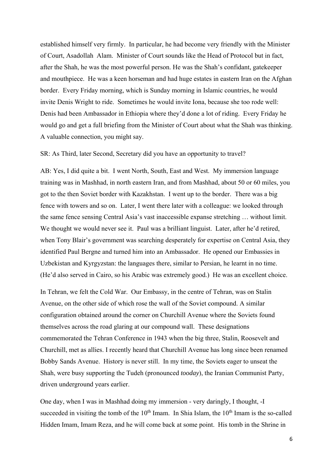established himself very firmly. In particular, he had become very friendly with the Minister of Court, Asadollah Alam. Minister of Court sounds like the Head of Protocol but in fact, after the Shah, he was the most powerful person. He was the Shah's confidant, gatekeeper and mouthpiece. He was a keen horseman and had huge estates in eastern Iran on the Afghan border. Every Friday morning, which is Sunday morning in Islamic countries, he would invite Denis Wright to ride. Sometimes he would invite Iona, because she too rode well: Denis had been Ambassador in Ethiopia where they'd done a lot of riding. Every Friday he would go and get a full briefing from the Minister of Court about what the Shah was thinking. A valuable connection, you might say.

#### SR: As Third, later Second, Secretary did you have an opportunity to travel?

AB: Yes, I did quite a bit. I went North, South, East and West. My immersion language training was in Mashhad, in north eastern Iran, and from Mashhad, about 50 or 60 miles, you got to the then Soviet border with Kazakhstan. I went up to the border. There was a big fence with towers and so on. Later, I went there later with a colleague: we looked through the same fence sensing Central Asia's vast inaccessible expanse stretching … without limit. We thought we would never see it. Paul was a brilliant linguist. Later, after he'd retired, when Tony Blair's government was searching desperately for expertise on Central Asia, they identified Paul Bergne and turned him into an Ambassador. He opened our Embassies in Uzbekistan and Kyrgyzstan: the languages there, similar to Persian, he learnt in no time. (He'd also served in Cairo, so his Arabic was extremely good.) He was an excellent choice.

In Tehran, we felt the Cold War. Our Embassy, in the centre of Tehran, was on Stalin Avenue, on the other side of which rose the wall of the Soviet compound. A similar configuration obtained around the corner on Churchill Avenue where the Soviets found themselves across the road glaring at our compound wall. These designations commemorated the Tehran Conference in 1943 when the big three, Stalin, Roosevelt and Churchill, met as allies. I recently heard that Churchill Avenue has long since been renamed Bobby Sands Avenue. History is never still. In my time, the Soviets eager to unseat the Shah, were busy supporting the Tudeh (pronounced *tooday*), the Iranian Communist Party, driven underground years earlier.

One day, when I was in Mashhad doing my immersion - very daringly, I thought, -I succeeded in visiting the tomb of the  $10<sup>th</sup>$  Imam. In Shia Islam, the  $10<sup>th</sup>$  Imam is the so-called Hidden Imam, Imam Reza, and he will come back at some point. His tomb in the Shrine in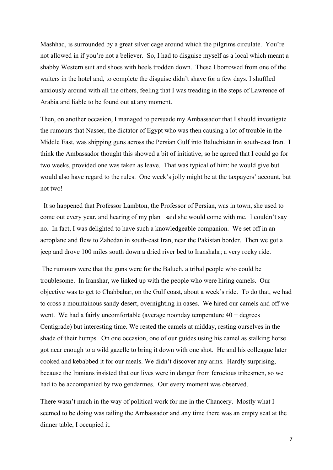Mashhad, is surrounded by a great silver cage around which the pilgrims circulate. You're not allowed in if you're not a believer. So, I had to disguise myself as a local which meant a shabby Western suit and shoes with heels trodden down. These I borrowed from one of the waiters in the hotel and, to complete the disguise didn't shave for a few days. I shuffled anxiously around with all the others, feeling that I was treading in the steps of Lawrence of Arabia and liable to be found out at any moment.

Then, on another occasion, I managed to persuade my Ambassador that I should investigate the rumours that Nasser, the dictator of Egypt who was then causing a lot of trouble in the Middle East, was shipping guns across the Persian Gulf into Baluchistan in south-east Iran. I think the Ambassador thought this showed a bit of initiative, so he agreed that I could go for two weeks, provided one was taken as leave. That was typical of him: he would give but would also have regard to the rules. One week's jolly might be at the taxpayers' account, but not two!

 It so happened that Professor Lambton, the Professor of Persian, was in town, she used to come out every year, and hearing of my plan said she would come with me. I couldn't say no. In fact, I was delighted to have such a knowledgeable companion. We set off in an aeroplane and flew to Zahedan in south-east Iran, near the Pakistan border. Then we got a jeep and drove 100 miles south down a dried river bed to Iranshahr; a very rocky ride.

 The rumours were that the guns were for the Baluch, a tribal people who could be troublesome. In Iranshar, we linked up with the people who were hiring camels. Our objective was to get to Chahbahar, on the Gulf coast, about a week's ride. To do that, we had to cross a mountainous sandy desert, overnighting in oases. We hired our camels and off we went. We had a fairly uncomfortable (average noonday temperature  $40 +$  degrees Centigrade) but interesting time. We rested the camels at midday, resting ourselves in the shade of their humps. On one occasion, one of our guides using his camel as stalking horse got near enough to a wild gazelle to bring it down with one shot. He and his colleague later cooked and kebabbed it for our meals. We didn't discover any arms. Hardly surprising, because the Iranians insisted that our lives were in danger from ferocious tribesmen, so we had to be accompanied by two gendarmes. Our every moment was observed.

There wasn't much in the way of political work for me in the Chancery. Mostly what I seemed to be doing was tailing the Ambassador and any time there was an empty seat at the dinner table, I occupied it.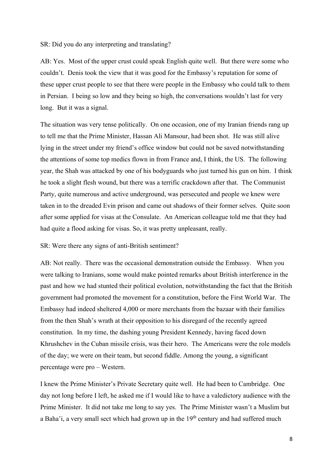SR: Did you do any interpreting and translating?

AB: Yes. Most of the upper crust could speak English quite well. But there were some who couldn't. Denis took the view that it was good for the Embassy's reputation for some of these upper crust people to see that there were people in the Embassy who could talk to them in Persian. I being so low and they being so high, the conversations wouldn't last for very long. But it was a signal.

The situation was very tense politically. On one occasion, one of my Iranian friends rang up to tell me that the Prime Minister, Hassan Ali Mansour, had been shot. He was still alive lying in the street under my friend's office window but could not be saved notwithstanding the attentions of some top medics flown in from France and, I think, the US. The following year, the Shah was attacked by one of his bodyguards who just turned his gun on him. I think he took a slight flesh wound, but there was a terrific crackdown after that. The Communist Party, quite numerous and active underground, was persecuted and people we knew were taken in to the dreaded Evin prison and came out shadows of their former selves. Quite soon after some applied for visas at the Consulate. An American colleague told me that they had had quite a flood asking for visas. So, it was pretty unpleasant, really.

SR: Were there any signs of anti-British sentiment?

AB: Not really. There was the occasional demonstration outside the Embassy. When you were talking to Iranians, some would make pointed remarks about British interference in the past and how we had stunted their political evolution, notwithstanding the fact that the British government had promoted the movement for a constitution, before the First World War. The Embassy had indeed sheltered 4,000 or more merchants from the bazaar with their families from the then Shah's wrath at their opposition to his disregard of the recently agreed constitution. In my time, the dashing young President Kennedy, having faced down Khrushchev in the Cuban missile crisis, was their hero. The Americans were the role models of the day; we were on their team, but second fiddle. Among the young, a significant percentage were pro – Western.

I knew the Prime Minister's Private Secretary quite well. He had been to Cambridge. One day not long before I left, he asked me if I would like to have a valedictory audience with the Prime Minister. It did not take me long to say yes. The Prime Minister wasn't a Muslim but a Baha'i, a very small sect which had grown up in the  $19<sup>th</sup>$  century and had suffered much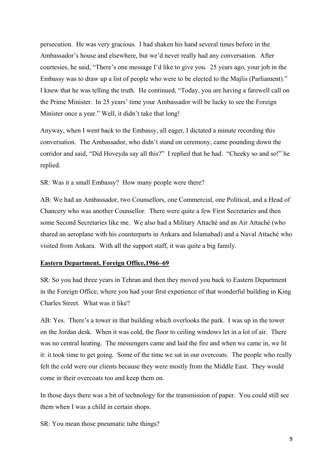persecution. He was very gracious. I had shaken his hand several times before in the Ambassador's house and elsewhere, but we'd never really had any conversation. After courtesies, he said, "There's one message I'd like to give you. 25 years ago, your job in the Embassy was to draw up a list of people who were to be elected to the Majlis (Parliament)." I knew that he was telling the truth. He continued, "Today, you are having a farewell call on the Prime Minister. In 25 years' time your Ambassador will be lucky to see the Foreign Minister once a year." Well, it didn't take that long!

Anyway, when I went back to the Embassy, all eager, I dictated a minute recording this conversation. The Ambassador, who didn't stand on ceremony, came pounding down the corridor and said, "Did Hoveyda say all this?" I replied that he had. "Cheeky so and so!" he replied.

SR: Was it a small Embassy? How many people were there?

AB: We had an Ambassador, two Counsellors, one Commercial, one Political, and a Head of Chancery who was another Counsellor. There were quite a few First Secretaries and then some Second Secretaries like me. We also had a Military Attaché and an Air Attaché (who shared an aeroplane with his counterparts in Ankara and Islamabad) and a Naval Attaché who visited from Ankara. With all the support staff, it was quite a big family.

# **Eastern Department, Foreign Office,1966–69**

SR: So you had three years in Tehran and then they moved you back to Eastern Department in the Foreign Office, where you had your first experience of that wonderful building in King Charles Street. What was it like?

AB: Yes. There's a tower in that building which overlooks the park. I was up in the tower on the Jordan desk. When it was cold, the floor to ceiling windows let in a lot of air. There was no central heating. The messengers came and laid the fire and when we came in, we lit it: it took time to get going. Some of the time we sat in our overcoats. The people who really felt the cold were our clients because they were mostly from the Middle East. They would come in their overcoats too and keep them on.

In those days there was a bit of technology for the transmission of paper. You could still see them when I was a child in certain shops.

SR: You mean those pneumatic tube things?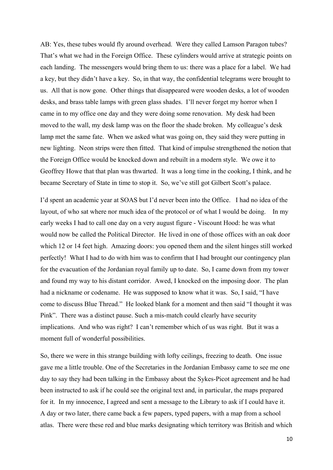AB: Yes, these tubes would fly around overhead. Were they called Lamson Paragon tubes? That's what we had in the Foreign Office. These cylinders would arrive at strategic points on each landing. The messengers would bring them to us: there was a place for a label. We had a key, but they didn't have a key. So, in that way, the confidential telegrams were brought to us. All that is now gone. Other things that disappeared were wooden desks, a lot of wooden desks, and brass table lamps with green glass shades. I'll never forget my horror when I came in to my office one day and they were doing some renovation. My desk had been moved to the wall, my desk lamp was on the floor the shade broken. My colleague's desk lamp met the same fate. When we asked what was going on, they said they were putting in new lighting. Neon strips were then fitted. That kind of impulse strengthened the notion that the Foreign Office would be knocked down and rebuilt in a modern style. We owe it to Geoffrey Howe that that plan was thwarted. It was a long time in the cooking, I think, and he became Secretary of State in time to stop it. So, we've still got Gilbert Scott's palace.

I'd spent an academic year at SOAS but I'd never been into the Office. I had no idea of the layout, of who sat where nor much idea of the protocol or of what I would be doing. In my early weeks I had to call one day on a very august figure - Viscount Hood: he was what would now be called the Political Director. He lived in one of those offices with an oak door which 12 or 14 feet high. Amazing doors: you opened them and the silent hinges still worked perfectly! What I had to do with him was to confirm that I had brought our contingency plan for the evacuation of the Jordanian royal family up to date. So, I came down from my tower and found my way to his distant corridor. Awed, I knocked on the imposing door. The plan had a nickname or codename. He was supposed to know what it was. So, I said, "I have come to discuss Blue Thread." He looked blank for a moment and then said "I thought it was Pink". There was a distinct pause. Such a mis-match could clearly have security implications. And who was right? I can't remember which of us was right. But it was a moment full of wonderful possibilities.

So, there we were in this strange building with lofty ceilings, freezing to death. One issue gave me a little trouble. One of the Secretaries in the Jordanian Embassy came to see me one day to say they had been talking in the Embassy about the Sykes-Picot agreement and he had been instructed to ask if he could see the original text and, in particular, the maps prepared for it. In my innocence, I agreed and sent a message to the Library to ask if I could have it. A day or two later, there came back a few papers, typed papers, with a map from a school atlas. There were these red and blue marks designating which territory was British and which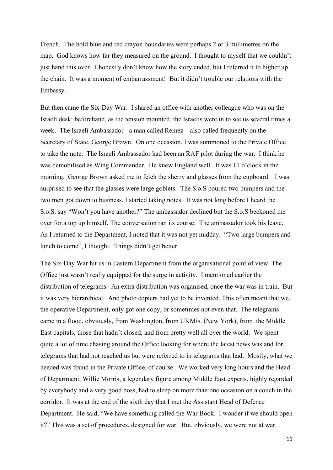French. The bold blue and red crayon boundaries were perhaps 2 or 3 millimetres on the map. God knows how far they measured on the ground. I thought to myself that we couldn't just hand this over. I honestly don't know how the story ended, but I referred it to higher up the chain. It was a moment of embarrassment! But it didn't trouble our relations with the Embassy.

But then came the Six-Day War. I shared an office with another colleague who was on the Israeli desk: beforehand, as the tension mounted, the Israelis were in to see us several times a week. The Israeli Ambassador - a man called Remez – also called frequently on the Secretary of State, George Brown. On one occasion, I was summoned to the Private Office to take the note. The Israeli Ambassador had been an RAF pilot during the war. I think he was demobilised as Wing Commander. He knew England well. It was 11 o'clock in the morning. George Brown asked me to fetch the sherry and glasses from the cupboard. I was surprised to see that the glasses were large goblets. The S.o.S poured two bumpers and the two men got down to business. I started taking notes. It was not long before I heard the S.o.S. say "Won't you have another?" The ambassador declined but the S.o.S beckoned me over for a top up himself. The conversation ran its course. The ambassador took his leave. As I returned to the Department, I noted that it was not yet midday. "Two large bumpers and lunch to come", I thought. Things didn't get better.

The Six-Day War hit us in Eastern Department from the organisational point of view. The Office just wasn't really equipped for the surge in activity. I mentioned earlier the distribution of telegrams. An extra distribution was organised, once the war was in train. But it was very hierarchical. And photo copiers had yet to be invented. This often meant that we, the operative Department, only got one copy, or sometimes not even that. The telegrams came in a flood, obviously, from Washington, from UKMis. (New York), from the Middle East capitals, those that hadn't closed, and from pretty well all over the world. We spent quite a lot of time chasing around the Office looking for where the latest news was and for telegrams that had not reached us but were referred to in telegrams that had. Mostly, what we needed was found in the Private Office, of course. We worked very long hours and the Head of Department, Willie Morris, a legendary figure among Middle East experts, highly regarded by everybody and a very good boss, had to sleep on more than one occasion on a couch in the corridor. It was at the end of the sixth day that I met the Assistant Head of Defence Department. He said, "We have something called the War Book. I wonder if we should open it?" This was a set of procedures, designed for war. But, obviously, we were not at war.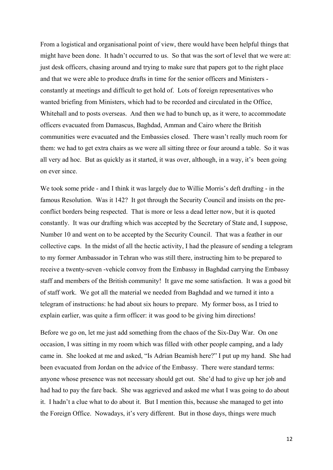From a logistical and organisational point of view, there would have been helpful things that might have been done. It hadn't occurred to us. So that was the sort of level that we were at: just desk officers, chasing around and trying to make sure that papers got to the right place and that we were able to produce drafts in time for the senior officers and Ministers constantly at meetings and difficult to get hold of. Lots of foreign representatives who wanted briefing from Ministers, which had to be recorded and circulated in the Office, Whitehall and to posts overseas. And then we had to bunch up, as it were, to accommodate officers evacuated from Damascus, Baghdad, Amman and Cairo where the British communities were evacuated and the Embassies closed. There wasn't really much room for them: we had to get extra chairs as we were all sitting three or four around a table. So it was all very ad hoc. But as quickly as it started, it was over, although, in a way, it's been going on ever since.

We took some pride - and I think it was largely due to Willie Morris's deft drafting - in the famous Resolution. Was it 142? It got through the Security Council and insists on the preconflict borders being respected. That is more or less a dead letter now, but it is quoted constantly. It was our drafting which was accepted by the Secretary of State and, I suppose, Number 10 and went on to be accepted by the Security Council. That was a feather in our collective caps. In the midst of all the hectic activity, I had the pleasure of sending a telegram to my former Ambassador in Tehran who was still there, instructing him to be prepared to receive a twenty-seven -vehicle convoy from the Embassy in Baghdad carrying the Embassy staff and members of the British community! It gave me some satisfaction. It was a good bit of staff work. We got all the material we needed from Baghdad and we turned it into a telegram of instructions: he had about six hours to prepare. My former boss, as I tried to explain earlier, was quite a firm officer: it was good to be giving him directions!

Before we go on, let me just add something from the chaos of the Six-Day War. On one occasion, I was sitting in my room which was filled with other people camping, and a lady came in. She looked at me and asked, "Is Adrian Beamish here?" I put up my hand. She had been evacuated from Jordan on the advice of the Embassy. There were standard terms: anyone whose presence was not necessary should get out. She'd had to give up her job and had had to pay the fare back. She was aggrieved and asked me what I was going to do about it. I hadn't a clue what to do about it. But I mention this, because she managed to get into the Foreign Office. Nowadays, it's very different. But in those days, things were much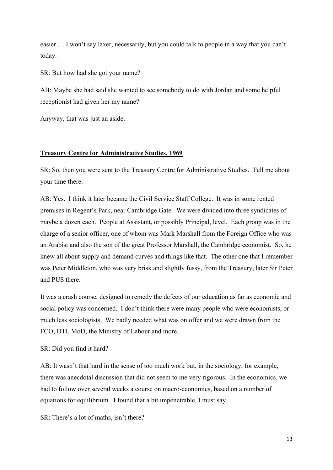easier … I won't say laxer, necessarily, but you could talk to people in a way that you can't today.

SR: But how had she got your name?

AB: Maybe she had said she wanted to see somebody to do with Jordan and some helpful receptionist had given her my name?

Anyway, that was just an aside.

### **Treasury Centre for Administrative Studies, 1969**

SR: So, then you were sent to the Treasury Centre for Administrative Studies. Tell me about your time there.

AB: Yes. I think it later became the Civil Service Staff College. It was in some rented premises in Regent's Park, near Cambridge Gate. We were divided into three syndicates of maybe a dozen each. People at Assistant, or possibly Principal, level. Each group was in the charge of a senior officer, one of whom was Mark Marshall from the Foreign Office who was an Arabist and also the son of the great Professor Marshall, the Cambridge economist. So, he knew all about supply and demand curves and things like that. The other one that I remember was Peter Middleton, who was very brisk and slightly fussy, from the Treasury, later Sir Peter and PUS there.

It was a crash course, designed to remedy the defects of our education as far as economic and social policy was concerned. I don't think there were many people who were economists, or much less sociologists. We badly needed what was on offer and we were drawn from the FCO, DTI, MoD, the Ministry of Labour and more.

SR: Did you find it hard?

AB: It wasn't that hard in the sense of too much work but, in the sociology, for example, there was anecdotal discussion that did not seem to me very rigorous. In the economics, we had to follow over several weeks a course on macro-economics, based on a number of equations for equilibrium. I found that a bit impenetrable, I must say.

SR: There's a lot of maths, isn't there?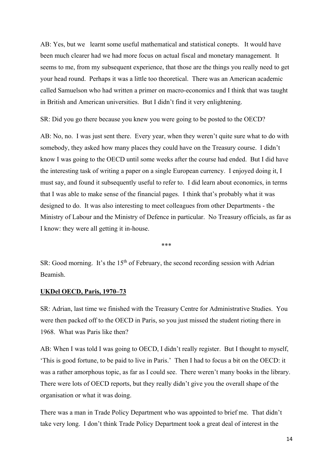AB: Yes, but we learnt some useful mathematical and statistical conepts. It would have been much clearer had we had more focus on actual fiscal and monetary management. It seems to me, from my subsequent experience, that those are the things you really need to get your head round. Perhaps it was a little too theoretical. There was an American academic called Samuelson who had written a primer on macro-economics and I think that was taught in British and American universities. But I didn't find it very enlightening.

SR: Did you go there because you knew you were going to be posted to the OECD?

AB: No, no. I was just sent there. Every year, when they weren't quite sure what to do with somebody, they asked how many places they could have on the Treasury course. I didn't know I was going to the OECD until some weeks after the course had ended. But I did have the interesting task of writing a paper on a single European currency. I enjoyed doing it, I must say, and found it subsequently useful to refer to. I did learn about economics, in terms that I was able to make sense of the financial pages. I think that's probably what it was designed to do. It was also interesting to meet colleagues from other Departments - the Ministry of Labour and the Ministry of Defence in particular. No Treasury officials, as far as I know: they were all getting it in-house.

\*\*\*

 $SR: Good morning$ . It's the 15<sup>th</sup> of February, the second recording session with Adrian Beamish.

#### **UKDel OECD, Paris, 1970–73**

SR: Adrian, last time we finished with the Treasury Centre for Administrative Studies. You were then packed off to the OECD in Paris, so you just missed the student rioting there in 1968. What was Paris like then?

AB: When I was told I was going to OECD, I didn't really register. But I thought to myself, 'This is good fortune, to be paid to live in Paris.' Then I had to focus a bit on the OECD: it was a rather amorphous topic, as far as I could see. There weren't many books in the library. There were lots of OECD reports, but they really didn't give you the overall shape of the organisation or what it was doing.

There was a man in Trade Policy Department who was appointed to brief me. That didn't take very long. I don't think Trade Policy Department took a great deal of interest in the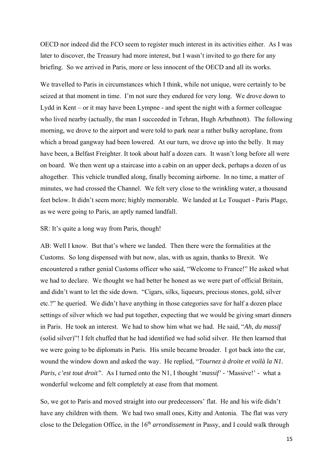OECD nor indeed did the FCO seem to register much interest in its activities either. As I was later to discover, the Treasury had more interest, but I wasn't invited to go there for any briefing. So we arrived in Paris, more or less innocent of the OECD and all its works.

We travelled to Paris in circumstances which I think, while not unique, were certainly to be seized at that moment in time. I'm not sure they endured for very long. We drove down to Lydd in Kent – or it may have been Lympne - and spent the night with a former colleague who lived nearby (actually, the man I succeeded in Tehran, Hugh Arbuthnott). The following morning, we drove to the airport and were told to park near a rather bulky aeroplane, from which a broad gangway had been lowered. At our turn, we drove up into the belly. It may have been, a Belfast Freighter. It took about half a dozen cars. It wasn't long before all were on board. We then went up a staircase into a cabin on an upper deck, perhaps a dozen of us altogether. This vehicle trundled along, finally becoming airborne. In no time, a matter of minutes, we had crossed the Channel. We felt very close to the wrinkling water, a thousand feet below. It didn't seem more; highly memorable. We landed at Le Touquet - Paris Plage, as we were going to Paris, an aptly named landfall.

### SR: It's quite a long way from Paris, though!

AB: Well I know. But that's where we landed. Then there were the formalities at the Customs. So long dispensed with but now, alas, with us again, thanks to Brexit. We encountered a rather genial Customs officer who said, "Welcome to France!" He asked what we had to declare. We thought we had better be honest as we were part of official Britain, and didn't want to let the side down. "Cigars, silks, liqueurs, precious stones, gold, silver etc.?" he queried. We didn't have anything in those categories save for half a dozen place settings of silver which we had put together, expecting that we would be giving smart dinners in Paris. He took an interest. We had to show him what we had. He said, "*Ah, du massif* (solid silver)"! I felt chuffed that he had identified we had solid silver. He then learned that we were going to be diplomats in Paris. His smile became broader. I got back into the car, wound the window down and asked the way. He replied, "*Tournez à droite et voilà la N1. Paris, c'est tout droit".* As I turned onto the N1, I thought '*massif' -* 'Massive!' - what a wonderful welcome and felt completely at ease from that moment.

So, we got to Paris and moved straight into our predecessors' flat. He and his wife didn't have any children with them. We had two small ones, Kitty and Antonia. The flat was very close to the Delegation Office, in the 16th *arrondissement* in Passy, and I could walk through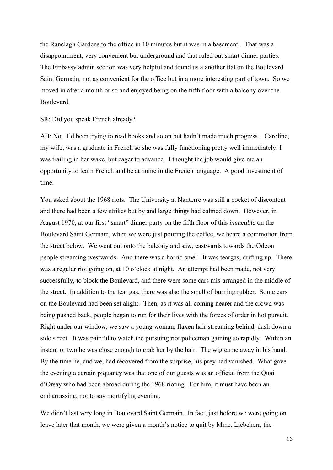the Ranelagh Gardens to the office in 10 minutes but it was in a basement. That was a disappointment, very convenient but underground and that ruled out smart dinner parties. The Embassy admin section was very helpful and found us a another flat on the Boulevard Saint Germain, not as convenient for the office but in a more interesting part of town. So we moved in after a month or so and enjoyed being on the fifth floor with a balcony over the Boulevard.

## SR: Did you speak French already?

AB: No. I'd been trying to read books and so on but hadn't made much progress. Caroline, my wife, was a graduate in French so she was fully functioning pretty well immediately: I was trailing in her wake, but eager to advance. I thought the job would give me an opportunity to learn French and be at home in the French language. A good investment of time.

You asked about the 1968 riots. The University at Nanterre was still a pocket of discontent and there had been a few strikes but by and large things had calmed down. However, in August 1970, at our first "smart" dinner party on the fifth floor of this *immeuble* on the Boulevard Saint Germain, when we were just pouring the coffee, we heard a commotion from the street below. We went out onto the balcony and saw, eastwards towards the Odeon people streaming westwards. And there was a horrid smell. It was teargas, drifting up. There was a regular riot going on, at 10 o'clock at night. An attempt had been made, not very successfully, to block the Boulevard, and there were some cars mis-arranged in the middle of the street. In addition to the tear gas, there was also the smell of burning rubber. Some cars on the Boulevard had been set alight. Then, as it was all coming nearer and the crowd was being pushed back, people began to run for their lives with the forces of order in hot pursuit. Right under our window, we saw a young woman, flaxen hair streaming behind, dash down a side street. It was painful to watch the pursuing riot policeman gaining so rapidly. Within an instant or two he was close enough to grab her by the hair. The wig came away in his hand. By the time he, and we, had recovered from the surprise, his prey had vanished. What gave the evening a certain piquancy was that one of our guests was an official from the Quai d'Orsay who had been abroad during the 1968 rioting. For him, it must have been an embarrassing, not to say mortifying evening.

We didn't last very long in Boulevard Saint Germain. In fact, just before we were going on leave later that month, we were given a month's notice to quit by Mme. Liebeherr, the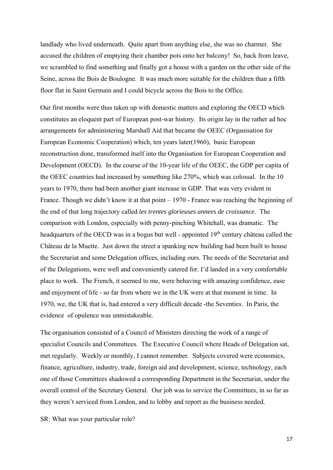landlady who lived underneath. Quite apart from anything else, she was no charmer. She accused the children of emptying their chamber pots onto her balcony! So, back from leave, we scrambled to find something and finally got a house with a garden on the other side of the Seine, across the Bois de Boulogne. It was much more suitable for the children than a fifth floor flat in Saint Germain and I could bicycle across the Bois to the Office.

Our first months were thus taken up with domestic matters and exploring the OECD which constitutes an eloquent part of European post-war history. Its origin lay in the rather ad hoc arrangements for administering Marshall Aid that became the OEEC (Organisation for European Economic Cooperation) which, ten years later(1960), basic European reconstruction done, transformed itself into the Organisation for European Cooperation and Development (OECD). In the course of the 10-year life of the OEEC, the GDP per capita of the OEEC countries had increased by something like 270%, which was colossal. In the 10 years to 1970, there had been another giant increase in GDP. That was very evident in France. Though we didn't know it at that point – 1970 - France was reaching the beginning of the end of that long trajectory called *les trentes glorieuses annees de croissance*. The comparison with London, especially with penny-pinching Whitehall, was dramatic. The headquarters of the OECD was in a bogus but well - appointed 19<sup>th</sup> century château called the Château de la Muette. Just down the street a spanking new building had been built to house the Secretariat and some Delegation offices, including ours. The needs of the Secretariat and of the Delegations, were well and conveniently catered for. I'd landed in a very comfortable place to work. The French, it seemed to me, were behaving with amazing confidence, ease and enjoyment of life - so far from where we in the UK were at that moment in time. In 1970, we, the UK that is, had entered a very difficult decade -the Seventies. In Paris, the evidence of opulence was unmistakeable.

The organisation consisted of a Council of Ministers directing the work of a range of specialist Councils and Committees. The Executive Council where Heads of Delegation sat, met regularly. Weekly or monthly, I cannot remember. Subjects covered were economics, finance, agriculture, industry, trade, foreign aid and development, science, technology, each one of those Committees shadowed a corresponding Department in the Secretariat, under the overall control of the Secretary General. Our job was to service the Committees, in so far as they weren't serviced from London, and to lobby and report as the business needed.

SR: What was your particular role?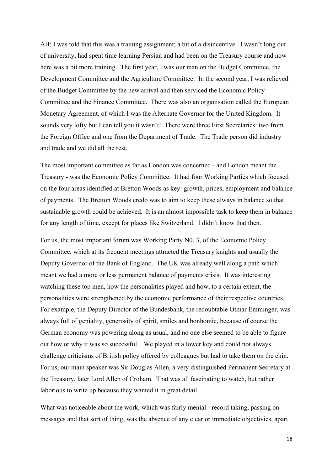AB: I was told that this was a training assignment; a bit of a disincentive. I wasn't long out of university, had spent time learning Persian and had been on the Treasury course and now here was a bit more training. The first year, I was our man on the Budget Committee, the Development Committee and the Agriculture Committee. In the second year, I was relieved of the Budget Committee by the new arrival and then serviced the Economic Policy Committee and the Finance Committee. There was also an organisation called the European Monetary Agreement, of which I was the Alternate Governor for the United Kingdom. It sounds very lofty but I can tell you it wasn't! There were three First Secretaries: two from the Foreign Office and one from the Department of Trade. The Trade person did industry and trade and we did all the rest.

The most important committee as far as London was concerned - and London meant the Treasury - was the Economic Policy Committee. It had four Working Parties which focused on the four areas identified at Bretton Woods as key: growth, prices, employment and balance of payments. The Bretton Woods credo was to aim to keep these always in balance so that sustainable growth could be achieved. It is an almost impossible task to keep them in balance for any length of time, except for places like Switzerland. I didn't know that then.

For us, the most important forum was Working Party N0. 3, of the Economic Policy Committee, which at its frequent meetings attracted the Treasury knights and usually the Deputy Governor of the Bank of England. The UK was already well along a path which meant we had a more or less permanent balance of payments crisis. It was interesting watching these top men, how the personalities played and how, to a certain extent, the personalities were strengthened by the economic performance of their respective countries. For example, the Deputy Director of the Bundesbank, the redoubtable Otmar Emminger, was always full of geniality, generosity of spirit, smiles and bonhomie, because of course the German economy was powering along as usual, and no one else seemed to be able to figure out how or why it was so successful. We played in a lower key and could not always challenge criticisms of British policy offered by colleagues but had to take them on the chin. For us, our main speaker was Sir Douglas Allen, a very distinguished Permanent Secretary at the Treasury, later Lord Allen of Croham. That was all fascinating to watch, but rather laborious to write up because they wanted it in great detail.

What was noticeable about the work, which was fairly menial - record taking, passing on messages and that sort of thing, was the absence of any clear or immediate objectivies, apart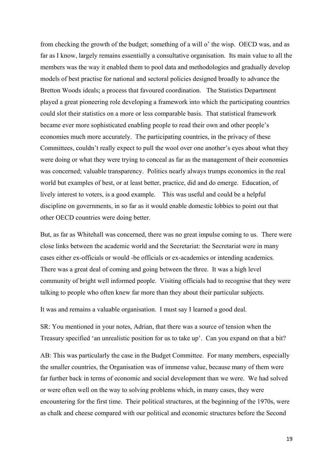from checking the growth of the budget; something of a will o' the wisp. OECD was, and as far as I know, largely remains essentially a consultative organisation. Its main value to all the members was the way it enabled them to pool data and methodologies and gradually develop models of best practise for national and sectoral policies designed broadly to advance the Bretton Woods ideals; a process that favoured coordination. The Statistics Department played a great pioneering role developing a framework into which the participating countries could slot their statistics on a more or less comparable basis. That statistical framework became ever more sophisticated enabling people to read their own and other people's economies much more accurately. The participating countries, in the privacy of these Committees, couldn't really expect to pull the wool over one another's eyes about what they were doing or what they were trying to conceal as far as the management of their economies was concerned; valuable transparency. Politics nearly always trumps economics in the real world but examples of best, or at least better, practice, did and do emerge. Education, of lively interest to voters, is a good example. This was useful and could be a helpful discipline on governments, in so far as it would enable domestic lobbies to point out that other OECD countries were doing better.

But, as far as Whitehall was concerned, there was no great impulse coming to us. There were close links between the academic world and the Secretariat: the Secretariat were in many cases either ex-officials or would -be officials or ex-academics or intending academics. There was a great deal of coming and going between the three. It was a high level community of bright well informed people. Visiting officials had to recognise that they were talking to people who often knew far more than they about their particular subjects.

It was and remains a valuable organisation. I must say I learned a good deal.

SR: You mentioned in your notes, Adrian, that there was a source of tension when the Treasury specified 'an unrealistic position for us to take up'. Can you expand on that a bit?

AB: This was particularly the case in the Budget Committee. For many members, especially the smaller countries, the Organisation was of immense value, because many of them were far further back in terms of economic and social development than we were. We had solved or were often well on the way to solving problems which, in many cases, they were encountering for the first time. Their political structures, at the beginning of the 1970s, were as chalk and cheese compared with our political and economic structures before the Second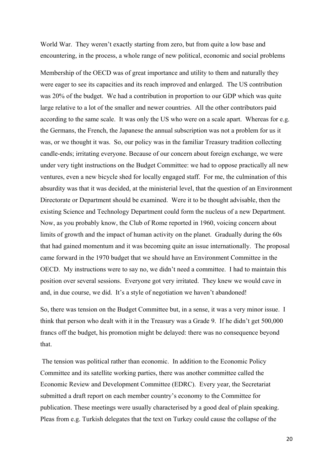World War. They weren't exactly starting from zero, but from quite a low base and encountering, in the process, a whole range of new political, economic and social problems

Membership of the OECD was of great importance and utility to them and naturally they were eager to see its capacities and its reach improved and enlarged. The US contribution was 20% of the budget. We had a contribution in proportion to our GDP which was quite large relative to a lot of the smaller and newer countries. All the other contributors paid according to the same scale. It was only the US who were on a scale apart. Whereas for e.g. the Germans, the French, the Japanese the annual subscription was not a problem for us it was, or we thought it was. So, our policy was in the familiar Treasury tradition collecting candle-ends; irritating everyone. Because of our concern about foreign exchange, we were under very tight instructions on the Budget Committee: we had to oppose practically all new ventures, even a new bicycle shed for locally engaged staff. For me, the culmination of this absurdity was that it was decided, at the ministerial level, that the question of an Environment Directorate or Department should be examined. Were it to be thought advisable, then the existing Science and Technology Department could form the nucleus of a new Department. Now, as you probably know, the Club of Rome reported in 1960, voicing concern about limits of growth and the impact of human activity on the planet. Gradually during the 60s that had gained momentum and it was becoming quite an issue internationally. The proposal came forward in the 1970 budget that we should have an Environment Committee in the OECD. My instructions were to say no, we didn't need a committee. I had to maintain this position over several sessions. Everyone got very irritated. They knew we would cave in and, in due course, we did. It's a style of negotiation we haven't abandoned!

So, there was tension on the Budget Committee but, in a sense, it was a very minor issue. I think that person who dealt with it in the Treasury was a Grade 9. If he didn't get 500,000 francs off the budget, his promotion might be delayed: there was no consequence beyond that.

 The tension was political rather than economic. In addition to the Economic Policy Committee and its satellite working parties, there was another committee called the Economic Review and Development Committee (EDRC). Every year, the Secretariat submitted a draft report on each member country's economy to the Committee for publication. These meetings were usually characterised by a good deal of plain speaking. Pleas from e.g. Turkish delegates that the text on Turkey could cause the collapse of the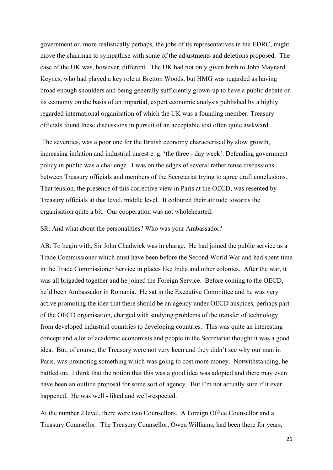government or, more realistically perhaps, the jobs of its representatives in the EDRC, might move the chairman to sympathise with some of the adjustments and deletions proposed. The case of the UK was, however, different. The UK had not only given birth to John Maynard Keynes, who had played a key role at Bretton Woods, but HMG was regarded as having broad enough shoulders and being generally sufficiently grown-up to have a public debate on its economy on the basis of an impartial, expert economic analysis published by a highly regarded international organisation of which the UK was a founding member. Treasury officials found these discussions in pursuit of an acceptable text often quite awkward..

 The seventies, was a poor one for the British economy characterised by slow growth, increasing inflation and industrial unrest e. g. 'the three - day week'. Defending government policy in public was a challenge. I was on the edges of several rather tense discussions between Treasury officials and members of the Secretariat trying to agree draft conclusions. That tension, the presence of this corrective view in Paris at the OECD, was resented by Treasury officials at that level, middle level. It coloured their attitude towards the organisation quite a bit. Our cooperation was not wholehearted.

SR: And what about the personalities? Who was your Ambassador?

AB: To begin with, Sir John Chadwick was in charge. He had joined the public service as a Trade Commissioner which must have been before the Second World War and had spent time in the Trade Commissioner Service in places like India and other colonies. After the war, it was all brigaded together and he joined the Foreign Service. Before coming to the OECD, he'd been Ambassador in Romania. He sat in the Executive Committee and he was very active promoting the idea that there should be an agency under OECD auspices, perhaps part of the OECD organisation, charged with studying problems of the transfer of technology from developed industrial countries to developing countries. This was quite an interesting concept and a lot of academic economists and people in the Secretariat thought it was a good idea. But, of course, the Treasury were not very keen and they didn't see why our man in Paris, was promoting something which was going to cost more money. Notwithstanding, he battled on. I think that the notion that this was a good idea was adopted and there may even have been an outline proposal for some sort of agency. But I'm not actually sure if it ever happened. He was well - liked and well-respected.

At the number 2 level, there were two Counsellors. A Foreign Office Counsellor and a Treasury Counsellor. The Treasury Counsellor, Owen Williams, had been there for years,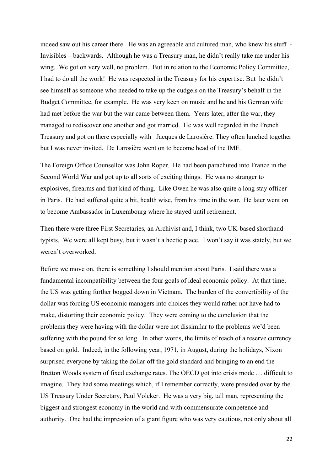indeed saw out his career there. He was an agreeable and cultured man, who knew his stuff - Invisibles – backwards. Although he was a Treasury man, he didn't really take me under his wing. We got on very well, no problem. But in relation to the Economic Policy Committee, I had to do all the work! He was respected in the Treasury for his expertise. But he didn't see himself as someone who needed to take up the cudgels on the Treasury's behalf in the Budget Committee, for example. He was very keen on music and he and his German wife had met before the war but the war came between them. Years later, after the war, they managed to rediscover one another and got married. He was well regarded in the French Treasury and got on there especially with Jacques de Larosière. They often lunched together but I was never invited. De Larosière went on to become head of the IMF.

The Foreign Office Counsellor was John Roper. He had been parachuted into France in the Second World War and got up to all sorts of exciting things. He was no stranger to explosives, firearms and that kind of thing. Like Owen he was also quite a long stay officer in Paris. He had suffered quite a bit, health wise, from his time in the war. He later went on to become Ambassador in Luxembourg where he stayed until retirement.

Then there were three First Secretaries, an Archivist and, I think, two UK-based shorthand typists. We were all kept busy, but it wasn't a hectic place. I won't say it was stately, but we weren't overworked.

Before we move on, there is something I should mention about Paris. I said there was a fundamental incompatibility between the four goals of ideal economic policy. At that time, the US was getting further bogged down in Vietnam. The burden of the convertibility of the dollar was forcing US economic managers into choices they would rather not have had to make, distorting their economic policy. They were coming to the conclusion that the problems they were having with the dollar were not dissimilar to the problems we'd been suffering with the pound for so long. In other words, the limits of reach of a reserve currency based on gold. Indeed, in the following year, 1971, in August, during the holidays, Nixon surprised everyone by taking the dollar off the gold standard and bringing to an end the Bretton Woods system of fixed exchange rates. The OECD got into crisis mode … difficult to imagine. They had some meetings which, if I remember correctly, were presided over by the US Treasury Under Secretary, Paul Volcker. He was a very big, tall man, representing the biggest and strongest economy in the world and with commensurate competence and authority. One had the impression of a giant figure who was very cautious, not only about all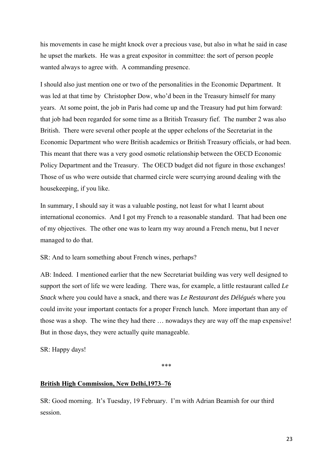his movements in case he might knock over a precious vase, but also in what he said in case he upset the markets. He was a great expositor in committee: the sort of person people wanted always to agree with. A commanding presence.

I should also just mention one or two of the personalities in the Economic Department. It was led at that time by Christopher Dow, who'd been in the Treasury himself for many years. At some point, the job in Paris had come up and the Treasury had put him forward: that job had been regarded for some time as a British Treasury fief. The number 2 was also British. There were several other people at the upper echelons of the Secretariat in the Economic Department who were British academics or British Treasury officials, or had been. This meant that there was a very good osmotic relationship between the OECD Economic Policy Department and the Treasury. The OECD budget did not figure in those exchanges! Those of us who were outside that charmed circle were scurrying around dealing with the housekeeping, if you like.

In summary, I should say it was a valuable posting, not least for what I learnt about international economics. And I got my French to a reasonable standard. That had been one of my objectives. The other one was to learn my way around a French menu, but I never managed to do that.

SR: And to learn something about French wines, perhaps?

AB: Indeed. I mentioned earlier that the new Secretariat building was very well designed to support the sort of life we were leading. There was, for example, a little restaurant called *Le Snack* where you could have a snack, and there was *Le Restaurant des Délégués* where you could invite your important contacts for a proper French lunch. More important than any of those was a shop. The wine they had there … nowadays they are way off the map expensive! But in those days, they were actually quite manageable.

SR: Happy days!

\*\*\*

# **British High Commission, New Delhi,1973–76**

SR: Good morning. It's Tuesday, 19 February. I'm with Adrian Beamish for our third session.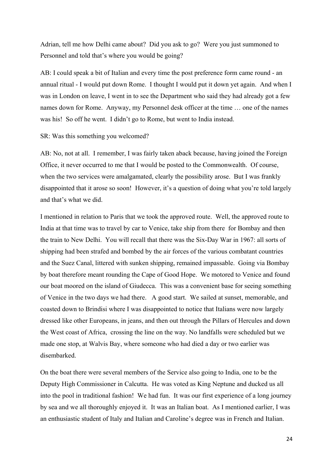Adrian, tell me how Delhi came about? Did you ask to go? Were you just summoned to Personnel and told that's where you would be going?

AB: I could speak a bit of Italian and every time the post preference form came round - an annual ritual - I would put down Rome. I thought I would put it down yet again. And when I was in London on leave, I went in to see the Department who said they had already got a few names down for Rome. Anyway, my Personnel desk officer at the time … one of the names was his! So off he went. I didn't go to Rome, but went to India instead.

#### SR: Was this something you welcomed?

AB: No, not at all. I remember, I was fairly taken aback because, having joined the Foreign Office, it never occurred to me that I would be posted to the Commonwealth. Of course, when the two services were amalgamated, clearly the possibility arose. But I was frankly disappointed that it arose so soon! However, it's a question of doing what you're told largely and that's what we did.

I mentioned in relation to Paris that we took the approved route. Well, the approved route to India at that time was to travel by car to Venice, take ship from there for Bombay and then the train to New Delhi. You will recall that there was the Six-Day War in 1967: all sorts of shipping had been strafed and bombed by the air forces of the various combatant countries and the Suez Canal, littered with sunken shipping, remained impassable. Going via Bombay by boat therefore meant rounding the Cape of Good Hope. We motored to Venice and found our boat moored on the island of Giudecca. This was a convenient base for seeing something of Venice in the two days we had there. A good start. We sailed at sunset, memorable, and coasted down to Brindisi where I was disappointed to notice that Italians were now largely dressed like other Europeans, in jeans, and then out through the Pillars of Hercules and down the West coast of Africa, crossing the line on the way. No landfalls were scheduled but we made one stop, at Walvis Bay, where someone who had died a day or two earlier was disembarked.

On the boat there were several members of the Service also going to India, one to be the Deputy High Commissioner in Calcutta. He was voted as King Neptune and ducked us all into the pool in traditional fashion! We had fun. It was our first experience of a long journey by sea and we all thoroughly enjoyed it. It was an Italian boat. As I mentioned earlier, I was an enthusiastic student of Italy and Italian and Caroline's degree was in French and Italian.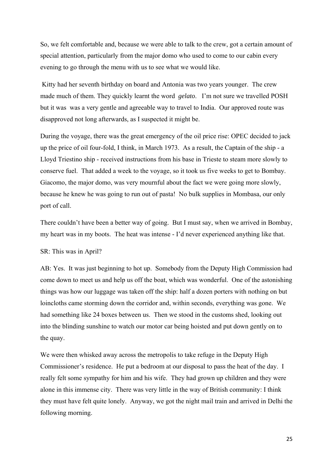So, we felt comfortable and, because we were able to talk to the crew, got a certain amount of special attention, particularly from the major domo who used to come to our cabin every evening to go through the menu with us to see what we would like.

 Kitty had her seventh birthday on board and Antonia was two years younger. The crew made much of them. They quickly learnt the word *gelato*. I'm not sure we travelled POSH but it was was a very gentle and agreeable way to travel to India. Our approved route was disapproved not long afterwards, as I suspected it might be.

During the voyage, there was the great emergency of the oil price rise: OPEC decided to jack up the price of oil four-fold, I think, in March 1973. As a result, the Captain of the ship - a Lloyd Triestino ship - received instructions from his base in Trieste to steam more slowly to conserve fuel. That added a week to the voyage, so it took us five weeks to get to Bombay. Giacomo, the major domo, was very mournful about the fact we were going more slowly, because he knew he was going to run out of pasta! No bulk supplies in Mombasa, our only port of call.

There couldn't have been a better way of going. But I must say, when we arrived in Bombay, my heart was in my boots. The heat was intense - I'd never experienced anything like that.

#### SR: This was in April?

AB: Yes. It was just beginning to hot up. Somebody from the Deputy High Commission had come down to meet us and help us off the boat, which was wonderful. One of the astonishing things was how our luggage was taken off the ship: half a dozen porters with nothing on but loincloths came storming down the corridor and, within seconds, everything was gone. We had something like 24 boxes between us. Then we stood in the customs shed, looking out into the blinding sunshine to watch our motor car being hoisted and put down gently on to the quay.

We were then whisked away across the metropolis to take refuge in the Deputy High Commissioner's residence. He put a bedroom at our disposal to pass the heat of the day. I really felt some sympathy for him and his wife. They had grown up children and they were alone in this immense city. There was very little in the way of British community: I think they must have felt quite lonely. Anyway, we got the night mail train and arrived in Delhi the following morning.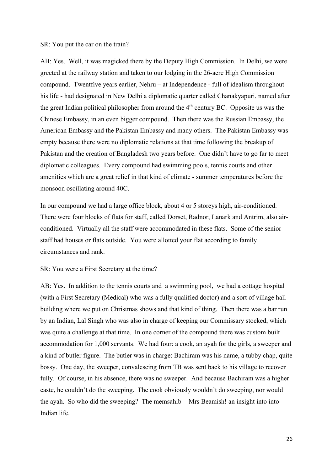#### SR: You put the car on the train?

AB: Yes. Well, it was magicked there by the Deputy High Commission. In Delhi, we were greeted at the railway station and taken to our lodging in the 26-acre High Commission compound. Twentfive years earlier, Nehru – at Independence - full of idealism throughout his life - had designated in New Delhi a diplomatic quarter called Chanakyapuri, named after the great Indian political philosopher from around the  $4<sup>th</sup>$  century BC. Opposite us was the Chinese Embassy, in an even bigger compound. Then there was the Russian Embassy, the American Embassy and the Pakistan Embassy and many others. The Pakistan Embassy was empty because there were no diplomatic relations at that time following the breakup of Pakistan and the creation of Bangladesh two years before. One didn't have to go far to meet diplomatic colleagues. Every compound had swimming pools, tennis courts and other amenities which are a great relief in that kind of climate - summer temperatures before the monsoon oscillating around 40C.

In our compound we had a large office block, about 4 or 5 storeys high, air-conditioned. There were four blocks of flats for staff, called Dorset, Radnor, Lanark and Antrim, also airconditioned. Virtually all the staff were accommodated in these flats. Some of the senior staff had houses or flats outside. You were allotted your flat according to family circumstances and rank.

SR: You were a First Secretary at the time?

AB: Yes. In addition to the tennis courts and a swimming pool, we had a cottage hospital (with a First Secretary (Medical) who was a fully qualified doctor) and a sort of village hall building where we put on Christmas shows and that kind of thing. Then there was a bar run by an Indian, Lal Singh who was also in charge of keeping our Commissary stocked, which was quite a challenge at that time. In one corner of the compound there was custom built accommodation for 1,000 servants. We had four: a cook, an ayah for the girls, a sweeper and a kind of butler figure. The butler was in charge: Bachiram was his name, a tubby chap, quite bossy. One day, the sweeper, convalescing from TB was sent back to his village to recover fully. Of course, in his absence, there was no sweeper. And because Bachiram was a higher caste, he couldn't do the sweeping. The cook obviously wouldn't do sweeping, nor would the ayah. So who did the sweeping? The memsahib - Mrs Beamish! an insight into into Indian life.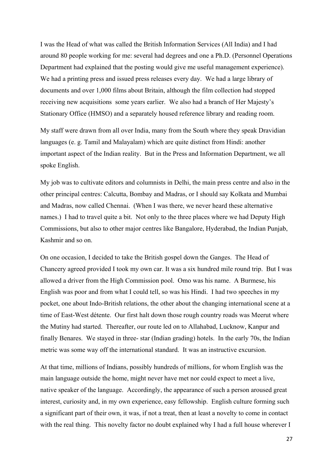I was the Head of what was called the British Information Services (All India) and I had around 80 people working for me: several had degrees and one a Ph.D. (Personnel Operations Department had explained that the posting would give me useful management experience). We had a printing press and issued press releases every day. We had a large library of documents and over 1,000 films about Britain, although the film collection had stopped receiving new acquisitions some years earlier. We also had a branch of Her Majesty's Stationary Office (HMSO) and a separately housed reference library and reading room.

My staff were drawn from all over India, many from the South where they speak Dravidian languages (e. g. Tamil and Malayalam) which are quite distinct from Hindi: another important aspect of the Indian reality. But in the Press and Information Department, we all spoke English.

My job was to cultivate editors and columnists in Delhi, the main press centre and also in the other principal centres: Calcutta, Bombay and Madras, or I should say Kolkata and Mumbai and Madras, now called Chennai. (When I was there, we never heard these alternative names.) I had to travel quite a bit. Not only to the three places where we had Deputy High Commissions, but also to other major centres like Bangalore, Hyderabad, the Indian Punjab, Kashmir and so on.

On one occasion, I decided to take the British gospel down the Ganges. The Head of Chancery agreed provided I took my own car. It was a six hundred mile round trip. But I was allowed a driver from the High Commission pool. Omo was his name. A Burmese, his English was poor and from what I could tell, so was his Hindi. I had two speeches in my pocket, one about Indo-British relations, the other about the changing international scene at a time of East-West détente. Our first halt down those rough country roads was Meerut where the Mutiny had started. Thereafter, our route led on to Allahabad, Lucknow, Kanpur and finally Benares. We stayed in three- star (Indian grading) hotels. In the early 70s, the Indian metric was some way off the international standard. It was an instructive excursion.

At that time, millions of Indians, possibly hundreds of millions, for whom English was the main language outside the home, might never have met nor could expect to meet a live, native speaker of the language. Accordingly, the appearance of such a person aroused great interest, curiosity and, in my own experience, easy fellowship. English culture forming such a significant part of their own, it was, if not a treat, then at least a novelty to come in contact with the real thing. This novelty factor no doubt explained why I had a full house wherever I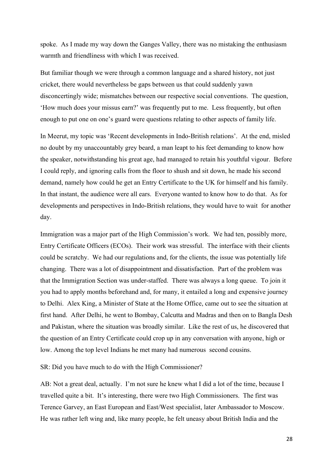spoke. As I made my way down the Ganges Valley, there was no mistaking the enthusiasm warmth and friendliness with which I was received.

But familiar though we were through a common language and a shared history, not just cricket, there would nevertheless be gaps between us that could suddenly yawn disconcertingly wide; mismatches between our respective social conventions. The question, 'How much does your missus earn?' was frequently put to me. Less frequently, but often enough to put one on one's guard were questions relating to other aspects of family life.

In Meerut, my topic was 'Recent developments in Indo-British relations'. At the end, misled no doubt by my unaccountably grey beard, a man leapt to his feet demanding to know how the speaker, notwithstanding his great age, had managed to retain his youthful vigour. Before I could reply, and ignoring calls from the floor to shush and sit down, he made his second demand, namely how could he get an Entry Certificate to the UK for himself and his family. In that instant, the audience were all ears. Everyone wanted to know how to do that. As for developments and perspectives in Indo-British relations, they would have to wait for another day.

Immigration was a major part of the High Commission's work. We had ten, possibly more, Entry Certificate Officers (ECOs). Their work was stressful. The interface with their clients could be scratchy. We had our regulations and, for the clients, the issue was potentially life changing. There was a lot of disappointment and dissatisfaction. Part of the problem was that the Immigration Section was under-staffed. There was always a long queue. To join it you had to apply months beforehand and, for many, it entailed a long and expensive journey to Delhi. Alex King, a Minister of State at the Home Office, came out to see the situation at first hand. After Delhi, he went to Bombay, Calcutta and Madras and then on to Bangla Desh and Pakistan, where the situation was broadly similar. Like the rest of us, he discovered that the question of an Entry Certificate could crop up in any conversation with anyone, high or low. Among the top level Indians he met many had numerous second cousins.

SR: Did you have much to do with the High Commissioner?

AB: Not a great deal, actually. I'm not sure he knew what I did a lot of the time, because I travelled quite a bit. It's interesting, there were two High Commissioners. The first was Terence Garvey, an East European and East/West specialist, later Ambassador to Moscow. He was rather left wing and, like many people, he felt uneasy about British India and the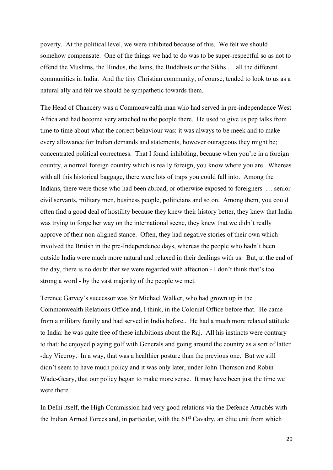poverty. At the political level, we were inhibited because of this. We felt we should somehow compensate. One of the things we had to do was to be super-respectful so as not to offend the Muslims, the Hindus, the Jains, the Buddhists or the Sikhs … all the different communities in India. And the tiny Christian community, of course, tended to look to us as a natural ally and felt we should be sympathetic towards them.

The Head of Chancery was a Commonwealth man who had served in pre-independence West Africa and had become very attached to the people there. He used to give us pep talks from time to time about what the correct behaviour was: it was always to be meek and to make every allowance for Indian demands and statements, however outrageous they might be; concentrated political correctness. That I found inhibiting, because when you're in a foreign country, a normal foreign country which is really foreign, you know where you are. Whereas with all this historical baggage, there were lots of traps you could fall into. Among the Indians, there were those who had been abroad, or otherwise exposed to foreigners … senior civil servants, military men, business people, politicians and so on. Among them, you could often find a good deal of hostility because they knew their history better, they knew that India was trying to forge her way on the international scene, they knew that we didn't really approve of their non-aligned stance. Often, they had negative stories of their own which involved the British in the pre-Independence days, whereas the people who hadn't been outside India were much more natural and relaxed in their dealings with us. But, at the end of the day, there is no doubt that we were regarded with affection - I don't think that's too strong a word - by the vast majority of the people we met.

Terence Garvey's successor was Sir Michael Walker, who had grown up in the Commonwealth Relations Office and, I think, in the Colonial Office before that. He came from a military family and had served in India before.. He had a much more relaxed attitude to India: he was quite free of these inhibitions about the Raj. All his instincts were contrary to that: he enjoyed playing golf with Generals and going around the country as a sort of latter -day Viceroy. In a way, that was a healthier posture than the previous one. But we still didn't seem to have much policy and it was only later, under John Thomson and Robin Wade-Geary, that our policy began to make more sense. It may have been just the time we were there.

In Delhi itself, the High Commission had very good relations via the Defence Attachés with the Indian Armed Forces and, in particular, with the 61<sup>st</sup> Cavalry, an élite unit from which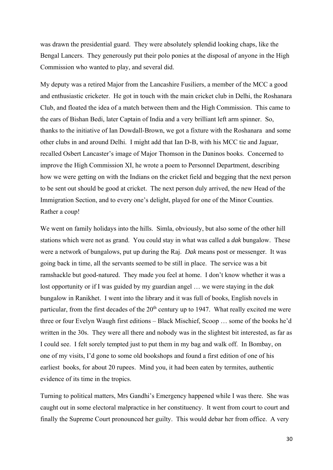was drawn the presidential guard. They were absolutely splendid looking chaps, like the Bengal Lancers. They generously put their polo ponies at the disposal of anyone in the High Commission who wanted to play, and several did.

My deputy was a retired Major from the Lancashire Fusiliers, a member of the MCC a good and enthusiastic cricketer. He got in touch with the main cricket club in Delhi, the Roshanara Club, and floated the idea of a match between them and the High Commission. This came to the ears of Bishan Bedi, later Captain of India and a very brilliant left arm spinner. So, thanks to the initiative of Ian Dowdall-Brown, we got a fixture with the Roshanara and some other clubs in and around Delhi. I might add that Ian D-B, with his MCC tie and Jaguar, recalled Osbert Lancaster's image of Major Thomson in the Daninos books. Concerned to improve the High Commission XI, he wrote a poem to Personnel Department, describing how we were getting on with the Indians on the cricket field and begging that the next person to be sent out should be good at cricket. The next person duly arrived, the new Head of the Immigration Section, and to every one's delight, played for one of the Minor Counties. Rather a coup!

We went on family holidays into the hills. Simla, obviously, but also some of the other hill stations which were not as grand. You could stay in what was called a *dak* bungalow. These were a network of bungalows, put up during the Raj. *Dak* means post or messenger. It was going back in time, all the servants seemed to be still in place. The service was a bit ramshackle but good-natured. They made you feel at home. I don't know whether it was a lost opportunity or if I was guided by my guardian angel … we were staying in the *dak*  bungalow in Ranikhet. I went into the library and it was full of books, English novels in particular, from the first decades of the  $20<sup>th</sup>$  century up to 1947. What really excited me were three or four Evelyn Waugh first editions – Black Mischief, Scoop … some of the books he'd written in the 30s. They were all there and nobody was in the slightest bit interested, as far as I could see. I felt sorely tempted just to put them in my bag and walk off. In Bombay, on one of my visits, I'd gone to some old bookshops and found a first edition of one of his earliest books, for about 20 rupees. Mind you, it had been eaten by termites, authentic evidence of its time in the tropics.

Turning to political matters, Mrs Gandhi's Emergency happened while I was there. She was caught out in some electoral malpractice in her constituency. It went from court to court and finally the Supreme Court pronounced her guilty. This would debar her from office. A very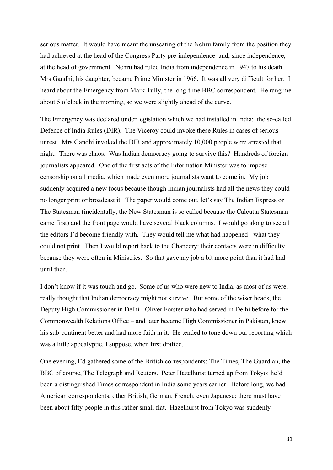serious matter. It would have meant the unseating of the Nehru family from the position they had achieved at the head of the Congress Party pre-independence and, since independence, at the head of government. Nehru had ruled India from independence in 1947 to his death. Mrs Gandhi, his daughter, became Prime Minister in 1966. It was all very difficult for her. I heard about the Emergency from Mark Tully, the long-time BBC correspondent. He rang me about 5 o'clock in the morning, so we were slightly ahead of the curve.

The Emergency was declared under legislation which we had installed in India: the so-called Defence of India Rules (DIR). The Viceroy could invoke these Rules in cases of serious unrest. Mrs Gandhi invoked the DIR and approximately 10,000 people were arrested that night. There was chaos. Was Indian democracy going to survive this? Hundreds of foreign journalists appeared. One of the first acts of the Information Minister was to impose censorship on all media, which made even more journalists want to come in. My job suddenly acquired a new focus because though Indian journalists had all the news they could no longer print or broadcast it. The paper would come out, let's say The Indian Express or The Statesman (incidentally, the New Statesman is so called because the Calcutta Statesman came first) and the front page would have several black columns. I would go along to see all the editors I'd become friendly with. They would tell me what had happened - what they could not print. Then I would report back to the Chancery: their contacts were in difficulty because they were often in Ministries. So that gave my job a bit more point than it had had until then.

I don't know if it was touch and go. Some of us who were new to India, as most of us were, really thought that Indian democracy might not survive. But some of the wiser heads, the Deputy High Commissioner in Delhi - Oliver Forster who had served in Delhi before for the Commonwealth Relations Office – and later became High Commissioner in Pakistan, knew his sub-continent better and had more faith in it. He tended to tone down our reporting which was a little apocalyptic, I suppose, when first drafted.

One evening, I'd gathered some of the British correspondents: The Times, The Guardian, the BBC of course, The Telegraph and Reuters. Peter Hazelhurst turned up from Tokyo: he'd been a distinguished Times correspondent in India some years earlier. Before long, we had American correspondents, other British, German, French, even Japanese: there must have been about fifty people in this rather small flat. Hazelhurst from Tokyo was suddenly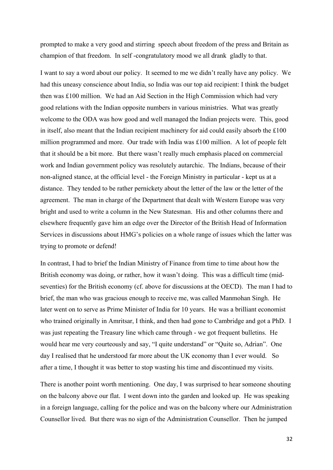prompted to make a very good and stirring speech about freedom of the press and Britain as champion of that freedom. In self -congratulatory mood we all drank gladly to that.

I want to say a word about our policy. It seemed to me we didn't really have any policy. We had this uneasy conscience about India, so India was our top aid recipient: I think the budget then was £100 million. We had an Aid Section in the High Commission which had very good relations with the Indian opposite numbers in various ministries. What was greatly welcome to the ODA was how good and well managed the Indian projects were. This, good in itself, also meant that the Indian recipient machinery for aid could easily absorb the £100 million programmed and more. Our trade with India was £100 million. A lot of people felt that it should be a bit more. But there wasn't really much emphasis placed on commercial work and Indian government policy was resolutely autarchic. The Indians, because of their non-aligned stance, at the official level - the Foreign Ministry in particular - kept us at a distance. They tended to be rather pernickety about the letter of the law or the letter of the agreement. The man in charge of the Department that dealt with Western Europe was very bright and used to write a column in the New Statesman. His and other columns there and elsewhere frequently gave him an edge over the Director of the British Head of Information Services in discussions about HMG's policies on a whole range of issues which the latter was trying to promote or defend!

In contrast, I had to brief the Indian Ministry of Finance from time to time about how the British economy was doing, or rather, how it wasn't doing. This was a difficult time (midseventies) for the British economy (cf. above for discussions at the OECD). The man I had to brief, the man who was gracious enough to receive me, was called Manmohan Singh. He later went on to serve as Prime Minister of India for 10 years. He was a brilliant economist who trained originally in Amritsar, I think, and then had gone to Cambridge and got a PhD. I was just repeating the Treasury line which came through - we got frequent bulletins. He would hear me very courteously and say, "I quite understand" or "Quite so, Adrian". One day I realised that he understood far more about the UK economy than I ever would. So after a time, I thought it was better to stop wasting his time and discontinued my visits.

There is another point worth mentioning. One day, I was surprised to hear someone shouting on the balcony above our flat. I went down into the garden and looked up. He was speaking in a foreign language, calling for the police and was on the balcony where our Administration Counsellor lived. But there was no sign of the Administration Counsellor. Then he jumped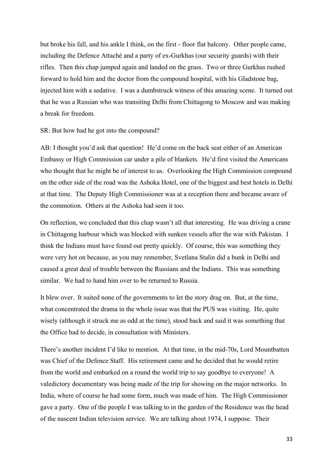but broke his fall, and his ankle I think, on the first - floor flat balcony. Other people came, including the Defence Attaché and a party of ex-Gurkhas (our security guards) with their rifles. Then this chap jumped again and landed on the grass. Two or three Gurkhas rushed forward to hold him and the doctor from the compound hospital, with his Gladstone bag, injected him with a sedative. I was a dumbstruck witness of this amazing scene. It turned out that he was a Russian who was transiting Delhi from Chittagong to Moscow and was making a break for freedom.

#### SR: But how had he got into the compound?

AB: I thought you'd ask that question! He'd come on the back seat either of an American Embassy or High Commission car under a pile of blankets. He'd first visited the Americans who thought that he might be of interest to us. Overlooking the High Commission compound on the other side of the road was the Ashoka Hotel, one of the biggest and best hotels in Delhi at that time. The Deputy High Commissioner was at a reception there and became aware of the commotion. Others at the Ashoka had seen it too.

On reflection, we concluded that this chap wasn't all that interesting. He was driving a crane in Chittagong harbour which was blocked with sunken vessels after the war with Pakistan. I think the Indians must have found out pretty quickly. Of course, this was something they were very hot on because, as you may remember, Svetlana Stalin did a bunk in Delhi and caused a great deal of trouble between the Russians and the Indians. This was something similar. We had to hand him over to be returned to Russia.

It blew over. It suited none of the governments to let the story drag on. But, at the time, what concentrated the drama in the whole issue was that the PUS was visiting. He, quite wisely (although it struck me as odd at the time), stood back and said it was something that the Office had to decide, in consultation with Ministers.

There's another incident I'd like to mention. At that time, in the mid-70s, Lord Mountbatten was Chief of the Defence Staff. His retirement came and he decided that he would retire from the world and embarked on a round the world trip to say goodbye to everyone! A valedictory documentary was being made of the trip for showing on the major networks. In India, where of course he had some form, much was made of him. The High Commissioner gave a party. One of the people I was talking to in the garden of the Residence was the head of the nascent Indian television service. We are talking about 1974, I suppose. Their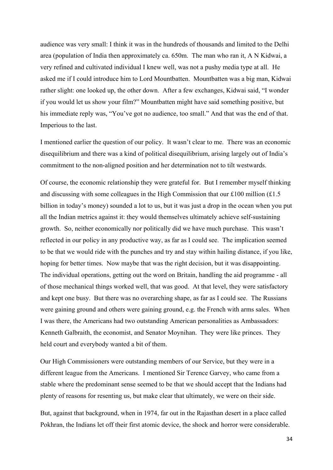audience was very small: I think it was in the hundreds of thousands and limited to the Delhi area (population of India then approximately ca. 650m. The man who ran it, A N Kidwai, a very refined and cultivated individual I knew well, was not a pushy media type at all. He asked me if I could introduce him to Lord Mountbatten. Mountbatten was a big man, Kidwai rather slight: one looked up, the other down. After a few exchanges, Kidwai said, "I wonder if you would let us show your film?" Mountbatten might have said something positive, but his immediate reply was, "You've got no audience, too small." And that was the end of that. Imperious to the last.

I mentioned earlier the question of our policy. It wasn't clear to me. There was an economic disequilibrium and there was a kind of political disequilibrium, arising largely out of India's commitment to the non-aligned position and her determination not to tilt westwards.

Of course, the economic relationship they were grateful for. But I remember myself thinking and discussing with some colleagues in the High Commission that our £100 million  $(£1.5$ billion in today's money) sounded a lot to us, but it was just a drop in the ocean when you put all the Indian metrics against it: they would themselves ultimately achieve self-sustaining growth. So, neither economically nor politically did we have much purchase. This wasn't reflected in our policy in any productive way, as far as I could see. The implication seemed to be that we would ride with the punches and try and stay within hailing distance, if you like, hoping for better times. Now maybe that was the right decision, but it was disappointing. The individual operations, getting out the word on Britain, handling the aid programme - all of those mechanical things worked well, that was good. At that level, they were satisfactory and kept one busy. But there was no overarching shape, as far as I could see. The Russians were gaining ground and others were gaining ground, e.g. the French with arms sales. When I was there, the Americans had two outstanding American personalities as Ambassadors: Kenneth Galbraith, the economist, and Senator Moynihan. They were like princes. They held court and everybody wanted a bit of them.

Our High Commissioners were outstanding members of our Service, but they were in a different league from the Americans. I mentioned Sir Terence Garvey, who came from a stable where the predominant sense seemed to be that we should accept that the Indians had plenty of reasons for resenting us, but make clear that ultimately, we were on their side.

But, against that background, when in 1974, far out in the Rajasthan desert in a place called Pokhran, the Indians let off their first atomic device, the shock and horror were considerable.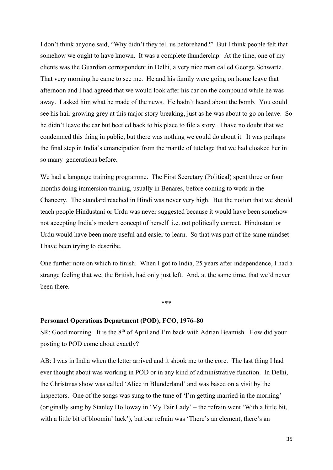I don't think anyone said, "Why didn't they tell us beforehand?" But I think people felt that somehow we ought to have known. It was a complete thunderclap. At the time, one of my clients was the Guardian correspondent in Delhi, a very nice man called George Schwartz. That very morning he came to see me. He and his family were going on home leave that afternoon and I had agreed that we would look after his car on the compound while he was away. I asked him what he made of the news. He hadn't heard about the bomb. You could see his hair growing grey at this major story breaking, just as he was about to go on leave. So he didn't leave the car but beetled back to his place to file a story. I have no doubt that we condemned this thing in public, but there was nothing we could do about it. It was perhaps the final step in India's emancipation from the mantle of tutelage that we had cloaked her in so many generations before.

We had a language training programme. The First Secretary (Political) spent three or four months doing immersion training, usually in Benares, before coming to work in the Chancery. The standard reached in Hindi was never very high. But the notion that we should teach people Hindustani or Urdu was never suggested because it would have been somehow not accepting India's modern concept of herself i.e. not politically correct. Hindustani or Urdu would have been more useful and easier to learn. So that was part of the same mindset I have been trying to describe.

One further note on which to finish. When I got to India, 25 years after independence, I had a strange feeling that we, the British, had only just left. And, at the same time, that we'd never been there.

\*\*\*

# **Personnel Operations Department (POD), FCO, 1976–80**

SR: Good morning. It is the  $8<sup>th</sup>$  of April and I'm back with Adrian Beamish. How did your posting to POD come about exactly?

AB: I was in India when the letter arrived and it shook me to the core. The last thing I had ever thought about was working in POD or in any kind of administrative function. In Delhi, the Christmas show was called 'Alice in Blunderland' and was based on a visit by the inspectors. One of the songs was sung to the tune of 'I'm getting married in the morning' (originally sung by Stanley Holloway in 'My Fair Lady' – the refrain went 'With a little bit, with a little bit of bloomin' luck'), but our refrain was 'There's an element, there's an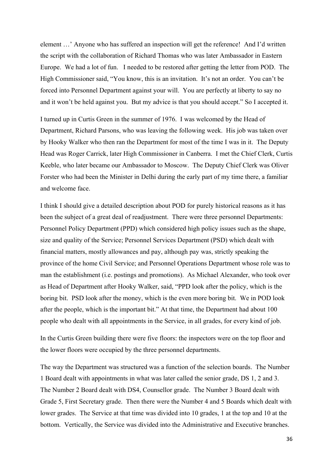element …' Anyone who has suffered an inspection will get the reference! And I'd written the script with the collaboration of Richard Thomas who was later Ambassador in Eastern Europe. We had a lot of fun. I needed to be restored after getting the letter from POD. The High Commissioner said, "You know, this is an invitation. It's not an order. You can't be forced into Personnel Department against your will. You are perfectly at liberty to say no and it won't be held against you. But my advice is that you should accept." So I accepted it.

I turned up in Curtis Green in the summer of 1976. I was welcomed by the Head of Department, Richard Parsons, who was leaving the following week. His job was taken over by Hooky Walker who then ran the Department for most of the time I was in it. The Deputy Head was Roger Carrick, later High Commissioner in Canberra. I met the Chief Clerk, Curtis Keeble, who later became our Ambassador to Moscow. The Deputy Chief Clerk was Oliver Forster who had been the Minister in Delhi during the early part of my time there, a familiar and welcome face.

I think I should give a detailed description about POD for purely historical reasons as it has been the subject of a great deal of readjustment. There were three personnel Departments: Personnel Policy Department (PPD) which considered high policy issues such as the shape, size and quality of the Service; Personnel Services Department (PSD) which dealt with financial matters, mostly allowances and pay, although pay was, strictly speaking the province of the home Civil Service; and Personnel Operations Department whose role was to man the establishment (i.e. postings and promotions). As Michael Alexander, who took over as Head of Department after Hooky Walker, said, "PPD look after the policy, which is the boring bit. PSD look after the money, which is the even more boring bit. We in POD look after the people, which is the important bit." At that time, the Department had about 100 people who dealt with all appointments in the Service, in all grades, for every kind of job.

In the Curtis Green building there were five floors: the inspectors were on the top floor and the lower floors were occupied by the three personnel departments.

The way the Department was structured was a function of the selection boards. The Number 1 Board dealt with appointments in what was later called the senior grade, DS 1, 2 and 3. The Number 2 Board dealt with DS4, Counsellor grade. The Number 3 Board dealt with Grade 5, First Secretary grade. Then there were the Number 4 and 5 Boards which dealt with lower grades. The Service at that time was divided into 10 grades, 1 at the top and 10 at the bottom. Vertically, the Service was divided into the Administrative and Executive branches.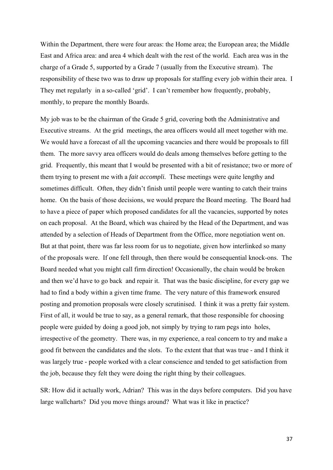Within the Department, there were four areas: the Home area; the European area; the Middle East and Africa area: and area 4 which dealt with the rest of the world. Each area was in the charge of a Grade 5, supported by a Grade 7 (usually from the Executive stream). The responsibility of these two was to draw up proposals for staffing every job within their area. I They met regularly in a so-called 'grid'. I can't remember how frequently, probably, monthly, to prepare the monthly Boards.

My job was to be the chairman of the Grade 5 grid, covering both the Administrative and Executive streams. At the grid meetings, the area officers would all meet together with me. We would have a forecast of all the upcoming vacancies and there would be proposals to fill them. The more savvy area officers would do deals among themselves before getting to the grid. Frequently, this meant that I would be presented with a bit of resistance; two or more of them trying to present me with a *fait accompli.* These meetings were quite lengthy and sometimes difficult. Often, they didn't finish until people were wanting to catch their trains home. On the basis of those decisions, we would prepare the Board meeting. The Board had to have a piece of paper which proposed candidates for all the vacancies, supported by notes on each proposal. At the Board, which was chaired by the Head of the Department, and was attended by a selection of Heads of Department from the Office, more negotiation went on. But at that point, there was far less room for us to negotiate, given how interlinked so many of the proposals were. If one fell through, then there would be consequential knock-ons. The Board needed what you might call firm direction! Occasionally, the chain would be broken and then we'd have to go back and repair it. That was the basic discipline, for every gap we had to find a body within a given time frame. The very nature of this framework ensured posting and promotion proposals were closely scrutinised. I think it was a pretty fair system. First of all, it would be true to say, as a general remark, that those responsible for choosing people were guided by doing a good job, not simply by trying to ram pegs into holes, irrespective of the geometry. There was, in my experience, a real concern to try and make a good fit between the candidates and the slots. To the extent that that was true - and I think it was largely true - people worked with a clear conscience and tended to get satisfaction from the job, because they felt they were doing the right thing by their colleagues.

SR: How did it actually work, Adrian? This was in the days before computers. Did you have large wallcharts? Did you move things around? What was it like in practice?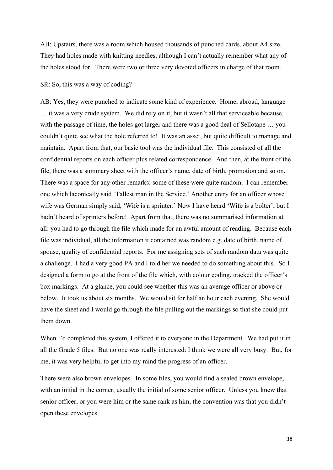AB: Upstairs, there was a room which housed thousands of punched cards, about A4 size. They had holes made with knitting needles, although I can't actually remember what any of the holes stood for. There were two or three very devoted officers in charge of that room.

SR: So, this was a way of coding?

AB: Yes, they were punched to indicate some kind of experience. Home, abroad, language … it was a very crude system. We did rely on it, but it wasn't all that serviceable because, with the passage of time, the holes got larger and there was a good deal of Sellotape … you couldn't quite see what the hole referred to! It was an asset, but quite difficult to manage and maintain. Apart from that, our basic tool was the individual file. This consisted of all the confidential reports on each officer plus related correspondence. And then, at the front of the file, there was a summary sheet with the officer's name, date of birth, promotion and so on. There was a space for any other remarks: some of these were quite random. I can remember one which laconically said 'Tallest man in the Service.' Another entry for an officer whose wife was German simply said, 'Wife is a sprinter.' Now I have heard 'Wife is a bolter', but I hadn't heard of sprinters before! Apart from that, there was no summarised information at all: you had to go through the file which made for an awful amount of reading. Because each file was individual, all the information it contained was random e.g. date of birth, name of spouse, quality of confidential reports. For me assigning sets of such random data was quite a challenge. I had a very good PA and I told her we needed to do something about this. So I designed a form to go at the front of the file which, with colour coding, tracked the officer's box markings. At a glance, you could see whether this was an average officer or above or below. It took us about six months. We would sit for half an hour each evening. She would have the sheet and I would go through the file pulling out the markings so that she could put them down.

When I'd completed this system, I offered it to everyone in the Department. We had put it in all the Grade 5 files. But no one was really interested: I think we were all very busy. But, for me, it was very helpful to get into my mind the progress of an officer.

There were also brown envelopes. In some files, you would find a sealed brown envelope, with an initial in the corner, usually the initial of some senior officer. Unless you knew that senior officer, or you were him or the same rank as him, the convention was that you didn't open these envelopes.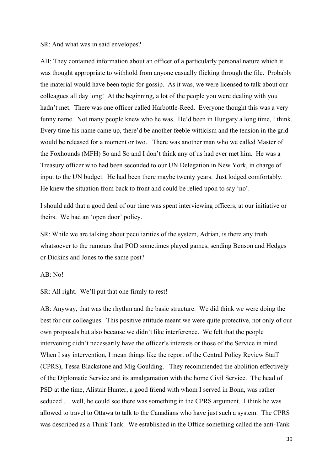#### SR: And what was in said envelopes?

AB: They contained information about an officer of a particularly personal nature which it was thought appropriate to withhold from anyone casually flicking through the file. Probably the material would have been topic for gossip. As it was, we were licensed to talk about our colleagues all day long! At the beginning, a lot of the people you were dealing with you hadn't met. There was one officer called Harbottle-Reed. Everyone thought this was a very funny name. Not many people knew who he was. He'd been in Hungary a long time, I think. Every time his name came up, there'd be another feeble witticism and the tension in the grid would be released for a moment or two. There was another man who we called Master of the Foxhounds (MFH) So and So and I don't think any of us had ever met him. He was a Treasury officer who had been seconded to our UN Delegation in New York, in charge of input to the UN budget. He had been there maybe twenty years. Just lodged comfortably. He knew the situation from back to front and could be relied upon to say 'no'.

I should add that a good deal of our time was spent interviewing officers, at our initiative or theirs. We had an 'open door' policy.

SR: While we are talking about peculiarities of the system, Adrian, is there any truth whatsoever to the rumours that POD sometimes played games, sending Benson and Hedges or Dickins and Jones to the same post?

#### AB: No!

SR: All right. We'll put that one firmly to rest!

AB: Anyway, that was the rhythm and the basic structure. We did think we were doing the best for our colleagues. This positive attitude meant we were quite protective, not only of our own proposals but also because we didn't like interference. We felt that the people intervening didn't necessarily have the officer's interests or those of the Service in mind. When I say intervention, I mean things like the report of the Central Policy Review Staff (CPRS), Tessa Blackstone and Mig Goulding. They recommended the abolition effectively of the Diplomatic Service and its amalgamation with the home Civil Service. The head of PSD at the time, Alistair Hunter, a good friend with whom I served in Bonn, was rather seduced … well, he could see there was something in the CPRS argument. I think he was allowed to travel to Ottawa to talk to the Canadians who have just such a system. The CPRS was described as a Think Tank. We established in the Office something called the anti-Tank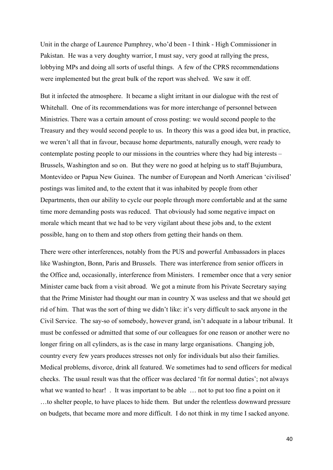Unit in the charge of Laurence Pumphrey, who'd been - I think - High Commissioner in Pakistan. He was a very doughty warrior, I must say, very good at rallying the press, lobbying MPs and doing all sorts of useful things. A few of the CPRS recommendations were implemented but the great bulk of the report was shelved. We saw it off.

But it infected the atmosphere. It became a slight irritant in our dialogue with the rest of Whitehall. One of its recommendations was for more interchange of personnel between Ministries. There was a certain amount of cross posting: we would second people to the Treasury and they would second people to us. In theory this was a good idea but, in practice, we weren't all that in favour, because home departments, naturally enough, were ready to contemplate posting people to our missions in the countries where they had big interests – Brussels, Washington and so on. But they were no good at helping us to staff Bujumbura, Montevideo or Papua New Guinea. The number of European and North American 'civilised' postings was limited and, to the extent that it was inhabited by people from other Departments, then our ability to cycle our people through more comfortable and at the same time more demanding posts was reduced. That obviously had some negative impact on morale which meant that we had to be very vigilant about these jobs and, to the extent possible, hang on to them and stop others from getting their hands on them.

There were other interferences, notably from the PUS and powerful Ambassadors in places like Washington, Bonn, Paris and Brussels. There was interference from senior officers in the Office and, occasionally, interference from Ministers. I remember once that a very senior Minister came back from a visit abroad. We got a minute from his Private Secretary saying that the Prime Minister had thought our man in country X was useless and that we should get rid of him. That was the sort of thing we didn't like: it's very difficult to sack anyone in the Civil Service. The say-so of somebody, however grand, isn't adequate in a labour tribunal. It must be confessed or admitted that some of our colleagues for one reason or another were no longer firing on all cylinders, as is the case in many large organisations. Changing job, country every few years produces stresses not only for individuals but also their families. Medical problems, divorce, drink all featured. We sometimes had to send officers for medical checks. The usual result was that the officer was declared 'fit for normal duties'; not always what we wanted to hear! . It was important to be able ... not to put too fine a point on it …to shelter people, to have places to hide them. But under the relentless downward pressure on budgets, that became more and more difficult. I do not think in my time I sacked anyone.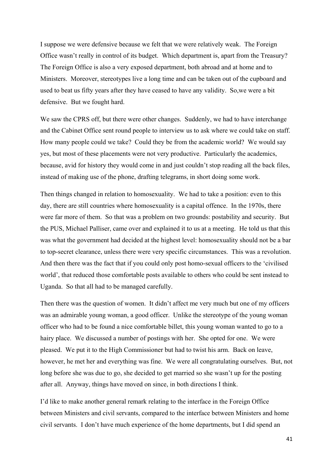I suppose we were defensive because we felt that we were relatively weak. The Foreign Office wasn't really in control of its budget. Which department is, apart from the Treasury? The Foreign Office is also a very exposed department, both abroad and at home and to Ministers. Moreover, stereotypes live a long time and can be taken out of the cupboard and used to beat us fifty years after they have ceased to have any validity. So,we were a bit defensive. But we fought hard.

We saw the CPRS off, but there were other changes. Suddenly, we had to have interchange and the Cabinet Office sent round people to interview us to ask where we could take on staff. How many people could we take? Could they be from the academic world? We would say yes, but most of these placements were not very productive. Particularly the academics, because, avid for history they would come in and just couldn't stop reading all the back files, instead of making use of the phone, drafting telegrams, in short doing some work.

Then things changed in relation to homosexuality. We had to take a position: even to this day, there are still countries where homosexuality is a capital offence. In the 1970s, there were far more of them. So that was a problem on two grounds: postability and security. But the PUS, Michael Palliser, came over and explained it to us at a meeting. He told us that this was what the government had decided at the highest level: homosexuality should not be a bar to top-secret clearance, unless there were very specific circumstances. This was a revolution. And then there was the fact that if you could only post homo-sexual officers to the 'civilised world', that reduced those comfortable posts available to others who could be sent instead to Uganda. So that all had to be managed carefully.

Then there was the question of women. It didn't affect me very much but one of my officers was an admirable young woman, a good officer. Unlike the stereotype of the young woman officer who had to be found a nice comfortable billet, this young woman wanted to go to a hairy place. We discussed a number of postings with her. She opted for one. We were pleased. We put it to the High Commissioner but had to twist his arm. Back on leave, however, he met her and everything was fine. We were all congratulating ourselves. But, not long before she was due to go, she decided to get married so she wasn't up for the posting after all. Anyway, things have moved on since, in both directions I think.

I'd like to make another general remark relating to the interface in the Foreign Office between Ministers and civil servants, compared to the interface between Ministers and home civil servants. I don't have much experience of the home departments, but I did spend an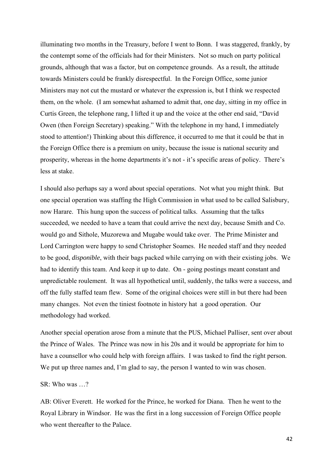illuminating two months in the Treasury, before I went to Bonn. I was staggered, frankly, by the contempt some of the officials had for their Ministers. Not so much on party political grounds, although that was a factor, but on competence grounds. As a result, the attitude towards Ministers could be frankly disrespectful. In the Foreign Office, some junior Ministers may not cut the mustard or whatever the expression is, but I think we respected them, on the whole. (I am somewhat ashamed to admit that, one day, sitting in my office in Curtis Green, the telephone rang, I lifted it up and the voice at the other end said, "David Owen (then Foreign Secretary) speaking." With the telephone in my hand, I immediately stood to attention!) Thinking about this difference, it occurred to me that it could be that in the Foreign Office there is a premium on unity, because the issue is national security and prosperity, whereas in the home departments it's not - it's specific areas of policy. There's less at stake.

I should also perhaps say a word about special operations. Not what you might think. But one special operation was staffing the High Commission in what used to be called Salisbury, now Harare. This hung upon the success of political talks. Assuming that the talks succeeded, we needed to have a team that could arrive the next day, because Smith and Co. would go and Sithole, Muzorewa and Mugabe would take over. The Prime Minister and Lord Carrington were happy to send Christopher Soames. He needed staff and they needed to be good, *disponible*, with their bags packed while carrying on with their existing jobs. We had to identify this team. And keep it up to date. On - going postings meant constant and unpredictable roulement. It was all hypothetical until, suddenly, the talks were a success, and off the fully staffed team flew. Some of the original choices were still in but there had been many changes. Not even the tiniest footnote in history hat a good operation. Our methodology had worked.

Another special operation arose from a minute that the PUS, Michael Palliser, sent over about the Prince of Wales. The Prince was now in his 20s and it would be appropriate for him to have a counsellor who could help with foreign affairs. I was tasked to find the right person. We put up three names and, I'm glad to say, the person I wanted to win was chosen.

# SR: Who was …?

AB: Oliver Everett. He worked for the Prince, he worked for Diana. Then he went to the Royal Library in Windsor. He was the first in a long succession of Foreign Office people who went thereafter to the Palace.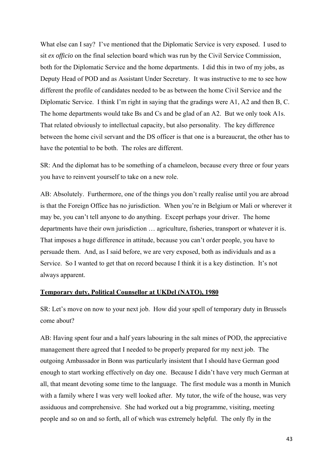What else can I say? I've mentioned that the Diplomatic Service is very exposed. I used to sit *ex officio* on the final selection board which was run by the Civil Service Commission, both for the Diplomatic Service and the home departments. I did this in two of my jobs, as Deputy Head of POD and as Assistant Under Secretary. It was instructive to me to see how different the profile of candidates needed to be as between the home Civil Service and the Diplomatic Service. I think I'm right in saying that the gradings were A1, A2 and then B, C. The home departments would take Bs and Cs and be glad of an A2. But we only took A1s. That related obviously to intellectual capacity, but also personality. The key difference between the home civil servant and the DS officer is that one is a bureaucrat, the other has to have the potential to be both. The roles are different.

SR: And the diplomat has to be something of a chameleon, because every three or four years you have to reinvent yourself to take on a new role.

AB: Absolutely. Furthermore, one of the things you don't really realise until you are abroad is that the Foreign Office has no jurisdiction. When you're in Belgium or Mali or wherever it may be, you can't tell anyone to do anything. Except perhaps your driver. The home departments have their own jurisdiction … agriculture, fisheries, transport or whatever it is. That imposes a huge difference in attitude, because you can't order people, you have to persuade them. And, as I said before, we are very exposed, both as individuals and as a Service. So I wanted to get that on record because I think it is a key distinction. It's not always apparent.

### **Temporary duty, Political Counsellor at UKDel (NATO), 1980**

SR: Let's move on now to your next job. How did your spell of temporary duty in Brussels come about?

AB: Having spent four and a half years labouring in the salt mines of POD, the appreciative management there agreed that I needed to be properly prepared for my next job. The outgoing Ambassador in Bonn was particularly insistent that I should have German good enough to start working effectively on day one. Because I didn't have very much German at all, that meant devoting some time to the language. The first module was a month in Munich with a family where I was very well looked after. My tutor, the wife of the house, was very assiduous and comprehensive. She had worked out a big programme, visiting, meeting people and so on and so forth, all of which was extremely helpful. The only fly in the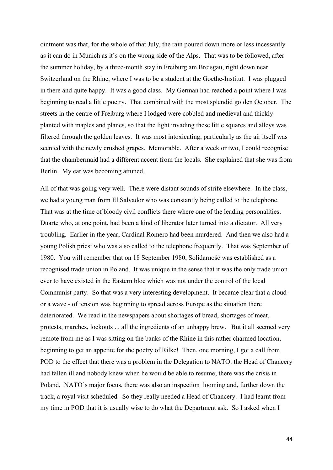ointment was that, for the whole of that July, the rain poured down more or less incessantly as it can do in Munich as it's on the wrong side of the Alps. That was to be followed, after the summer holiday, by a three-month stay in Freiburg am Breisgau, right down near Switzerland on the Rhine, where I was to be a student at the Goethe-Institut. I was plugged in there and quite happy. It was a good class. My German had reached a point where I was beginning to read a little poetry. That combined with the most splendid golden October. The streets in the centre of Freiburg where I lodged were cobbled and medieval and thickly planted with maples and planes, so that the light invading these little squares and alleys was filtered through the golden leaves. It was most intoxicating, particularly as the air itself was scented with the newly crushed grapes. Memorable. After a week or two, I could recognise that the chambermaid had a different accent from the locals. She explained that she was from Berlin. My ear was becoming attuned.

All of that was going very well. There were distant sounds of strife elsewhere. In the class, we had a young man from El Salvador who was constantly being called to the telephone. That was at the time of bloody civil conflicts there where one of the leading personalities, Duarte who, at one point, had been a kind of liberator later turned into a dictator. All very troubling. Earlier in the year, Cardinal Romero had been murdered. And then we also had a young Polish priest who was also called to the telephone frequently. That was September of 1980. You will remember that on 18 September 1980, Solidarność was established as a recognised trade union in Poland. It was unique in the sense that it was the only trade union ever to have existed in the Eastern bloc which was not under the control of the local Communist party. So that was a very interesting development. It became clear that a cloud or a wave - of tension was beginning to spread across Europe as the situation there deteriorated. We read in the newspapers about shortages of bread, shortages of meat, protests, marches, lockouts ... all the ingredients of an unhappy brew. But it all seemed very remote from me as I was sitting on the banks of the Rhine in this rather charmed location, beginning to get an appetite for the poetry of Rilke! Then, one morning, I got a call from POD to the effect that there was a problem in the Delegation to NATO: the Head of Chancery had fallen ill and nobody knew when he would be able to resume; there was the crisis in Poland, NATO's major focus, there was also an inspection looming and, further down the track, a royal visit scheduled. So they really needed a Head of Chancery. I had learnt from my time in POD that it is usually wise to do what the Department ask. So I asked when I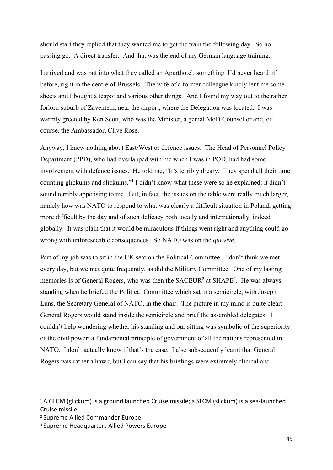should start they replied that they wanted me to get the train the following day. So no passing go. A direct transfer. And that was the end of my German language training.

I arrived and was put into what they called an Aparthotel, something I'd never heard of before, right in the centre of Brussels. The wife of a former colleague kindly lent me some sheets and I bought a teapot and various other things. And I found my way out to the rather forlorn suburb of Zaventem, near the airport, where the Delegation was located. I was warmly greeted by Ken Scott, who was the Minister, a genial MoD Counsellor and, of course, the Ambassador, Clive Rose.

Anyway, I knew nothing about East/West or defence issues. The Head of Personnel Policy Department (PPD), who had overlapped with me when I was in POD, had had some involvement with defence issues. He told me, "It's terribly dreary. They spend all their time counting glickums and slickums."<sup>1</sup> I didn't know what these were so he explained: it didn't sound terribly appetising to me. But, in fact, the issues on the table were really much larger, namely how was NATO to respond to what was clearly a difficult situation in Poland, getting more difficult by the day and of such delicacy both locally and internationally, indeed globally. It was plain that it would be miraculous if things went right and anything could go wrong with unforeseeable consequences. So NATO was on the *qui vive.* 

Part of my job was to sit in the UK seat on the Political Committee. I don't think we met every day, but we met quite frequently, as did the Military Committee. One of my lasting memories is of General Rogers, who was then the  $SACEUR<sup>2</sup>$  at  $SHAPE<sup>3</sup>$ . He was always standing when he briefed the Political Committee which sat in a semicircle, with Joseph Luns, the Secretary General of NATO, in the chair. The picture in my mind is quite clear: General Rogers would stand inside the semicircle and brief the assembled delegates. I couldn't help wondering whether his standing and our sitting was symbolic of the superiority of the civil power: a fundamental principle of government of all the nations represented in NATO. I don't actually know if that's the case. I also subsequently learnt that General Rogers was rather a hawk, but I can say that his briefings were extremely clinical and

 $14$  A GLCM (glickum) is a ground launched Cruise missile; a SLCM (slickum) is a sea-launched Cruise missile

<sup>2</sup> Supreme Allied Commander Europe

<sup>3</sup> Supreme Headquarters Allied Powers Europe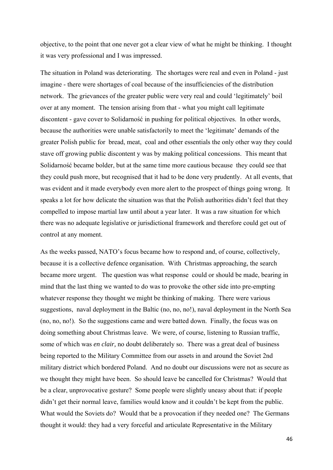objective, to the point that one never got a clear view of what he might be thinking. I thought it was very professional and I was impressed.

The situation in Poland was deteriorating. The shortages were real and even in Poland - just imagine - there were shortages of coal because of the insufficiencies of the distribution network. The grievances of the greater public were very real and could 'legitimately' boil over at any moment. The tension arising from that - what you might call legitimate discontent - gave cover to Solidarność in pushing for political objectives. In other words, because the authorities were unable satisfactorily to meet the 'legitimate' demands of the greater Polish public for bread, meat, coal and other essentials the only other way they could stave off growing public discontent y was by making political concessions. This meant that Solidarność became bolder, but at the same time more cautious because they could see that they could push more, but recognised that it had to be done very prudently. At all events, that was evident and it made everybody even more alert to the prospect of things going wrong. It speaks a lot for how delicate the situation was that the Polish authorities didn't feel that they compelled to impose martial law until about a year later. It was a raw situation for which there was no adequate legislative or jurisdictional framework and therefore could get out of control at any moment.

As the weeks passed, NATO's focus became how to respond and, of course, collectively, because it is a collective defence organisation. With Christmas approaching, the search became more urgent. The question was what response could or should be made, bearing in mind that the last thing we wanted to do was to provoke the other side into pre-empting whatever response they thought we might be thinking of making. There were various suggestions, naval deployment in the Baltic (no, no, no!), naval deployment in the North Sea (no, no, no!). So the suggestions came and were batted down. Finally, the focus was on doing something about Christmas leave. We were, of course, listening to Russian traffic, some of which was *en clair,* no doubt deliberately so. There was a great deal of business being reported to the Military Committee from our assets in and around the Soviet 2nd military district which bordered Poland. And no doubt our discussions were not as secure as we thought they might have been. So should leave be cancelled for Christmas? Would that be a clear, unprovocative gesture? Some people were slightly uneasy about that: if people didn't get their normal leave, families would know and it couldn't be kept from the public. What would the Soviets do? Would that be a provocation if they needed one? The Germans thought it would: they had a very forceful and articulate Representative in the Military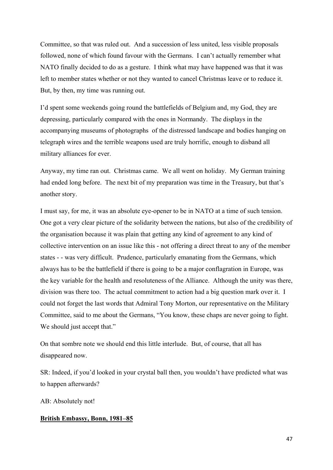Committee, so that was ruled out. And a succession of less united, less visible proposals followed, none of which found favour with the Germans. I can't actually remember what NATO finally decided to do as a gesture. I think what may have happened was that it was left to member states whether or not they wanted to cancel Christmas leave or to reduce it. But, by then, my time was running out.

I'd spent some weekends going round the battlefields of Belgium and, my God, they are depressing, particularly compared with the ones in Normandy. The displays in the accompanying museums of photographs of the distressed landscape and bodies hanging on telegraph wires and the terrible weapons used are truly horrific, enough to disband all military alliances for ever.

Anyway, my time ran out. Christmas came. We all went on holiday. My German training had ended long before. The next bit of my preparation was time in the Treasury, but that's another story.

I must say, for me, it was an absolute eye-opener to be in NATO at a time of such tension. One got a very clear picture of the solidarity between the nations, but also of the credibility of the organisation because it was plain that getting any kind of agreement to any kind of collective intervention on an issue like this - not offering a direct threat to any of the member states - - was very difficult. Prudence, particularly emanating from the Germans, which always has to be the battlefield if there is going to be a major conflagration in Europe, was the key variable for the health and resoluteness of the Alliance. Although the unity was there, division was there too. The actual commitment to action had a big question mark over it. I could not forget the last words that Admiral Tony Morton, our representative on the Military Committee, said to me about the Germans, "You know, these chaps are never going to fight. We should just accept that."

On that sombre note we should end this little interlude. But, of course, that all has disappeared now.

SR: Indeed, if you'd looked in your crystal ball then, you wouldn't have predicted what was to happen afterwards?

AB: Absolutely not!

# **British Embassy, Bonn, 1981–85**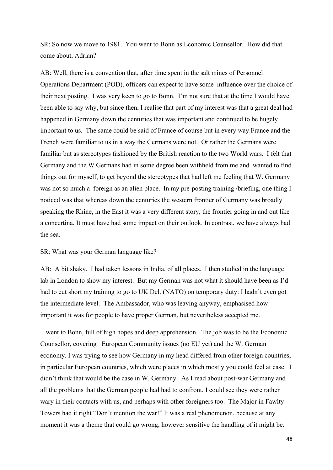SR: So now we move to 1981. You went to Bonn as Economic Counsellor. How did that come about, Adrian?

AB: Well, there is a convention that, after time spent in the salt mines of Personnel Operations Department (POD), officers can expect to have some influence over the choice of their next posting. I was very keen to go to Bonn. I'm not sure that at the time I would have been able to say why, but since then, I realise that part of my interest was that a great deal had happened in Germany down the centuries that was important and continued to be hugely important to us. The same could be said of France of course but in every way France and the French were familiar to us in a way the Germans were not. Or rather the Germans were familiar but as stereotypes fashioned by the British reaction to the two World wars. I felt that Germany and the W.Germans had in some degree been withheld from me and wanted to find things out for myself, to get beyond the stereotypes that had left me feeling that W. Germany was not so much a foreign as an alien place. In my pre-posting training /briefing, one thing I noticed was that whereas down the centuries the western frontier of Germany was broadly speaking the Rhine, in the East it was a very different story, the frontier going in and out like a concertina. It must have had some impact on their outlook. In contrast, we have always had the sea.

#### SR: What was your German language like?

AB: A bit shaky. I had taken lessons in India, of all places. I then studied in the language lab in London to show my interest. But my German was not what it should have been as I'd had to cut short my training to go to UK Del. (NATO) on temporary duty: I hadn't even got the intermediate level. The Ambassador, who was leaving anyway, emphasised how important it was for people to have proper German, but nevertheless accepted me.

 I went to Bonn, full of high hopes and deep apprehension. The job was to be the Economic Counsellor, covering European Community issues (no EU yet) and the W. German economy. I was trying to see how Germany in my head differed from other foreign countries, in particular European countries, which were places in which mostly you could feel at ease. I didn't think that would be the case in W. Germany. As I read about post-war Germany and all the problems that the German people had had to confront, I could see they were rather wary in their contacts with us, and perhaps with other foreigners too. The Major in Fawlty Towers had it right "Don't mention the war!" It was a real phenomenon, because at any moment it was a theme that could go wrong, however sensitive the handling of it might be.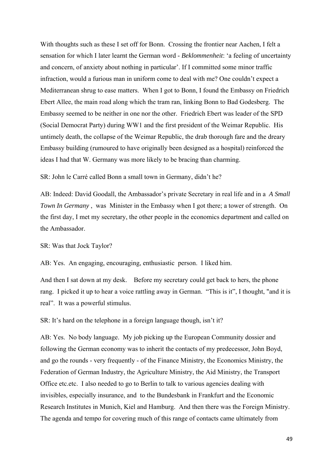With thoughts such as these I set off for Bonn. Crossing the frontier near Aachen, I felt a sensation for which I later learnt the German word - *Beklommenheit*: 'a feeling of uncertainty and concern, of anxiety about nothing in particular'. If I committed some minor traffic infraction, would a furious man in uniform come to deal with me? One couldn't expect a Mediterranean shrug to ease matters. When I got to Bonn, I found the Embassy on Friedrich Ebert Allee, the main road along which the tram ran, linking Bonn to Bad Godesberg. The Embassy seemed to be neither in one nor the other. Friedrich Ebert was leader of the SPD (Social Democrat Party) during WW1 and the first president of the Weimar Republic. His untimely death, the collapse of the Weimar Republic, the drab thorough fare and the dreary Embassy building (rumoured to have originally been designed as a hospital) reinforced the ideas I had that W. Germany was more likely to be bracing than charming.

SR: John le Carré called Bonn a small town in Germany, didn't he?

AB: Indeed: David Goodall, the Ambassador's private Secretary in real life and in a *A Small Town In Germany* , was Minister in the Embassy when I got there; a tower of strength. On the first day, I met my secretary, the other people in the economics department and called on the Ambassador.

# SR: Was that Jock Taylor?

AB: Yes. An engaging, encouraging, enthusiastic person. I liked him.

And then I sat down at my desk. Before my secretary could get back to hers, the phone rang. I picked it up to hear a voice rattling away in German. "This is it", I thought, "and it is real". It was a powerful stimulus.

SR: It's hard on the telephone in a foreign language though, isn't it?

AB: Yes. No body language. My job picking up the European Community dossier and following the German economy was to inherit the contacts of my predecessor, John Boyd, and go the rounds - very frequently - of the Finance Ministry, the Economics Ministry, the Federation of German Industry, the Agriculture Ministry, the Aid Ministry, the Transport Office etc.etc. I also needed to go to Berlin to talk to various agencies dealing with invisibles, especially insurance, and to the Bundesbank in Frankfurt and the Economic Research Institutes in Munich, Kiel and Hamburg. And then there was the Foreign Ministry. The agenda and tempo for covering much of this range of contacts came ultimately from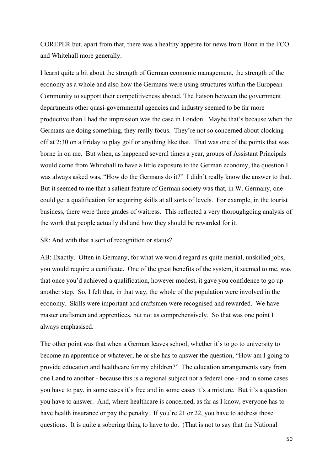COREPER but, apart from that, there was a healthy appetite for news from Bonn in the FCO and Whitehall more generally.

I learnt quite a bit about the strength of German economic management, the strength of the economy as a whole and also how the Germans were using structures within the European Community to support their competitiveness abroad. The liaison between the government departments other quasi-governmental agencies and industry seemed to be far more productive than I had the impression was the case in London. Maybe that's because when the Germans are doing something, they really focus. They're not so concerned about clocking off at 2:30 on a Friday to play golf or anything like that. That was one of the points that was borne in on me. But when, as happened several times a year, groups of Assistant Principals would come from Whitehall to have a little exposure to the German economy, the question I was always asked was, "How do the Germans do it?" I didn't really know the answer to that. But it seemed to me that a salient feature of German society was that, in W. Germany, one could get a qualification for acquiring skills at all sorts of levels. For example, in the tourist business, there were three grades of waitress. This reflected a very thoroughgoing analysis of the work that people actually did and how they should be rewarded for it.

SR: And with that a sort of recognition or status?

AB: Exactly. Often in Germany, for what we would regard as quite menial, unskilled jobs, you would require a certificate. One of the great benefits of the system, it seemed to me, was that once you'd achieved a qualification, however modest, it gave you confidence to go up another step. So, I felt that, in that way, the whole of the population were involved in the economy. Skills were important and craftsmen were recognised and rewarded. We have master craftsmen and apprentices, but not as comprehensively. So that was one point I always emphasised.

The other point was that when a German leaves school, whether it's to go to university to become an apprentice or whatever, he or she has to answer the question, "How am I going to provide education and healthcare for my children?" The education arrangements vary from one Land to another - because this is a regional subject not a federal one - and in some cases you have to pay, in some cases it's free and in some cases it's a mixture. But it's a question you have to answer. And, where healthcare is concerned, as far as I know, everyone has to have health insurance or pay the penalty. If you're 21 or 22, you have to address those questions. It is quite a sobering thing to have to do. (That is not to say that the National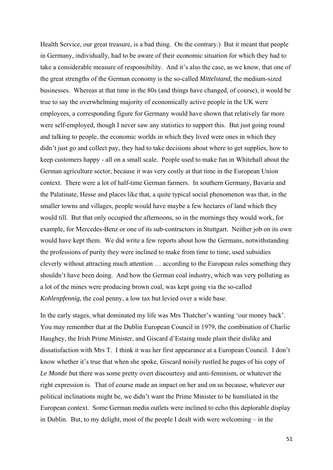Health Service, our great treasure, is a bad thing. On the contrary.) But it meant that people in Germany, individually, had to be aware of their economic situation for which they had to take a considerable measure of responsibility. And it's also the case, as we know, that one of the great strengths of the German economy is the so-called *Mittelstand,* the medium-sized businesses. Whereas at that time in the 80s (and things have changed, of course), it would be true to say the overwhelming majority of economically active people in the UK were employees, a corresponding figure for Germany would have shown that relatively far more were self-employed, though I never saw any statistics to support this. But just going round and talking to people, the economic worlds in which they lived were ones in which they didn't just go and collect pay, they had to take decisions about where to get supplies, how to keep customers happy - all on a small scale. People used to make fun in Whitehall about the German agriculture sector, because it was very costly at that time in the European Union context. There were a lot of half-time German farmers. In southern Germany, Bavaria and the Palatinate, Hesse and places like that, a quite typical social phenomenon was that, in the smaller towns and villages, people would have maybe a few hectares of land which they would till. But that only occupied the afternoons, so in the mornings they would work, for example, for Mercedes-Benz or one of its sub-contractors in Stuttgart. Neither job on its own would have kept them. We did write a few reports about how the Germans, notwithstanding the professions of purity they were inclined to make from time to time, used subsidies cleverly without attracting much attention … according to the European rules something they shouldn't have been doing. And how the German coal industry, which was very polluting as a lot of the mines were producing brown coal, was kept going via the so-called *Kohlenpfennig,* the coal penny, a low tax but levied over a wide base.

In the early stages, what dominated my life was Mrs Thatcher's wanting 'our money back'. You may remember that at the Dublin European Council in 1979, the combination of Charlie Haughey, the Irish Prime Minister, and Giscard d'Estaing made plain their dislike and dissatisfaction with Mrs T. I think it was her first appearance at a European Council. I don't know whether it's true that when she spoke, Giscard noisily rustled he pages of his copy of *Le Monde b*ut there was some pretty overt discourtesy and anti-feminism, or whatever the right expression is. That of course made an impact on her and on us because, whatever our political inclinations might be, we didn't want the Prime Minister to be humiliated in the European context. Some German media outlets were inclined to echo this deplorable display in Dublin. But, to my delight, most of the people I dealt with were welcoming – in the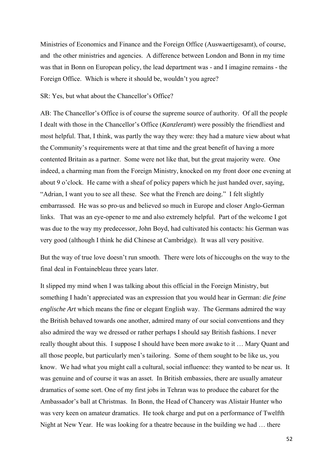Ministries of Economics and Finance and the Foreign Office (Auswaertigesamt), of course, and the other ministries and agencies. A difference between London and Bonn in my time was that in Bonn on European policy, the lead department was - and I imagine remains - the Foreign Office. Which is where it should be, wouldn't you agree?

### SR: Yes, but what about the Chancellor's Office?

AB: The Chancellor's Office is of course the supreme source of authority. Of all the people I dealt with those in the Chancellor's Office (*Kanzleramt*) were possibly the friendliest and most helpful. That, I think, was partly the way they were: they had a mature view about what the Community's requirements were at that time and the great benefit of having a more contented Britain as a partner. Some were not like that, but the great majority were. One indeed, a charming man from the Foreign Ministry, knocked on my front door one evening at about 9 o'clock. He came with a sheaf of policy papers which he just handed over, saying, "Adrian, I want you to see all these. See what the French are doing." I felt slightly embarrassed. He was so pro-us and believed so much in Europe and closer Anglo-German links. That was an eye-opener to me and also extremely helpful. Part of the welcome I got was due to the way my predecessor, John Boyd, had cultivated his contacts: his German was very good (although I think he did Chinese at Cambridge). It was all very positive.

But the way of true love doesn't run smooth. There were lots of hiccoughs on the way to the final deal in Fontainebleau three years later.

It slipped my mind when I was talking about this official in the Foreign Ministry, but something I hadn't appreciated was an expression that you would hear in German: *die feine englische Art* which means the fine or elegant English way. The Germans admired the way the British behaved towards one another, admired many of our social conventions and they also admired the way we dressed or rather perhaps I should say British fashions. I never really thought about this. I suppose I should have been more awake to it … Mary Quant and all those people, but particularly men's tailoring. Some of them sought to be like us, you know. We had what you might call a cultural, social influence: they wanted to be near us. It was genuine and of course it was an asset. In British embassies, there are usually amateur dramatics of some sort. One of my first jobs in Tehran was to produce the cabaret for the Ambassador's ball at Christmas. In Bonn, the Head of Chancery was Alistair Hunter who was very keen on amateur dramatics. He took charge and put on a performance of Twelfth Night at New Year. He was looking for a theatre because in the building we had … there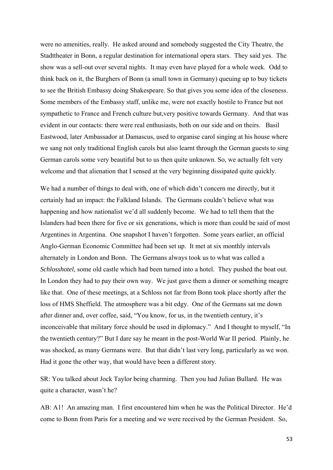were no amenities, really. He asked around and somebody suggested the City Theatre, the Stadttheater in Bonn, a regular destination for international opera stars. They said yes. The show was a sell-out over several nights. It may even have played for a whole week. Odd to think back on it, the Burghers of Bonn (a small town in Germany) queuing up to buy tickets to see the British Embassy doing Shakespeare. So that gives you some idea of the closeness. Some members of the Embassy staff, unlike me, were not exactly hostile to France but not sympathetic to France and French culture but,very positive towards Germany. And that was evident in our contacts: there were real enthusiasts, both on our side and on theirs. Basil Eastwood, later Ambassador at Damascus, used to organise carol singing at his house where we sang not only traditional English carols but also learnt through the German guests to sing German carols some very beautiful but to us then quite unknown. So, we actually felt very welcome and that alienation that I sensed at the very beginning dissipated quite quickly.

We had a number of things to deal with, one of which didn't concern me directly, but it certainly had an impact: the Falkland Islands. The Germans couldn't believe what was happening and how nationalist we'd all suddenly become. We had to tell them that the Islanders had been there for five or six generations, which is more than could be said of most Argentines in Argentina. One snapshot I haven't forgotten. Some years earlier, an official Anglo-German Economic Committee had been set up. It met at six monthly intervals alternately in London and Bonn. The Germans always took us to what was called a *Schlosshotel*, some old castle which had been turned into a hotel. They pushed the boat out. In London they had to pay their own way. We just gave them a dinner or something meagre like that. One of these meetings, at a Schloss not far from Bonn took place shortly after the loss of HMS Sheffield. The atmosphere was a bit edgy. One of the Germans sat me down after dinner and, over coffee, said, "You know, for us, in the twentieth century, it's inconceivable that military force should be used in diplomacy." And I thought to myself, "In the twentieth century?" But I dare say he meant in the post-World War II period. Plainly, he was shocked, as many Germans were. But that didn't last very long, particularly as we won. Had it gone the other way, that would have been a different story.

SR: You talked about Jock Taylor being charming. Then you had Julian Bullard. He was quite a character, wasn't he?

AB: A1! An amazing man. I first encountered him when he was the Political Director. He'd come to Bonn from Paris for a meeting and we were received by the German President. So,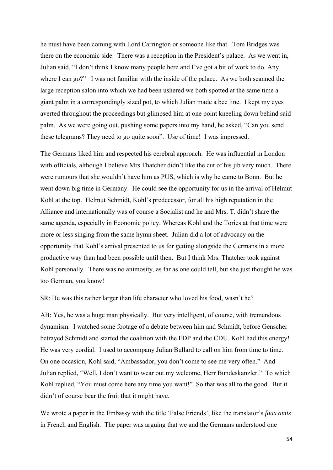he must have been coming with Lord Carrington or someone like that. Tom Bridges was there on the economic side. There was a reception in the President's palace. As we went in, Julian said, "I don't think I know many people here and I've got a bit of work to do. Any where I can go?" I was not familiar with the inside of the palace. As we both scanned the large reception salon into which we had been ushered we both spotted at the same time a giant palm in a correspondingly sized pot, to which Julian made a bee line. I kept my eyes averted throughout the proceedings but glimpsed him at one point kneeling down behind said palm. As we were going out, pushing some papers into my hand, he asked, "Can you send these telegrams? They need to go quite soon". Use of time! I was impressed.

The Germans liked him and respected his cerebral approach. He was influential in London with officials, although I believe Mrs Thatcher didn't like the cut of his jib very much. There were rumours that she wouldn't have him as PUS, which is why he came to Bonn. But he went down big time in Germany. He could see the opportunity for us in the arrival of Helmut Kohl at the top. Helmut Schmidt, Kohl's predecessor, for all his high reputation in the Alliance and internationally was of course a Socialist and he and Mrs. T. didn't share the same agenda, especially in Economic policy. Whereas Kohl and the Tories at that time were more or less singing from the same hymn sheet. Julian did a lot of advocacy on the opportunity that Kohl's arrival presented to us for getting alongside the Germans in a more productive way than had been possible until then. But I think Mrs. Thatcher took against Kohl personally. There was no animosity, as far as one could tell, but she just thought he was too German, you know!

SR: He was this rather larger than life character who loved his food, wasn't he?

AB: Yes, he was a huge man physically. But very intelligent, of course, with tremendous dynamism. I watched some footage of a debate between him and Schmidt, before Genscher betrayed Schmidt and started the coalition with the FDP and the CDU. Kohl had this energy! He was very cordial. I used to accompany Julian Bullard to call on him from time to time. On one occasion, Kohl said, "Ambassador, you don't come to see me very often." And Julian replied, "Well, I don't want to wear out my welcome, Herr Bundeskanzler." To which Kohl replied, "You must come here any time you want!" So that was all to the good. But it didn't of course bear the fruit that it might have.

We wrote a paper in the Embassy with the title 'False Friends', like the translator's *faux amis*  in French and English. The paper was arguing that we and the Germans understood one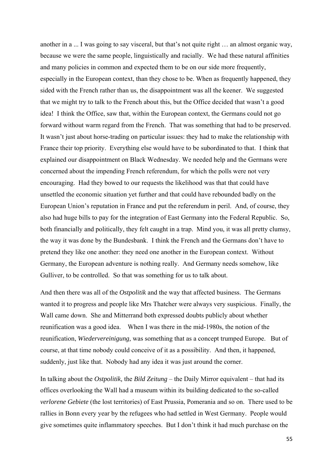another in a ... I was going to say visceral, but that's not quite right … an almost organic way, because we were the same people, linguistically and racially. We had these natural affinities and many policies in common and expected them to be on our side more frequently, especially in the European context, than they chose to be. When as frequently happened, they sided with the French rather than us, the disappointment was all the keener. We suggested that we might try to talk to the French about this, but the Office decided that wasn't a good idea! I think the Office, saw that, within the European context, the Germans could not go forward without warm regard from the French. That was something that had to be preserved. It wasn't just about horse-trading on particular issues: they had to make the relationship with France their top priority. Everything else would have to be subordinated to that. I think that explained our disappointment on Black Wednesday. We needed help and the Germans were concerned about the impending French referendum, for which the polls were not very encouraging. Had they bowed to our requests the likelihood was that that could have unsettled the economic situation yet further and that could have rebounded badly on the European Union's reputation in France and put the referendum in peril. And, of course, they also had huge bills to pay for the integration of East Germany into the Federal Republic. So, both financially and politically, they felt caught in a trap. Mind you, it was all pretty clumsy, the way it was done by the Bundesbank. I think the French and the Germans don't have to pretend they like one another: they need one another in the European context. Without Germany, the European adventure is nothing really. And Germany needs somehow, like Gulliver, to be controlled. So that was something for us to talk about.

And then there was all of the *Ostpolitik* and the way that affected business. The Germans wanted it to progress and people like Mrs Thatcher were always very suspicious. Finally, the Wall came down. She and Mitterrand both expressed doubts publicly about whether reunification was a good idea. When I was there in the mid-1980s, the notion of the reunification, *Wiedervereinigung,* was something that as a concept trumped Europe. But of course, at that time nobody could conceive of it as a possibility. And then, it happened, suddenly, just like that. Nobody had any idea it was just around the corner.

In talking about the *Ostpolitik,* the *Bild Zeitung* – the Daily Mirror equivalent – that had its offices overlooking the Wall had a museum within its building dedicated to the so-called *verlorene Gebiete* (the lost territories) of East Prussia, Pomerania and so on. There used to be rallies in Bonn every year by the refugees who had settled in West Germany. People would give sometimes quite inflammatory speeches. But I don't think it had much purchase on the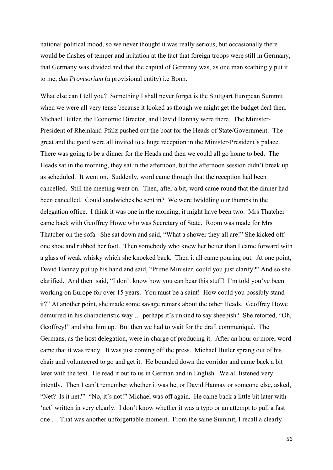national political mood, so we never thought it was really serious, but occasionally there would be flashes of temper and irritation at the fact that foreign troops were still in Germany, that Germany was divided and that the capital of Germany was, as one man scathingly put it to me, *das Provisorium* (a provisional entity) i.e Bonn.

What else can I tell you? Something I shall never forget is the Stuttgart European Summit when we were all very tense because it looked as though we might get the budget deal then. Michael Butler, the Economic Director, and David Hannay were there. The Minister-President of Rheinland-Pfalz pushed out the boat for the Heads of State/Government. The great and the good were all invited to a huge reception in the Minister-President's palace. There was going to be a dinner for the Heads and then we could all go home to bed. The Heads sat in the morning, they sat in the afternoon, but the afternoon session didn't break up as scheduled. It went on. Suddenly, word came through that the reception had been cancelled. Still the meeting went on. Then, after a bit, word came round that the dinner had been cancelled. Could sandwiches be sent in? We were twiddling our thumbs in the delegation office. I think it was one in the morning, it might have been two. Mrs Thatcher came back with Geoffrey Howe who was Secretary of State. Room was made for Mrs Thatcher on the sofa. She sat down and said, "What a shower they all are!" She kicked off one shoe and rubbed her foot. Then somebody who knew her better than I came forward with a glass of weak whisky which she knocked back. Then it all came pouring out. At one point, David Hannay put up his hand and said, "Prime Minister, could you just clarify?" And so she clarified. And then said, "I don't know how you can bear this stuff! I'm told you've been working on Europe for over 15 years. You must be a saint! How could you possibly stand it?" At another point, she made some savage remark about the other Heads. Geoffrey Howe demurred in his characteristic way … perhaps it's unkind to say sheepish? She retorted, "Oh, Geoffrey!" and shut him up. But then we had to wait for the draft communiqué. The Germans, as the host delegation, were in charge of producing it. After an hour or more, word came that it was ready. It was just coming off the press. Michael Butler sprang out of his chair and volunteered to go and get it. He bounded down the corridor and came back a bit later with the text. He read it out to us in German and in English. We all listened very intently. Then I can't remember whether it was he, or David Hannay or someone else, asked, "Net? Is it net?" "No, it's not!" Michael was off again. He came back a little bit later with 'net' written in very clearly. I don't know whether it was a typo or an attempt to pull a fast one … That was another unforgettable moment. From the same Summit, I recall a clearly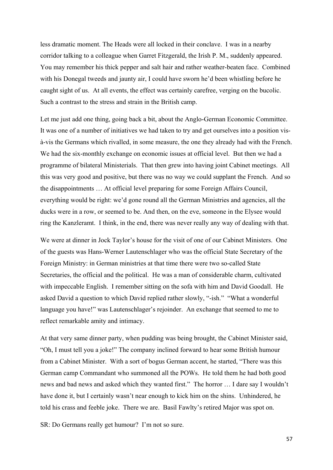less dramatic moment. The Heads were all locked in their conclave. I was in a nearby corridor talking to a colleague when Garret Fitzgerald, the Irish P. M., suddenly appeared. You may remember his thick pepper and salt hair and rather weather-beaten face. Combined with his Donegal tweeds and jaunty air, I could have sworn he'd been whistling before he caught sight of us. At all events, the effect was certainly carefree, verging on the bucolic. Such a contrast to the stress and strain in the British camp.

Let me just add one thing, going back a bit, about the Anglo-German Economic Committee. It was one of a number of initiatives we had taken to try and get ourselves into a position visà-vis the Germans which rivalled, in some measure, the one they already had with the French. We had the six-monthly exchange on economic issues at official level. But then we had a programme of bilateral Ministerials. That then grew into having joint Cabinet meetings. All this was very good and positive, but there was no way we could supplant the French. And so the disappointments … At official level preparing for some Foreign Affairs Council, everything would be right: we'd gone round all the German Ministries and agencies, all the ducks were in a row, or seemed to be. And then, on the eve, someone in the Elysee would ring the Kanzleramt. I think, in the end, there was never really any way of dealing with that.

We were at dinner in Jock Taylor's house for the visit of one of our Cabinet Ministers. One of the guests was Hans-Werner Lautenschlager who was the official State Secretary of the Foreign Ministry: in German ministries at that time there were two so-called State Secretaries, the official and the political. He was a man of considerable charm, cultivated with impeccable English. I remember sitting on the sofa with him and David Goodall. He asked David a question to which David replied rather slowly, "-ish." "What a wonderful language you have!" was Lautenschlager's rejoinder. An exchange that seemed to me to reflect remarkable amity and intimacy.

At that very same dinner party, when pudding was being brought, the Cabinet Minister said, "Oh, I must tell you a joke!" The company inclined forward to hear some British humour from a Cabinet Minister. With a sort of bogus German accent, he started, "There was this German camp Commandant who summoned all the POWs. He told them he had both good news and bad news and asked which they wanted first." The horror … I dare say I wouldn't have done it, but I certainly wasn't near enough to kick him on the shins. Unhindered, he told his crass and feeble joke. There we are. Basil Fawlty's retired Major was spot on.

SR: Do Germans really get humour? I'm not so sure.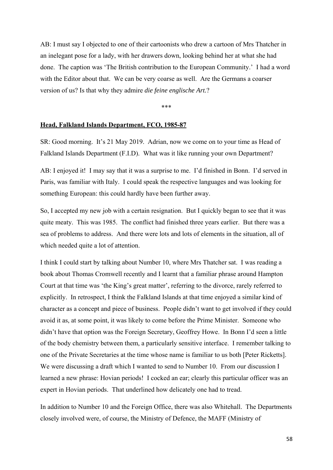AB: I must say I objected to one of their cartoonists who drew a cartoon of Mrs Thatcher in an inelegant pose for a lady, with her drawers down, looking behind her at what she had done. The caption was 'The British contribution to the European Community.' I had a word with the Editor about that. We can be very coarse as well. Are the Germans a coarser version of us? Is that why they admire *die feine englische Art.*?

\*\*\*

#### **Head, Falkland Islands Department, FCO, 1985-87**

SR: Good morning. It's 21 May 2019. Adrian, now we come on to your time as Head of Falkland Islands Department (F.I.D). What was it like running your own Department?

AB: I enjoyed it! I may say that it was a surprise to me. I'd finished in Bonn. I'd served in Paris, was familiar with Italy. I could speak the respective languages and was looking for something European: this could hardly have been further away.

So, I accepted my new job with a certain resignation. But I quickly began to see that it was quite meaty. This was 1985. The conflict had finished three years earlier. But there was a sea of problems to address. And there were lots and lots of elements in the situation, all of which needed quite a lot of attention.

I think I could start by talking about Number 10, where Mrs Thatcher sat. I was reading a book about Thomas Cromwell recently and I learnt that a familiar phrase around Hampton Court at that time was 'the King's great matter', referring to the divorce, rarely referred to explicitly. In retrospect, I think the Falkland Islands at that time enjoyed a similar kind of character as a concept and piece of business. People didn't want to get involved if they could avoid it as, at some point, it was likely to come before the Prime Minister. Someone who didn't have that option was the Foreign Secretary, Geoffrey Howe. In Bonn I'd seen a little of the body chemistry between them, a particularly sensitive interface. I remember talking to one of the Private Secretaries at the time whose name is familiar to us both [Peter Ricketts]. We were discussing a draft which I wanted to send to Number 10. From our discussion I learned a new phrase: Hovian periods! I cocked an ear; clearly this particular officer was an expert in Hovian periods. That underlined how delicately one had to tread.

In addition to Number 10 and the Foreign Office, there was also Whitehall. The Departments closely involved were, of course, the Ministry of Defence, the MAFF (Ministry of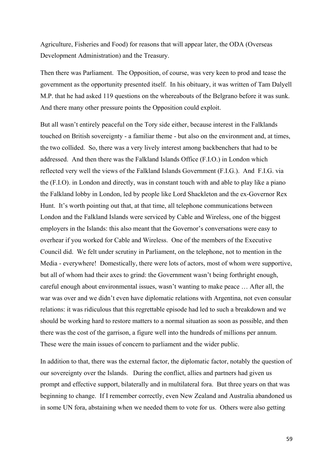Agriculture, Fisheries and Food) for reasons that will appear later, the ODA (Overseas Development Administration) and the Treasury.

Then there was Parliament. The Opposition, of course, was very keen to prod and tease the government as the opportunity presented itself. In his obituary, it was written of Tam Dalyell M.P. that he had asked 119 questions on the whereabouts of the Belgrano before it was sunk. And there many other pressure points the Opposition could exploit.

But all wasn't entirely peaceful on the Tory side either, because interest in the Falklands touched on British sovereignty - a familiar theme - but also on the environment and, at times, the two collided. So, there was a very lively interest among backbenchers that had to be addressed. And then there was the Falkland Islands Office (F.I.O.) in London which reflected very well the views of the Falkland Islands Government (F.I.G.). And F.I.G. via the (F.I.O). in London and directly, was in constant touch with and able to play like a piano the Falkland lobby in London, led by people like Lord Shackleton and the ex-Governor Rex Hunt. It's worth pointing out that, at that time, all telephone communications between London and the Falkland Islands were serviced by Cable and Wireless, one of the biggest employers in the Islands: this also meant that the Governor's conversations were easy to overhear if you worked for Cable and Wireless. One of the members of the Executive Council did. We felt under scrutiny in Parliament, on the telephone, not to mention in the Media - everywhere! Domestically, there were lots of actors, most of whom were supportive, but all of whom had their axes to grind: the Government wasn't being forthright enough, careful enough about environmental issues, wasn't wanting to make peace … After all, the war was over and we didn't even have diplomatic relations with Argentina, not even consular relations: it was ridiculous that this regrettable episode had led to such a breakdown and we should be working hard to restore matters to a normal situation as soon as possible, and then there was the cost of the garrison, a figure well into the hundreds of millions per annum. These were the main issues of concern to parliament and the wider public.

In addition to that, there was the external factor, the diplomatic factor, notably the question of our sovereignty over the Islands. During the conflict, allies and partners had given us prompt and effective support, bilaterally and in multilateral fora. But three years on that was beginning to change. If I remember correctly, even New Zealand and Australia abandoned us in some UN fora, abstaining when we needed them to vote for us. Others were also getting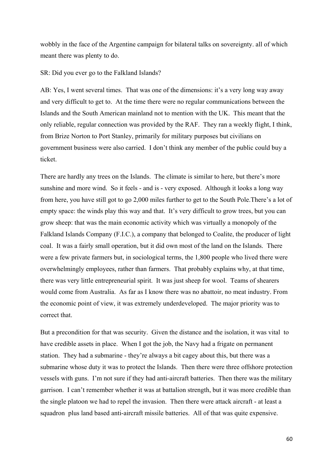wobbly in the face of the Argentine campaign for bilateral talks on sovereignty. all of which meant there was plenty to do.

SR: Did you ever go to the Falkland Islands?

AB: Yes, I went several times. That was one of the dimensions: it's a very long way away and very difficult to get to. At the time there were no regular communications between the Islands and the South American mainland not to mention with the UK. This meant that the only reliable, regular connection was provided by the RAF. They ran a weekly flight, I think, from Brize Norton to Port Stanley, primarily for military purposes but civilians on government business were also carried. I don't think any member of the public could buy a ticket.

There are hardly any trees on the Islands. The climate is similar to here, but there's more sunshine and more wind. So it feels - and is - very exposed. Although it looks a long way from here, you have still got to go 2,000 miles further to get to the South Pole.There's a lot of empty space: the winds play this way and that. It's very difficult to grow trees, but you can grow sheep: that was the main economic activity which was virtually a monopoly of the Falkland Islands Company (F.I.C.), a company that belonged to Coalite, the producer of light coal. It was a fairly small operation, but it did own most of the land on the Islands. There were a few private farmers but, in sociological terms, the 1,800 people who lived there were overwhelmingly employees, rather than farmers. That probably explains why, at that time, there was very little entrepreneurial spirit. It was just sheep for wool. Teams of shearers would come from Australia. As far as I know there was no abattoir, no meat industry. From the economic point of view, it was extremely underdeveloped. The major priority was to correct that.

But a precondition for that was security. Given the distance and the isolation, it was vital to have credible assets in place. When I got the job, the Navy had a frigate on permanent station. They had a submarine - they're always a bit cagey about this, but there was a submarine whose duty it was to protect the Islands. Then there were three offshore protection vessels with guns. I'm not sure if they had anti-aircraft batteries. Then there was the military garrison. I can't remember whether it was at battalion strength, but it was more credible than the single platoon we had to repel the invasion. Then there were attack aircraft - at least a squadron plus land based anti-aircraft missile batteries. All of that was quite expensive.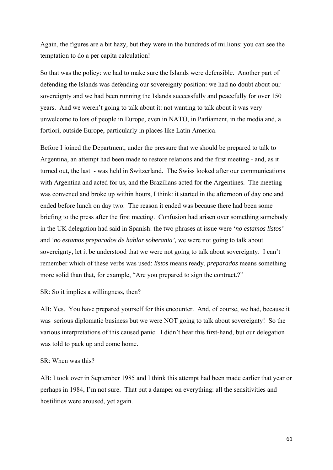Again, the figures are a bit hazy, but they were in the hundreds of millions: you can see the temptation to do a per capita calculation!

So that was the policy: we had to make sure the Islands were defensible. Another part of defending the Islands was defending our sovereignty position: we had no doubt about our sovereignty and we had been running the Islands successfully and peacefully for over 150 years. And we weren't going to talk about it: not wanting to talk about it was very unwelcome to lots of people in Europe, even in NATO, in Parliament, in the media and, a fortiori, outside Europe, particularly in places like Latin America.

Before I joined the Department, under the pressure that we should be prepared to talk to Argentina, an attempt had been made to restore relations and the first meeting - and, as it turned out, the last - was held in Switzerland. The Swiss looked after our communications with Argentina and acted for us, and the Brazilians acted for the Argentines. The meeting was convened and broke up within hours, I think: it started in the afternoon of day one and ended before lunch on day two. The reason it ended was because there had been some briefing to the press after the first meeting. Confusion had arisen over something somebody in the UK delegation had said in Spanish: the two phrases at issue were '*no estamos listos'* and *'no estamos preparados de hablar soberania',* we were not going to talk about sovereignty, let it be understood that we were not going to talk about sovereignty. I can't remember which of these verbs was used: *listos* means ready, *preparados* means something more solid than that, for example, "Are you prepared to sign the contract.?"

### SR: So it implies a willingness, then?

AB: Yes. You have prepared yourself for this encounter. And, of course, we had, because it was serious diplomatic business but we were NOT going to talk about sovereignty! So the various interpretations of this caused panic. I didn't hear this first-hand, but our delegation was told to pack up and come home.

### SR: When was this?

AB: I took over in September 1985 and I think this attempt had been made earlier that year or perhaps in 1984, I'm not sure. That put a damper on everything: all the sensitivities and hostilities were aroused, yet again.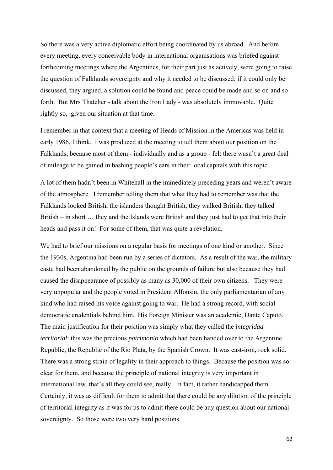So there was a very active diplomatic effort being coordinated by us abroad. And before every meeting, every conceivable body in international organisations was briefed against forthcoming meetings where the Argentines, for their part just as actively, were going to raise the question of Falklands sovereignty and why it needed to be discussed: if it could only be discussed, they argued, a solution could be found and peace could be made and so on and so forth. But Mrs Thatcher - talk about the Iron Lady - was absolutely immovable. Quite rightly so, given our situation at that time.

I remember in that context that a meeting of Heads of Mission in the Americas was held in early 1986, I think. I was produced at the meeting to tell them about our position on the Falklands, because most of them - individually and as a group - felt there wasn't a great deal of mileage to be gained in bashing people's ears in their local capitals with this topic.

A lot of them hadn't been in Whitehall in the immediately preceding years and weren't aware of the atmosphere. I remember telling them that what they had to remember was that the Falklands looked British, the islanders thought British, they walked British, they talked British – in short … they and the Islands were British and they just had to get that into their heads and pass it on! For some of them, that was quite a revelation.

We had to brief our missions on a regular basis for meetings of one kind or another. Since the 1930s, Argentina had been run by a series of dictators. As a result of the war, the military caste had been abandoned by the public on the grounds of failure but also because they had caused the disappearance of possibly as many as 30,000 of their own citizens. They were very unpopular and the people voted in President Alfonsin, the only parliamentarian of any kind who had raised his voice against going to war. He had a strong record, with social democratic credentials behind him. His Foreign Minister was an academic, Dante Caputo. The main justification for their position was simply what they called the *integridad territorial*: this was the precious *patrimonio* which had been handed over to the Argentine Republic, the Republic of the Rio Plata, by the Spanish Crown. It was cast-iron, rock solid. There was a strong strain of legality in their approach to things. Because the position was so clear for them, and because the principle of national integrity is very important in international law, that's all they could see, really. In fact, it rather handicapped them. Certainly, it was as difficult for them to admit that there could be any dilution of the principle of territorial integrity as it was for us to admit there could be any question about our national sovereignty. So those were two very hard positions.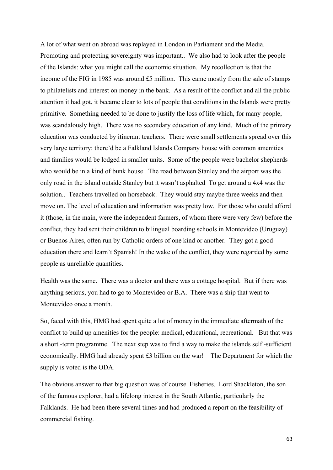A lot of what went on abroad was replayed in London in Parliament and the Media. Promoting and protecting sovereignty was important.. We also had to look after the people of the Islands: what you might call the economic situation. My recollection is that the income of the FIG in 1985 was around £5 million. This came mostly from the sale of stamps to philatelists and interest on money in the bank. As a result of the conflict and all the public attention it had got, it became clear to lots of people that conditions in the Islands were pretty primitive. Something needed to be done to justify the loss of life which, for many people, was scandalously high. There was no secondary education of any kind. Much of the primary education was conducted by itinerant teachers. There were small settlements spread over this very large territory: there'd be a Falkland Islands Company house with common amenities and families would be lodged in smaller units. Some of the people were bachelor shepherds who would be in a kind of bunk house. The road between Stanley and the airport was the only road in the island outside Stanley but it wasn't asphalted To get around a 4x4 was the solution.. Teachers travelled on horseback. They would stay maybe three weeks and then move on. The level of education and information was pretty low. For those who could afford it (those, in the main, were the independent farmers, of whom there were very few) before the conflict, they had sent their children to bilingual boarding schools in Montevideo (Uruguay) or Buenos Aires, often run by Catholic orders of one kind or another. They got a good education there and learn't Spanish! In the wake of the conflict, they were regarded by some people as unreliable quantities.

Health was the same. There was a doctor and there was a cottage hospital. But if there was anything serious, you had to go to Montevideo or B.A. There was a ship that went to Montevideo once a month.

So, faced with this, HMG had spent quite a lot of money in the immediate aftermath of the conflict to build up amenities for the people: medical, educational, recreational. But that was a short -term programme. The next step was to find a way to make the islands self -sufficient economically. HMG had already spent £3 billion on the war! The Department for which the supply is voted is the ODA.

The obvious answer to that big question was of course Fisheries. Lord Shackleton, the son of the famous explorer, had a lifelong interest in the South Atlantic, particularly the Falklands. He had been there several times and had produced a report on the feasibility of commercial fishing.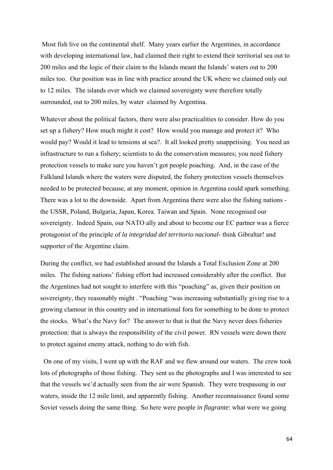Most fish live on the continental shelf. Many years earlier the Argentines, in accordance with developing international law, had claimed their right to extend their territorial sea out to 200 miles and the logic of their claim to the Islands meant the Islands' waters out to 200 miles too. Our position was in line with practice around the UK where we claimed only out to 12 miles. The islands over which we claimed sovereignty were therefore totally surrounded, out to 200 miles, by water claimed by Argentina.

Whatever about the political factors, there were also practicalities to consider. How do you set up a fishery? How much might it cost? How would you manage and protect it? Who would pay? Would it lead to tensions at sea?. It all looked pretty unappetising. You need an infrastructure to run a fishery; scientists to do the conservation measures; you need fishery protection vessels to make sure you haven't got people poaching. And, in the case of the Falkland Islands where the waters were disputed, the fishery protection vessels themselves needed to be protected because, at any moment, opinion in Argentina could spark something. There was a lot to the downside. Apart from Argentina there were also the fishing nations the USSR, Poland, Bulgaria, Japan, Korea. Taiwan and Spain. None recognised our sovereignty. Indeed Spain, our NATO ally and about to become our EC partner was a fierce protagonist of the principle of *la integridad del territorio nacional*- think Gibraltar! and supporter of the Argentine claim.

During the conflict, we had established around the Islands a Total Exclusion Zone at 200 miles. The fishing nations' fishing effort had increased considerably after the conflict. But the Argentines had not sought to interfere with this "poaching" as, given their position on sovereignty, they reasonably might . "Poaching "was increasing substantially giving rise to a growing clamour in this country and in international fora for something to be done to protect the stocks. What's the Navy for? The answer to that is that the Navy never does fisheries protection: that is always the responsibility of the civil power. RN vessels were down there to protect against enemy attack, nothing to do with fish.

 On one of my visits, I went up with the RAF and we flew around our waters. The crew took lots of photographs of those fishing. They sent us the photographs and I was interested to see that the vessels we'd actually seen from the air were Spanish. They were trespassing in our waters, inside the 12 mile limit, and apparently fishing. Another reconnaissance found some Soviet vessels doing the same thing. So here were people *in flagrante*: what were we going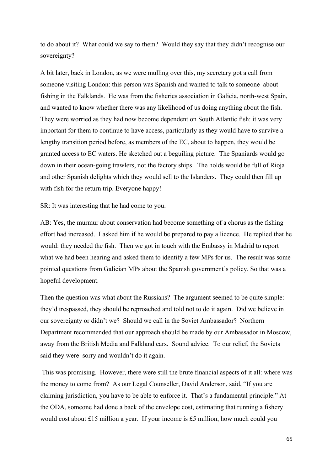to do about it? What could we say to them? Would they say that they didn't recognise our sovereignty?

A bit later, back in London, as we were mulling over this, my secretary got a call from someone visiting London: this person was Spanish and wanted to talk to someone about fishing in the Falklands. He was from the fisheries association in Galicia, north-west Spain, and wanted to know whether there was any likelihood of us doing anything about the fish. They were worried as they had now become dependent on South Atlantic fish: it was very important for them to continue to have access, particularly as they would have to survive a lengthy transition period before, as members of the EC, about to happen, they would be granted access to EC waters. He sketched out a beguiling picture. The Spaniards would go down in their ocean-going trawlers, not the factory ships. The holds would be full of Rioja and other Spanish delights which they would sell to the Islanders. They could then fill up with fish for the return trip. Everyone happy!

SR: It was interesting that he had come to you.

AB: Yes, the murmur about conservation had become something of a chorus as the fishing effort had increased. I asked him if he would be prepared to pay a licence. He replied that he would: they needed the fish. Then we got in touch with the Embassy in Madrid to report what we had been hearing and asked them to identify a few MPs for us. The result was some pointed questions from Galician MPs about the Spanish government's policy. So that was a hopeful development.

Then the question was what about the Russians? The argument seemed to be quite simple: they'd trespassed, they should be reproached and told not to do it again. Did we believe in our sovereignty or didn't we? Should we call in the Soviet Ambassador? Northern Department recommended that our approach should be made by our Ambassador in Moscow, away from the British Media and Falkland ears. Sound advice. To our relief, the Soviets said they were sorry and wouldn't do it again.

 This was promising. However, there were still the brute financial aspects of it all: where was the money to come from? As our Legal Counseller, David Anderson, said, "If you are claiming jurisdiction, you have to be able to enforce it. That's a fundamental principle." At the ODA, someone had done a back of the envelope cost, estimating that running a fishery would cost about £15 million a year. If your income is £5 million, how much could you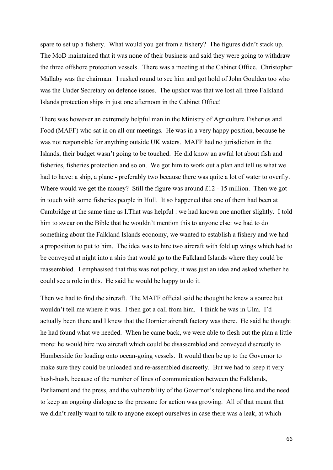spare to set up a fishery. What would you get from a fishery? The figures didn't stack up. The MoD maintained that it was none of their business and said they were going to withdraw the three offshore protection vessels. There was a meeting at the Cabinet Office. Christopher Mallaby was the chairman. I rushed round to see him and got hold of John Goulden too who was the Under Secretary on defence issues. The upshot was that we lost all three Falkland Islands protection ships in just one afternoon in the Cabinet Office!

There was however an extremely helpful man in the Ministry of Agriculture Fisheries and Food (MAFF) who sat in on all our meetings. He was in a very happy position, because he was not responsible for anything outside UK waters. MAFF had no jurisdiction in the Islands, their budget wasn't going to be touched. He did know an awful lot about fish and fisheries, fisheries protection and so on. We got him to work out a plan and tell us what we had to have: a ship, a plane - preferably two because there was quite a lot of water to overfly. Where would we get the money? Still the figure was around £12 - 15 million. Then we got in touch with some fisheries people in Hull. It so happened that one of them had been at Cambridge at the same time as I.That was helpful : we had known one another slightly. I told him to swear on the Bible that he wouldn't mention this to anyone else: we had to do something about the Falkland Islands economy, we wanted to establish a fishery and we had a proposition to put to him. The idea was to hire two aircraft with fold up wings which had to be conveyed at night into a ship that would go to the Falkland Islands where they could be reassembled. I emphasised that this was not policy, it was just an idea and asked whether he could see a role in this. He said he would be happy to do it.

Then we had to find the aircraft. The MAFF official said he thought he knew a source but wouldn't tell me where it was. I then got a call from him. I think he was in Ulm. I'd actually been there and I knew that the Dornier aircraft factory was there. He said he thought he had found what we needed. When he came back, we were able to flesh out the plan a little more: he would hire two aircraft which could be disassembled and conveyed discreetly to Humberside for loading onto ocean-going vessels. It would then be up to the Governor to make sure they could be unloaded and re-assembled discreetly. But we had to keep it very hush-hush, because of the number of lines of communication between the Falklands, Parliament and the press, and the vulnerability of the Governor's telephone line and the need to keep an ongoing dialogue as the pressure for action was growing. All of that meant that we didn't really want to talk to anyone except ourselves in case there was a leak, at which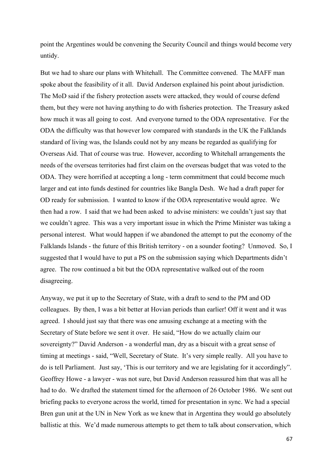point the Argentines would be convening the Security Council and things would become very untidy.

But we had to share our plans with Whitehall. The Committee convened. The MAFF man spoke about the feasibility of it all. David Anderson explained his point about jurisdiction. The MoD said if the fishery protection assets were attacked, they would of course defend them, but they were not having anything to do with fisheries protection. The Treasury asked how much it was all going to cost. And everyone turned to the ODA representative. For the ODA the difficulty was that however low compared with standards in the UK the Falklands standard of living was, the Islands could not by any means be regarded as qualifying for Overseas Aid. That of course was true. However, according to Whitehall arrangements the needs of the overseas territories had first claim on the overseas budget that was voted to the ODA. They were horrified at accepting a long - term commitment that could become much larger and eat into funds destined for countries like Bangla Desh. We had a draft paper for OD ready for submission. I wanted to know if the ODA representative would agree. We then had a row. I said that we had been asked to advise ministers: we couldn't just say that we couldn't agree. This was a very important issue in which the Prime Minister was taking a personal interest. What would happen if we abandoned the attempt to put the economy of the Falklands Islands - the future of this British territory - on a sounder footing? Unmoved. So, I suggested that I would have to put a PS on the submission saying which Departments didn't agree. The row continued a bit but the ODA representative walked out of the room disagreeing.

Anyway, we put it up to the Secretary of State, with a draft to send to the PM and OD colleagues. By then, I was a bit better at Hovian periods than earlier! Off it went and it was agreed. I should just say that there was one amusing exchange at a meeting with the Secretary of State before we sent it over. He said, "How do we actually claim our sovereignty?" David Anderson - a wonderful man, dry as a biscuit with a great sense of timing at meetings - said, "Well, Secretary of State. It's very simple really. All you have to do is tell Parliament. Just say, 'This is our territory and we are legislating for it accordingly". Geoffrey Howe - a lawyer - was not sure, but David Anderson reassured him that was all he had to do. We drafted the statement timed for the afternoon of 26 October 1986. We sent out briefing packs to everyone across the world, timed for presentation in sync. We had a special Bren gun unit at the UN in New York as we knew that in Argentina they would go absolutely ballistic at this. We'd made numerous attempts to get them to talk about conservation, which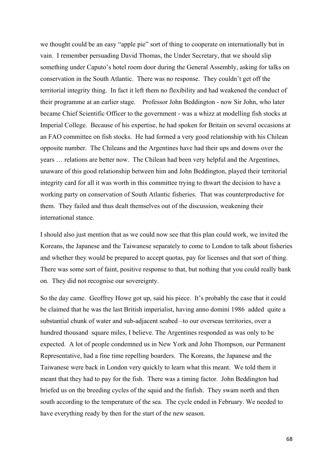we thought could be an easy "apple pie" sort of thing to cooperate on internationally but in vain. I remember persuading David Thomas, the Under Secretary, that we should slip something under Caputo's hotel room door during the General Assembly, asking for talks on conservation in the South Atlantic. There was no response. They couldn't get off the territorial integrity thing. In fact it left them no flexibility and had weakened the conduct of their programme at an earlier stage. Professor John Beddington - now Sir John, who later became Chief Scientific Officer to the government - was a whizz at modelling fish stocks at Imperial College. Because of his expertise, he had spoken for Britain on several occasions at an FAO committee on fish stocks. He had formed a very good relationship with his Chilean opposite number. The Chileans and the Argentines have had their ups and downs over the years … relations are better now. The Chilean had been very helpful and the Argentines, unaware of this good relationship between him and John Beddington, played their territorial integrity card for all it was worth in this committee trying to thwart the decision to have a working party on conservation of South Atlantic fisheries. That was counterproductive for them. They failed and thus dealt themselves out of the discussion, weakening their international stance.

I should also just mention that as we could now see that this plan could work, we invited the Koreans, the Japanese and the Taiwanese separately to come to London to talk about fisheries and whether they would be prepared to accept quotas, pay for licenses and that sort of thing. There was some sort of faint, positive response to that, but nothing that you could really bank on. They did not recognise our sovereignty.

So the day came. Geoffrey Howe got up, said his piece. It's probably the case that it could be claimed that he was the last British imperialist, having anno domini 1986 added quite a substantial chunk of water and sub-adjacent seabed –to our overseas territories, over a hundred thousand square miles, I believe. The Argentines responded as was only to be expected. A lot of people condemned us in New York and John Thompson, our Permanent Representative, had a fine time repelling boarders. The Koreans, the Japanese and the Taiwanese were back in London very quickly to learn what this meant. We told them it meant that they had to pay for the fish. There was a timing factor. John Beddington had briefed us on the breeding cycles of the squid and the finfish. They swam north and then south according to the temperature of the sea. The cycle ended in February. We needed to have everything ready by then for the start of the new season.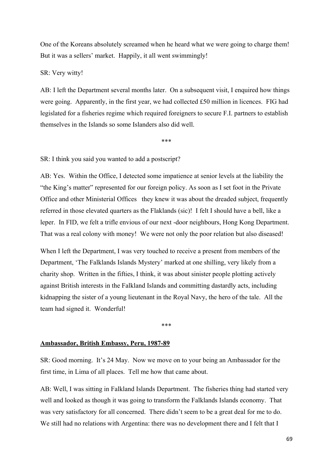One of the Koreans absolutely screamed when he heard what we were going to charge them! But it was a sellers' market. Happily, it all went swimmingly!

SR: Very witty!

AB: I left the Department several months later. On a subsequent visit, I enquired how things were going. Apparently, in the first year, we had collected £50 million in licences. FIG had legislated for a fisheries regime which required foreigners to secure F.I. partners to establish themselves in the Islands so some Islanders also did well.

\*\*\*

SR: I think you said you wanted to add a postscript?

AB: Yes. Within the Office, I detected some impatience at senior levels at the liability the "the King's matter" represented for our foreign policy. As soon as I set foot in the Private Office and other Ministerial Offices they knew it was about the dreaded subject, frequently referred in those elevated quarters as the Flaklands (sic)! I felt I should have a bell, like a leper. In FID, we felt a trifle envious of our next -door neighbours, Hong Kong Department. That was a real colony with money! We were not only the poor relation but also diseased!

When I left the Department, I was very touched to receive a present from members of the Department, 'The Falklands Islands Mystery' marked at one shilling, very likely from a charity shop. Written in the fifties, I think, it was about sinister people plotting actively against British interests in the Falkland Islands and committing dastardly acts, including kidnapping the sister of a young lieutenant in the Royal Navy, the hero of the tale. All the team had signed it. Wonderful!

\*\*\*

#### **Ambassador, British Embassy, Peru, 1987-89**

SR: Good morning. It's 24 May. Now we move on to your being an Ambassador for the first time, in Lima of all places. Tell me how that came about.

AB: Well, I was sitting in Falkland Islands Department. The fisheries thing had started very well and looked as though it was going to transform the Falklands Islands economy. That was very satisfactory for all concerned. There didn't seem to be a great deal for me to do. We still had no relations with Argentina: there was no development there and I felt that I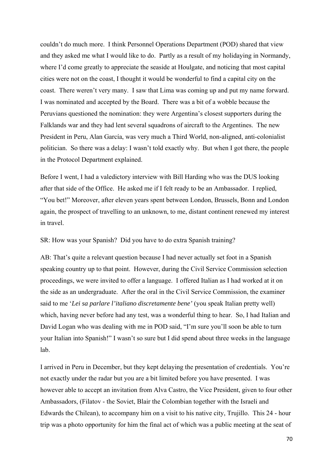couldn't do much more. I think Personnel Operations Department (POD) shared that view and they asked me what I would like to do. Partly as a result of my holidaying in Normandy, where I'd come greatly to appreciate the seaside at Houlgate, and noticing that most capital cities were not on the coast, I thought it would be wonderful to find a capital city on the coast. There weren't very many. I saw that Lima was coming up and put my name forward. I was nominated and accepted by the Board. There was a bit of a wobble because the Peruvians questioned the nomination: they were Argentina's closest supporters during the Falklands war and they had lent several squadrons of aircraft to the Argentines. The new President in Peru, Alan García, was very much a Third World, non-aligned, anti-colonialist politician. So there was a delay: I wasn't told exactly why. But when I got there, the people in the Protocol Department explained.

Before I went, I had a valedictory interview with Bill Harding who was the DUS looking after that side of the Office. He asked me if I felt ready to be an Ambassador. I replied, "You bet!" Moreover, after eleven years spent between London, Brussels, Bonn and London again, the prospect of travelling to an unknown, to me, distant continent renewed my interest in travel.

SR: How was your Spanish? Did you have to do extra Spanish training?

AB: That's quite a relevant question because I had never actually set foot in a Spanish speaking country up to that point. However, during the Civil Service Commission selection proceedings, we were invited to offer a language. I offered Italian as I had worked at it on the side as an undergraduate. After the oral in the Civil Service Commission, the examiner said to me '*Lei sa parlare l'italiano discretamente bene'* (you speak Italian pretty well) which, having never before had any test, was a wonderful thing to hear. So, I had Italian and David Logan who was dealing with me in POD said, "I'm sure you'll soon be able to turn your Italian into Spanish!" I wasn't so sure but I did spend about three weeks in the language lab.

I arrived in Peru in December, but they kept delaying the presentation of credentials. You're not exactly under the radar but you are a bit limited before you have presented. I was however able to accept an invitation from Alva Castro, the Vice President, given to four other Ambassadors, (Filatov - the Soviet, Blair the Colombian together with the Israeli and Edwards the Chilean), to accompany him on a visit to his native city, Trujillo. This 24 - hour trip was a photo opportunity for him the final act of which was a public meeting at the seat of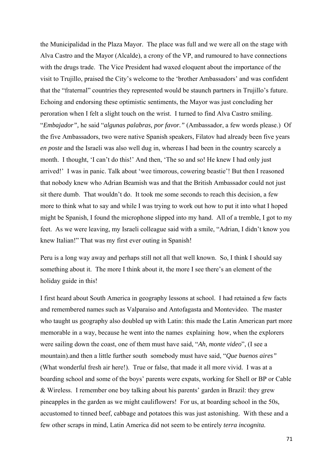the Municipalidad in the Plaza Mayor. The place was full and we were all on the stage with Alva Castro and the Mayor (Alcalde), a crony of the VP, and rumoured to have connections with the drugs trade. The Vice President had waxed eloquent about the importance of the visit to Trujillo, praised the City's welcome to the 'brother Ambassadors' and was confident that the "fraternal" countries they represented would be staunch partners in Trujillo's future. Echoing and endorsing these optimistic sentiments, the Mayor was just concluding her peroration when I felt a slight touch on the wrist. I turned to find Alva Castro smiling. "*Embajador",* he said "*algunas palabras, por favor."* (Ambassador, a few words please.) Of the five Ambassadors, two were native Spanish speakers, Filatov had already been five years *en poste* and the Israeli was also well dug in, whereas I had been in the country scarcely a month. I thought, 'I can't do this!' And then, 'The so and so! He knew I had only just arrived!' I was in panic. Talk about 'wee timorous, cowering beastie'! But then I reasoned that nobody knew who Adrian Beamish was and that the British Ambassador could not just sit there dumb. That wouldn't do. It took me some seconds to reach this decision, a few more to think what to say and while I was trying to work out how to put it into what I hoped might be Spanish, I found the microphone slipped into my hand. All of a tremble, I got to my feet. As we were leaving, my Israeli colleague said with a smile, "Adrian, I didn't know you knew Italian!" That was my first ever outing in Spanish!

Peru is a long way away and perhaps still not all that well known. So, I think I should say something about it. The more I think about it, the more I see there's an element of the holiday guide in this!

I first heard about South America in geography lessons at school. I had retained a few facts and remembered names such as Valparaiso and Antofagasta and Montevideo. The master who taught us geography also doubled up with Latin: this made the Latin American part more memorable in a way, because he went into the names explaining how, when the explorers were sailing down the coast, one of them must have said, "*Ah, monte video*", (I see a mountain).and then a little further south somebody must have said, "*Que buenos aires"*  (What wonderful fresh air here!). True or false, that made it all more vivid. I was at a boarding school and some of the boys' parents were expats, working for Shell or BP or Cable & Wireless. I remember one boy talking about his parents' garden in Brazil: they grew pineapples in the garden as we might cauliflowers! For us, at boarding school in the 50s, accustomed to tinned beef, cabbage and potatoes this was just astonishing. With these and a few other scraps in mind, Latin America did not seem to be entirely *terra incognita.*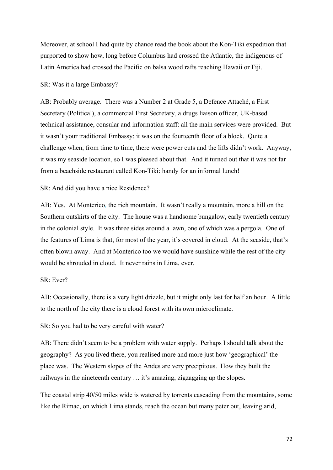Moreover, at school I had quite by chance read the book about the Kon-Tiki expedition that purported to show how, long before Columbus had crossed the Atlantic, the indigenous of Latin America had crossed the Pacific on balsa wood rafts reaching Hawaii or Fiji.

### SR: Was it a large Embassy?

AB: Probably average. There was a Number 2 at Grade 5, a Defence Attaché, a First Secretary (Political), a commercial First Secretary, a drugs liaison officer, UK-based technical assistance, consular and information staff: all the main services were provided. But it wasn't your traditional Embassy: it was on the fourteenth floor of a block. Quite a challenge when, from time to time, there were power cuts and the lifts didn't work. Anyway, it was my seaside location, so I was pleased about that. And it turned out that it was not far from a beachside restaurant called Kon-Tiki: handy for an informal lunch!

### SR: And did you have a nice Residence?

AB: Yes. At Monterico*,* the rich mountain. It wasn't really a mountain, more a hill on the Southern outskirts of the city. The house was a handsome bungalow, early twentieth century in the colonial style. It was three sides around a lawn, one of which was a pergola. One of the features of Lima is that, for most of the year, it's covered in cloud. At the seaside, that's often blown away. And at Monterico too we would have sunshine while the rest of the city would be shrouded in cloud. It never rains in Lima, ever.

## SR: Ever?

AB: Occasionally, there is a very light drizzle, but it might only last for half an hour. A little to the north of the city there is a cloud forest with its own microclimate.

SR: So you had to be very careful with water?

AB: There didn't seem to be a problem with water supply. Perhaps I should talk about the geography? As you lived there, you realised more and more just how 'geographical' the place was. The Western slopes of the Andes are very precipitous. How they built the railways in the nineteenth century … it's amazing, zigzagging up the slopes.

The coastal strip 40/50 miles wide is watered by torrents cascading from the mountains, some like the Rimac, on which Lima stands, reach the ocean but many peter out, leaving arid,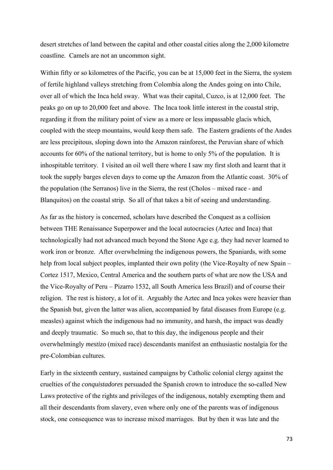desert stretches of land between the capital and other coastal cities along the 2,000 kilometre coastline. Camels are not an uncommon sight.

Within fifty or so kilometres of the Pacific, you can be at 15,000 feet in the Sierra, the system of fertile highland valleys stretching from Colombia along the Andes going on into Chile, over all of which the Inca held sway. What was their capital, Cuzco, is at 12,000 feet. The peaks go on up to 20,000 feet and above. The Inca took little interest in the coastal strip, regarding it from the military point of view as a more or less impassable glacis which, coupled with the steep mountains, would keep them safe. The Eastern gradients of the Andes are less precipitous, sloping down into the Amazon rainforest, the Peruvian share of which accounts for 60% of the national territory, but is home to only 5% of the population. It is inhospitable territory. I visited an oil well there where I saw my first sloth and learnt that it took the supply barges eleven days to come up the Amazon from the Atlantic coast. 30% of the population (the Serranos) live in the Sierra, the rest (Cholos – mixed race - and Blanquitos) on the coastal strip. So all of that takes a bit of seeing and understanding.

As far as the history is concerned, scholars have described the Conquest as a collision between THE Renaissance Superpower and the local autocracies (Aztec and Inca) that technologically had not advanced much beyond the Stone Age e.g. they had never learned to work iron or bronze. After overwhelming the indigenous powers, the Spaniards, with some help from local subject peoples, implanted their own polity (the Vice-Royalty of new Spain – Cortez 1517, Mexico, Central America and the southern parts of what are now the USA and the Vice-Royalty of Peru – Pizarro 1532, all South America less Brazil) and of course their religion. The rest is history, a lot of it. Arguably the Aztec and Inca yokes were heavier than the Spanish but, given the latter was alien, accompanied by fatal diseases from Europe (e.g. measles) against which the indigenous had no immunity, and harsh, the impact was deadly and deeply traumatic. So much so, that to this day, the indigenous people and their overwhelmingly *mestizo* (mixed race) descendants manifest an enthusiastic nostalgia for the pre-Colombian cultures.

Early in the sixteenth century, sustained campaigns by Catholic colonial clergy against the cruelties of the *conquistadores* persuaded the Spanish crown to introduce the so-called New Laws protective of the rights and privileges of the indigenous, notably exempting them and all their descendants from slavery, even where only one of the parents was of indigenous stock, one consequence was to increase mixed marriages. But by then it was late and the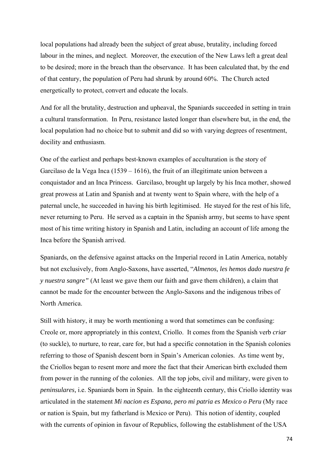local populations had already been the subject of great abuse, brutality, including forced labour in the mines, and neglect. Moreover, the execution of the New Laws left a great deal to be desired; more in the breach than the observance. It has been calculated that, by the end of that century, the population of Peru had shrunk by around 60%. The Church acted energetically to protect, convert and educate the locals.

And for all the brutality, destruction and upheaval, the Spaniards succeeded in setting in train a cultural transformation. In Peru, resistance lasted longer than elsewhere but, in the end, the local population had no choice but to submit and did so with varying degrees of resentment, docility and enthusiasm.

One of the earliest and perhaps best-known examples of acculturation is the story of Garcilaso de la Vega Inca (1539 – 1616), the fruit of an illegitimate union between a conquistador and an Inca Princess. Garcilaso, brought up largely by his Inca mother, showed great prowess at Latin and Spanish and at twenty went to Spain where, with the help of a paternal uncle, he succeeded in having his birth legitimised. He stayed for the rest of his life, never returning to Peru. He served as a captain in the Spanish army, but seems to have spent most of his time writing history in Spanish and Latin, including an account of life among the Inca before the Spanish arrived.

Spaniards, on the defensive against attacks on the Imperial record in Latin America, notably but not exclusively, from Anglo-Saxons, have asserted, "*Almenos, les hemos dado nuestra fe y nuestra sangre"* (At least we gave them our faith and gave them children), a claim that cannot be made for the encounter between the Anglo-Saxons and the indigenous tribes of North America.

Still with history, it may be worth mentioning a word that sometimes can be confusing: Creole or, more appropriately in this context, Criollo. It comes from the Spanish verb *criar*  (to suckle), to nurture, to rear, care for, but had a specific connotation in the Spanish colonies referring to those of Spanish descent born in Spain's American colonies. As time went by, the Criollos began to resent more and more the fact that their American birth excluded them from power in the running of the colonies. All the top jobs, civil and military, were given to *peninsulares,* i.e. Spaniards born in Spain. In the eighteenth century, this Criollo identity was articulated in the statement *Mi nacion es Espana, pero mi patria es Mexico o Peru* (My race or nation is Spain, but my fatherland is Mexico or Peru). This notion of identity, coupled with the currents of opinion in favour of Republics, following the establishment of the USA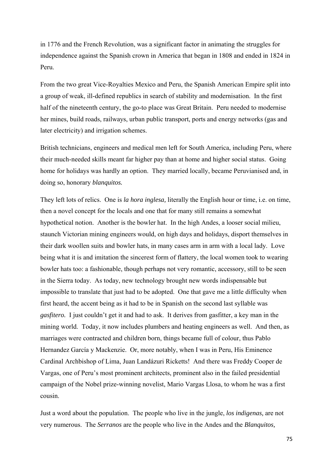in 1776 and the French Revolution, was a significant factor in animating the struggles for independence against the Spanish crown in America that began in 1808 and ended in 1824 in Peru.

From the two great Vice-Royalties Mexico and Peru, the Spanish American Empire split into a group of weak, ill-defined republics in search of stability and modernisation. In the first half of the nineteenth century, the go-to place was Great Britain. Peru needed to modernise her mines, build roads, railways, urban public transport, ports and energy networks (gas and later electricity) and irrigation schemes.

British technicians, engineers and medical men left for South America, including Peru, where their much-needed skills meant far higher pay than at home and higher social status. Going home for holidays was hardly an option. They married locally, became Peruvianised and, in doing so, honorary *blanquitos.* 

They left lots of relics. One is *la hora inglesa,* literally the English hour or time, i.e. on time, then a novel concept for the locals and one that for many still remains a somewhat hypothetical notion. Another is the bowler hat. In the high Andes, a looser social milieu, staunch Victorian mining engineers would, on high days and holidays, disport themselves in their dark woollen suits and bowler hats, in many cases arm in arm with a local lady. Love being what it is and imitation the sincerest form of flattery, the local women took to wearing bowler hats too: a fashionable, though perhaps not very romantic, accessory, still to be seen in the Sierra today. As today, new technology brought new words indispensable but impossible to translate that just had to be adopted. One that gave me a little difficulty when first heard, the accent being as it had to be in Spanish on the second last syllable was *gasfitero.* I just couldn't get it and had to ask. It derives from gasfitter, a key man in the mining world. Today, it now includes plumbers and heating engineers as well. And then, as marriages were contracted and children born, things became full of colour, thus Pablo Hernandez García y Mackenzie. Or, more notably, when I was in Peru, His Eminence Cardinal Archbishop of Lima, Juan Landázuri Ricketts! And there was Freddy Cooper de Vargas, one of Peru's most prominent architects, prominent also in the failed presidential campaign of the Nobel prize-winning novelist, Mario Vargas Llosa, to whom he was a first cousin.

Just a word about the population. The people who live in the jungle, *los indigenas,* are not very numerous. The *Serranos* are the people who live in the Andes and the *Blanquitos,*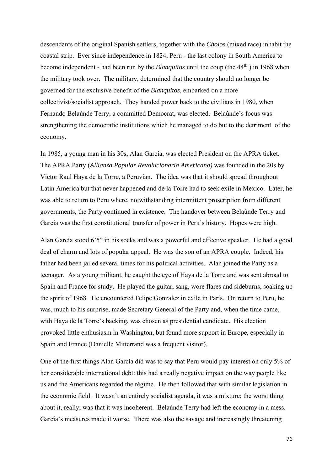descendants of the original Spanish settlers, together with the *Cholos* (mixed race) inhabit the coastal strip. Ever since independence in 1824, Peru - the last colony in South America to become independent - had been run by the *Blanquitos* until the coup (the 44th.) in 1968 when the military took over. The military, determined that the country should no longer be governed for the exclusive benefit of the *Blanquitos,* embarked on a more collectivist/socialist approach. They handed power back to the civilians in 1980, when Fernando Belaúnde Terry, a committed Democrat, was elected. Belaúnde's focus was strengthening the democratic institutions which he managed to do but to the detriment of the economy.

In 1985, a young man in his 30s, Alan García, was elected President on the APRA ticket. The APRA Party (*Allianza Popular Revolucionaria Americana)* was founded in the 20s by Victor Raul Haya de la Torre, a Peruvian. The idea was that it should spread throughout Latin America but that never happened and de la Torre had to seek exile in Mexico. Later, he was able to return to Peru where, notwithstanding intermittent proscription from different governments, the Party continued in existence. The handover between Belaúnde Terry and García was the first constitutional transfer of power in Peru's history. Hopes were high.

Alan García stood 6'5" in his socks and was a powerful and effective speaker. He had a good deal of charm and lots of popular appeal. He was the son of an APRA couple. Indeed, his father had been jailed several times for his political activities. Alan joined the Party as a teenager. As a young militant, he caught the eye of Haya de la Torre and was sent abroad to Spain and France for study. He played the guitar, sang, wore flares and sideburns, soaking up the spirit of 1968. He encountered Felipe Gonzalez in exile in Paris. On return to Peru, he was, much to his surprise, made Secretary General of the Party and, when the time came, with Haya de la Torre's backing, was chosen as presidential candidate. His election provoked little enthusiasm in Washington, but found more support in Europe, especially in Spain and France (Danielle Mitterrand was a frequent visitor).

One of the first things Alan García did was to say that Peru would pay interest on only 5% of her considerable international debt: this had a really negative impact on the way people like us and the Americans regarded the régime. He then followed that with similar legislation in the economic field. It wasn't an entirely socialist agenda, it was a mixture: the worst thing about it, really, was that it was incoherent. Belaúnde Terry had left the economy in a mess. García's measures made it worse. There was also the savage and increasingly threatening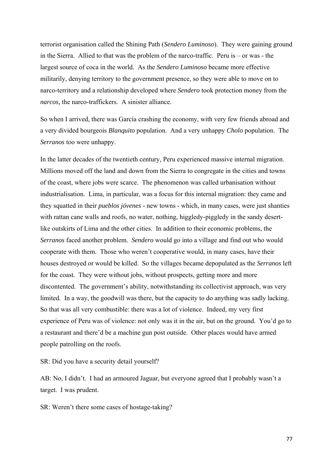terrorist organisation called the Shining Path (*Sendero Luminoso*). They were gaining ground in the Sierra. Allied to that was the problem of the narco-traffic. Peru is – or was - the largest source of coca in the world. As the *Sendero Luminoso* became more effective militarily, denying territory to the government presence, so they were able to move on to narco-territory and a relationship developed where *Sendero* took protection money from the *narcos,* the narco-traffickers. A sinister alliance.

So when I arrived, there was García crashing the economy, with very few friends abroad and a very divided bourgeois *Blanquito* population. And a very unhappy *Cholo* population. The *Serranos* too were unhappy.

In the latter decades of the twentieth century, Peru experienced massive internal migration. Millions moved off the land and down from the Sierra to congregate in the cities and towns of the coast, where jobs were scarce. The phenomenon was called urbanisation without industrialisation. Lima, in particular, was a focus for this internal migration: they came and they squatted in their *pueblos jóvenes* - new towns - which, in many cases, were just shanties with rattan cane walls and roofs, no water, nothing, higgledy-piggledy in the sandy desertlike outskirts of Lima and the other cities. In addition to their economic problems, the *Serranos* faced another problem. *Sendero* would go into a village and find out who would cooperate with them. Those who weren't cooperative would, in many cases, have their houses destroyed or would be killed. So the villages became depopulated as the *Serranos* left for the coast*.* They were without jobs, without prospects, getting more and more discontented. The government's ability, notwithstanding its collectivist approach, was very limited. In a way, the goodwill was there, but the capacity to do anything was sadly lacking. So that was all very combustible: there was a lot of violence. Indeed, my very first experience of Peru was of violence: not only was it in the air, but on the ground. You'd go to a restaurant and there'd be a machine gun post outside. Other places would have armed people patrolling on the roofs.

SR: Did you have a security detail yourself?

AB: No, I didn't. I had an armoured Jaguar, but everyone agreed that I probably wasn't a target. I was prudent.

SR: Weren't there some cases of hostage-taking?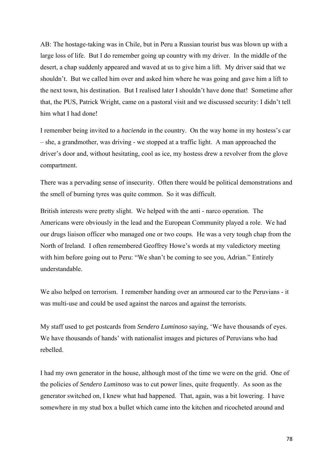AB: The hostage-taking was in Chile, but in Peru a Russian tourist bus was blown up with a large loss of life. But I do remember going up country with my driver. In the middle of the desert, a chap suddenly appeared and waved at us to give him a lift. My driver said that we shouldn't. But we called him over and asked him where he was going and gave him a lift to the next town, his destination. But I realised later I shouldn't have done that! Sometime after that, the PUS, Patrick Wright, came on a pastoral visit and we discussed security: I didn't tell him what I had done!

I remember being invited to a *hacienda* in the country. On the way home in my hostess's car – she, a grandmother, was driving - we stopped at a traffic light. A man approached the driver's door and, without hesitating, cool as ice, my hostess drew a revolver from the glove compartment.

There was a pervading sense of insecurity. Often there would be political demonstrations and the smell of burning tyres was quite common. So it was difficult.

British interests were pretty slight. We helped with the anti - narco operation. The Americans were obviously in the lead and the European Community played a role. We had our drugs liaison officer who managed one or two coups. He was a very tough chap from the North of Ireland. I often remembered Geoffrey Howe's words at my valedictory meeting with him before going out to Peru: "We shan't be coming to see you, Adrian." Entirely understandable.

We also helped on terrorism. I remember handing over an armoured car to the Peruvians - it was multi-use and could be used against the narcos and against the terrorists.

My staff used to get postcards from *Sendero Luminoso* saying, 'We have thousands of eyes. We have thousands of hands' with nationalist images and pictures of Peruvians who had rebelled.

I had my own generator in the house, although most of the time we were on the grid. One of the policies of *Sendero Luminoso* was to cut power lines, quite frequently. As soon as the generator switched on, I knew what had happened. That, again, was a bit lowering. I have somewhere in my stud box a bullet which came into the kitchen and ricocheted around and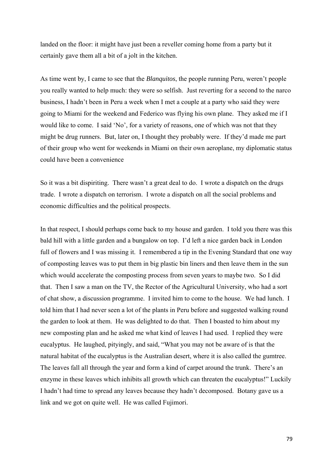landed on the floor: it might have just been a reveller coming home from a party but it certainly gave them all a bit of a jolt in the kitchen.

As time went by, I came to see that the *Blanquitos*, the people running Peru, weren't people you really wanted to help much: they were so selfish. Just reverting for a second to the narco business, I hadn't been in Peru a week when I met a couple at a party who said they were going to Miami for the weekend and Federico was flying his own plane. They asked me if I would like to come. I said 'No', for a variety of reasons, one of which was not that they might be drug runners. But, later on, I thought they probably were. If they'd made me part of their group who went for weekends in Miami on their own aeroplane, my diplomatic status could have been a convenience

So it was a bit dispiriting. There wasn't a great deal to do. I wrote a dispatch on the drugs trade. I wrote a dispatch on terrorism. I wrote a dispatch on all the social problems and economic difficulties and the political prospects.

In that respect, I should perhaps come back to my house and garden. I told you there was this bald hill with a little garden and a bungalow on top. I'd left a nice garden back in London full of flowers and I was missing it. I remembered a tip in the Evening Standard that one way of composting leaves was to put them in big plastic bin liners and then leave them in the sun which would accelerate the composting process from seven years to maybe two. So I did that. Then I saw a man on the TV, the Rector of the Agricultural University, who had a sort of chat show, a discussion programme. I invited him to come to the house. We had lunch. I told him that I had never seen a lot of the plants in Peru before and suggested walking round the garden to look at them. He was delighted to do that. Then I boasted to him about my new composting plan and he asked me what kind of leaves I had used. I replied they were eucalyptus. He laughed, pityingly, and said, "What you may not be aware of is that the natural habitat of the eucalyptus is the Australian desert, where it is also called the gumtree. The leaves fall all through the year and form a kind of carpet around the trunk. There's an enzyme in these leaves which inhibits all growth which can threaten the eucalyptus!" Luckily I hadn't had time to spread any leaves because they hadn't decomposed. Botany gave us a link and we got on quite well. He was called Fujimori.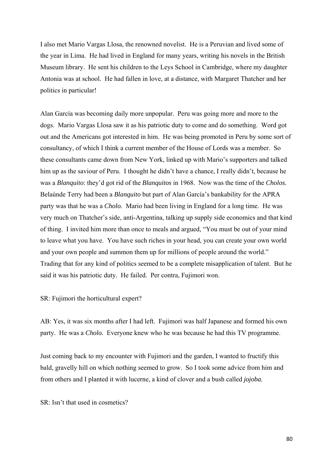I also met Mario Vargas Llosa, the renowned novelist. He is a Peruvian and lived some of the year in Lima. He had lived in England for many years, writing his novels in the British Museum library. He sent his children to the Leys School in Cambridge, where my daughter Antonia was at school. He had fallen in love, at a distance, with Margaret Thatcher and her politics in particular!

Alan García was becoming daily more unpopular. Peru was going more and more to the dogs. Mario Vargas Llosa saw it as his patriotic duty to come and do something. Word got out and the Americans got interested in him. He was being promoted in Peru by some sort of consultancy, of which I think a current member of the House of Lords was a member. So these consultants came down from New York, linked up with Mario's supporters and talked him up as the saviour of Peru. I thought he didn't have a chance, I really didn't, because he was a *Blanquito*: they'd got rid of the *Blanquitos* in 1968. Now was the time of the *Cholos.*  Belaúnde Terry had been a *Blanquito* but part of Alan García's bankability for the APRA party was that he was a *Cholo.* Mario had been living in England for a long time. He was very much on Thatcher's side, anti-Argentina, talking up supply side economics and that kind of thing. I invited him more than once to meals and argued, "You must be out of your mind to leave what you have. You have such riches in your head, you can create your own world and your own people and summon them up for millions of people around the world." Trading that for any kind of politics seemed to be a complete misapplication of talent. But he said it was his patriotic duty. He failed. Per contra, Fujimori won.

SR: Fujimori the horticultural expert?

AB: Yes, it was six months after I had left. Fujimori was half Japanese and formed his own party. He was a *Cholo.* Everyone knew who he was because he had this TV programme.

Just coming back to my encounter with Fujimori and the garden, I wanted to fructify this bald, gravelly hill on which nothing seemed to grow. So I took some advice from him and from others and I planted it with lucerne, a kind of clover and a bush called *jojoba.* 

SR: Isn't that used in cosmetics?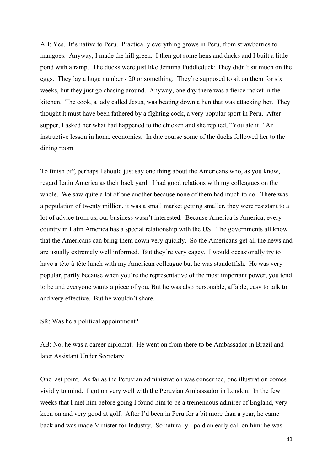AB: Yes. It's native to Peru. Practically everything grows in Peru, from strawberries to mangoes. Anyway, I made the hill green. I then got some hens and ducks and I built a little pond with a ramp. The ducks were just like Jemima Puddleduck: They didn't sit much on the eggs. They lay a huge number - 20 or something. They're supposed to sit on them for six weeks, but they just go chasing around. Anyway, one day there was a fierce racket in the kitchen. The cook, a lady called Jesus, was beating down a hen that was attacking her. They thought it must have been fathered by a fighting cock, a very popular sport in Peru. After supper, I asked her what had happened to the chicken and she replied, "You ate it!" An instructive lesson in home economics. In due course some of the ducks followed her to the dining room

To finish off, perhaps I should just say one thing about the Americans who, as you know, regard Latin America as their back yard. I had good relations with my colleagues on the whole. We saw quite a lot of one another because none of them had much to do. There was a population of twenty million, it was a small market getting smaller, they were resistant to a lot of advice from us, our business wasn't interested. Because America is America, every country in Latin America has a special relationship with the US. The governments all know that the Americans can bring them down very quickly. So the Americans get all the news and are usually extremely well informed. But they're very cagey. I would occasionally try to have a tête-à-tête lunch with my American colleague but he was standoffish. He was very popular, partly because when you're the representative of the most important power, you tend to be and everyone wants a piece of you. But he was also personable, affable, easy to talk to and very effective. But he wouldn't share.

SR: Was he a political appointment?

AB: No, he was a career diplomat. He went on from there to be Ambassador in Brazil and later Assistant Under Secretary.

One last point. As far as the Peruvian administration was concerned, one illustration comes vividly to mind. I got on very well with the Peruvian Ambassador in London. In the few weeks that I met him before going I found him to be a tremendous admirer of England, very keen on and very good at golf. After I'd been in Peru for a bit more than a year, he came back and was made Minister for Industry. So naturally I paid an early call on him: he was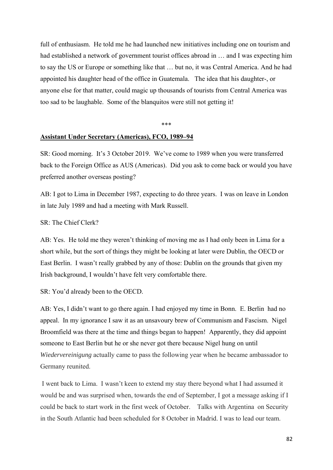full of enthusiasm. He told me he had launched new initiatives including one on tourism and had established a network of government tourist offices abroad in … and I was expecting him to say the US or Europe or something like that … but no, it was Central America. And he had appointed his daughter head of the office in Guatemala. The idea that his daughter-, or anyone else for that matter, could magic up thousands of tourists from Central America was too sad to be laughable. Some of the blanquitos were still not getting it!

#### \*\*\*

## **Assistant Under Secretary (Americas), FCO, 1989–94**

SR: Good morning. It's 3 October 2019. We've come to 1989 when you were transferred back to the Foreign Office as AUS (Americas). Did you ask to come back or would you have preferred another overseas posting?

AB: I got to Lima in December 1987, expecting to do three years. I was on leave in London in late July 1989 and had a meeting with Mark Russell.

### SR: The Chief Clerk?

AB: Yes. He told me they weren't thinking of moving me as I had only been in Lima for a short while, but the sort of things they might be looking at later were Dublin, the OECD or East Berlin. I wasn't really grabbed by any of those: Dublin on the grounds that given my Irish background, I wouldn't have felt very comfortable there.

SR: You'd already been to the OECD.

AB: Yes, I didn't want to go there again. I had enjoyed my time in Bonn. E. Berlin had no appeal. In my ignorance I saw it as an unsavoury brew of Communism and Fascism. Nigel Broomfield was there at the time and things began to happen! Apparently, they did appoint someone to East Berlin but he or she never got there because Nigel hung on until *Wiedervereinigung* actually came to pass the following year when he became ambassador to Germany reunited.

 I went back to Lima. I wasn't keen to extend my stay there beyond what I had assumed it would be and was surprised when, towards the end of September, I got a message asking if I could be back to start work in the first week of October. Talks with Argentina on Security in the South Atlantic had been scheduled for 8 October in Madrid. I was to lead our team.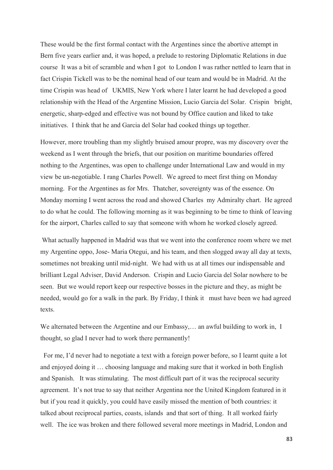These would be the first formal contact with the Argentines since the abortive attempt in Bern five years earlier and, it was hoped, a prelude to restoring Diplomatic Relations in due course It was a bit of scramble and when I got to London I was rather nettled to learn that in fact Crispin Tickell was to be the nominal head of our team and would be in Madrid. At the time Crispin was head of UKMIS, New York where I later learnt he had developed a good relationship with the Head of the Argentine Mission, Lucio Garcia del Solar. Crispin bright, energetic, sharp-edged and effective was not bound by Office caution and liked to take initiatives. I think that he and Garcia del Solar had cooked things up together.

However, more troubling than my slightly bruised amour propre, was my discovery over the weekend as I went through the briefs, that our position on maritime boundaries offered nothing to the Argentines, was open to challenge under International Law and would in my view be un-negotiable. I rang Charles Powell. We agreed to meet first thing on Monday morning. For the Argentines as for Mrs. Thatcher, sovereignty was of the essence. On Monday morning I went across the road and showed Charles my Admiralty chart. He agreed to do what he could. The following morning as it was beginning to be time to think of leaving for the airport, Charles called to say that someone with whom he worked closely agreed.

 What actually happened in Madrid was that we went into the conference room where we met my Argentine oppo, Jose- Maria Otegui, and his team, and then slogged away all day at texts, sometimes not breaking until mid-night. We had with us at all times our indispensable and brilliant Legal Adviser, David Anderson. Crispin and Lucio Garcia del Solar nowhere to be seen. But we would report keep our respective bosses in the picture and they, as might be needed, would go for a walk in the park. By Friday, I think it must have been we had agreed texts.

We alternated between the Argentine and our Embassy,… an awful building to work in, I thought, so glad I never had to work there permanently!

 For me, I'd never had to negotiate a text with a foreign power before, so I learnt quite a lot and enjoyed doing it … choosing language and making sure that it worked in both English and Spanish. It was stimulating. The most difficult part of it was the reciprocal security agreement. It's not true to say that neither Argentina nor the United Kingdom featured in it but if you read it quickly, you could have easily missed the mention of both countries: it talked about reciprocal parties, coasts, islands and that sort of thing. It all worked fairly well. The ice was broken and there followed several more meetings in Madrid, London and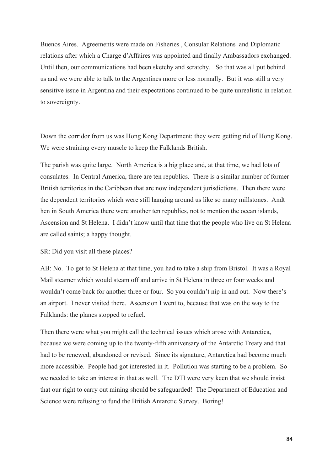Buenos Aires. Agreements were made on Fisheries , Consular Relations and Diplomatic relations after which a Charge d'Affaires was appointed and finally Ambassadors exchanged. Until then, our communications had been sketchy and scratchy. So that was all put behind us and we were able to talk to the Argentines more or less normally. But it was still a very sensitive issue in Argentina and their expectations continued to be quite unrealistic in relation to sovereignty.

Down the corridor from us was Hong Kong Department: they were getting rid of Hong Kong. We were straining every muscle to keep the Falklands British.

The parish was quite large. North America is a big place and, at that time, we had lots of consulates. In Central America, there are ten republics. There is a similar number of former British territories in the Caribbean that are now independent jurisdictions. Then there were the dependent territories which were still hanging around us like so many millstones. Andt hen in South America there were another ten republics, not to mention the ocean islands, Ascension and St Helena. I didn't know until that time that the people who live on St Helena are called saints; a happy thought.

#### SR: Did you visit all these places?

AB: No. To get to St Helena at that time, you had to take a ship from Bristol. It was a Royal Mail steamer which would steam off and arrive in St Helena in three or four weeks and wouldn't come back for another three or four. So you couldn't nip in and out. Now there's an airport. I never visited there. Ascension I went to, because that was on the way to the Falklands: the planes stopped to refuel.

Then there were what you might call the technical issues which arose with Antarctica, because we were coming up to the twenty-fifth anniversary of the Antarctic Treaty and that had to be renewed, abandoned or revised. Since its signature, Antarctica had become much more accessible. People had got interested in it. Pollution was starting to be a problem. So we needed to take an interest in that as well. The DTI were very keen that we should insist that our right to carry out mining should be safeguarded! The Department of Education and Science were refusing to fund the British Antarctic Survey. Boring!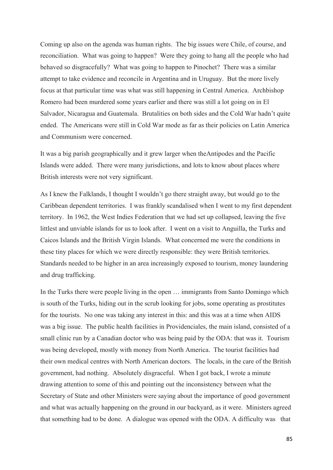Coming up also on the agenda was human rights. The big issues were Chile, of course, and reconciliation. What was going to happen? Were they going to hang all the people who had behaved so disgracefully? What was going to happen to Pinochet? There was a similar attempt to take evidence and reconcile in Argentina and in Uruguay. But the more lively focus at that particular time was what was still happening in Central America. Archbishop Romero had been murdered some years earlier and there was still a lot going on in El Salvador, Nicaragua and Guatemala. Brutalities on both sides and the Cold War hadn't quite ended. The Americans were still in Cold War mode as far as their policies on Latin America and Communism were concerned.

It was a big parish geographically and it grew larger when theAntipodes and the Pacific Islands were added. There were many jurisdictions, and lots to know about places where British interests were not very significant.

As I knew the Falklands, I thought I wouldn't go there straight away, but would go to the Caribbean dependent territories. I was frankly scandalised when I went to my first dependent territory. In 1962, the West Indies Federation that we had set up collapsed, leaving the five littlest and unviable islands for us to look after. I went on a visit to Anguilla, the Turks and Caicos Islands and the British Virgin Islands. What concerned me were the conditions in these tiny places for which we were directly responsible: they were British territories. Standards needed to be higher in an area increasingly exposed to tourism, money laundering and drug trafficking.

In the Turks there were people living in the open ... immigrants from Santo Domingo which is south of the Turks, hiding out in the scrub looking for jobs, some operating as prostitutes for the tourists. No one was taking any interest in this: and this was at a time when AIDS was a big issue. The public health facilities in Providenciales, the main island, consisted of a small clinic run by a Canadian doctor who was being paid by the ODA: that was it. Tourism was being developed, mostly with money from North America. The tourist facilities had their own medical centres with North American doctors. The locals, in the care of the British government, had nothing. Absolutely disgraceful. When I got back, I wrote a minute drawing attention to some of this and pointing out the inconsistency between what the Secretary of State and other Ministers were saying about the importance of good government and what was actually happening on the ground in our backyard, as it were. Ministers agreed that something had to be done. A dialogue was opened with the ODA. A difficulty was that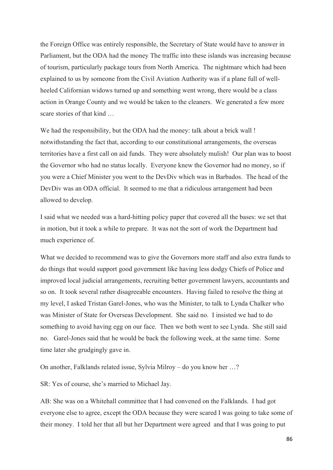the Foreign Office was entirely responsible, the Secretary of State would have to answer in Parliament, but the ODA had the money The traffic into these islands was increasing because of tourism, particularly package tours from North America. The nightmare which had been explained to us by someone from the Civil Aviation Authority was if a plane full of wellheeled Californian widows turned up and something went wrong, there would be a class action in Orange County and we would be taken to the cleaners. We generated a few more scare stories of that kind …

We had the responsibility, but the ODA had the money: talk about a brick wall ! notwithstanding the fact that, according to our constitutional arrangements, the overseas territories have a first call on aid funds. They were absolutely mulish! Our plan was to boost the Governor who had no status locally. Everyone knew the Governor had no money, so if you were a Chief Minister you went to the DevDiv which was in Barbados. The head of the DevDiv was an ODA official. It seemed to me that a ridiculous arrangement had been allowed to develop.

I said what we needed was a hard-hitting policy paper that covered all the bases: we set that in motion, but it took a while to prepare. It was not the sort of work the Department had much experience of.

What we decided to recommend was to give the Governors more staff and also extra funds to do things that would support good government like having less dodgy Chiefs of Police and improved local judicial arrangements, recruiting better government lawyers, accountants and so on. It took several rather disagreeable encounters. Having failed to resolve the thing at my level, I asked Tristan Garel-Jones, who was the Minister, to talk to Lynda Chalker who was Minister of State for Overseas Development. She said no. I insisted we had to do something to avoid having egg on our face. Then we both went to see Lynda. She still said no. Garel-Jones said that he would be back the following week, at the same time. Some time later she grudgingly gave in.

On another, Falklands related issue, Sylvia Milroy – do you know her …?

SR: Yes of course, she's married to Michael Jay.

AB: She was on a Whitehall committee that I had convened on the Falklands. I had got everyone else to agree, except the ODA because they were scared I was going to take some of their money. I told her that all but her Department were agreed and that I was going to put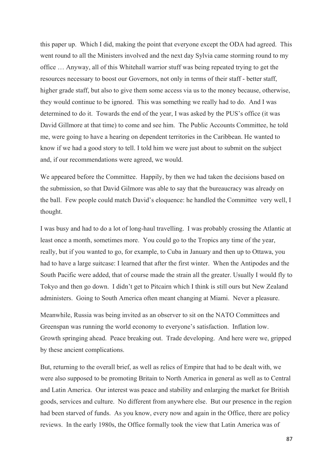this paper up. Which I did, making the point that everyone except the ODA had agreed. This went round to all the Ministers involved and the next day Sylvia came storming round to my office … Anyway, all of this Whitehall warrior stuff was being repeated trying to get the resources necessary to boost our Governors, not only in terms of their staff - better staff, higher grade staff, but also to give them some access via us to the money because, otherwise, they would continue to be ignored. This was something we really had to do. And I was determined to do it. Towards the end of the year, I was asked by the PUS's office (it was David Gillmore at that time) to come and see him. The Public Accounts Committee, he told me, were going to have a hearing on dependent territories in the Caribbean. He wanted to know if we had a good story to tell. I told him we were just about to submit on the subject and, if our recommendations were agreed, we would.

We appeared before the Committee. Happily, by then we had taken the decisions based on the submission, so that David Gilmore was able to say that the bureaucracy was already on the ball. Few people could match David's eloquence: he handled the Committee very well, I thought.

I was busy and had to do a lot of long-haul travelling. I was probably crossing the Atlantic at least once a month, sometimes more. You could go to the Tropics any time of the year, really, but if you wanted to go, for example, to Cuba in January and then up to Ottawa, you had to have a large suitcase: I learned that after the first winter. When the Antipodes and the South Pacific were added, that of course made the strain all the greater. Usually I would fly to Tokyo and then go down. I didn't get to Pitcairn which I think is still ours but New Zealand administers. Going to South America often meant changing at Miami. Never a pleasure.

Meanwhile, Russia was being invited as an observer to sit on the NATO Committees and Greenspan was running the world economy to everyone's satisfaction. Inflation low. Growth springing ahead. Peace breaking out. Trade developing. And here were we, gripped by these ancient complications.

But, returning to the overall brief, as well as relics of Empire that had to be dealt with, we were also supposed to be promoting Britain to North America in general as well as to Central and Latin America. Our interest was peace and stability and enlarging the market for British goods, services and culture. No different from anywhere else. But our presence in the region had been starved of funds. As you know, every now and again in the Office, there are policy reviews. In the early 1980s, the Office formally took the view that Latin America was of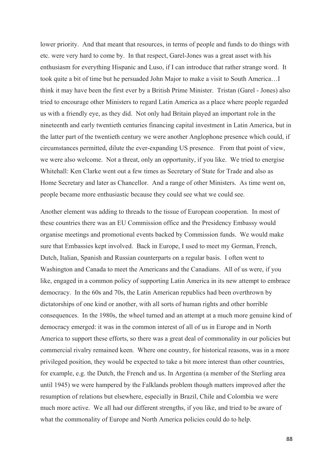lower priority. And that meant that resources, in terms of people and funds to do things with etc. were very hard to come by. In that respect, Garel-Jones was a great asset with his enthusiasm for everything Hispanic and Luso, if I can introduce that rather strange word. It took quite a bit of time but he persuaded John Major to make a visit to South America…I think it may have been the first ever by a British Prime Minister. Tristan (Garel - Jones) also tried to encourage other Ministers to regard Latin America as a place where people regarded us with a friendly eye, as they did. Not only had Britain played an important role in the nineteenth and early twentieth centuries financing capital investment in Latin America, but in the latter part of the twentieth century we were another Anglophone presence which could, if circumstances permitted, dilute the ever-expanding US presence. From that point of view, we were also welcome. Not a threat, only an opportunity, if you like. We tried to energise Whitehall: Ken Clarke went out a few times as Secretary of State for Trade and also as Home Secretary and later as Chancellor. And a range of other Ministers. As time went on, people became more enthusiastic because they could see what we could see.

Another element was adding to threads to the tissue of European cooperation. In most of these countries there was an EU Commission office and the Presidency Embassy would organise meetings and promotional events backed by Commission funds. We would make sure that Embassies kept involved. Back in Europe, I used to meet my German, French, Dutch, Italian, Spanish and Russian counterparts on a regular basis. I often went to Washington and Canada to meet the Americans and the Canadians. All of us were, if you like, engaged in a common policy of supporting Latin America in its new attempt to embrace democracy. In the 60s and 70s, the Latin American republics had been overthrown by dictatorships of one kind or another, with all sorts of human rights and other horrible consequences. In the 1980s, the wheel turned and an attempt at a much more genuine kind of democracy emerged: it was in the common interest of all of us in Europe and in North America to support these efforts, so there was a great deal of commonality in our policies but commercial rivalry remained keen. Where one country, for historical reasons, was in a more privileged position, they would be expected to take a bit more interest than other countries, for example, e.g. the Dutch, the French and us. In Argentina (a member of the Sterling area until 1945) we were hampered by the Falklands problem though matters improved after the resumption of relations but elsewhere, especially in Brazil, Chile and Colombia we were much more active. We all had our different strengths, if you like, and tried to be aware of what the commonality of Europe and North America policies could do to help.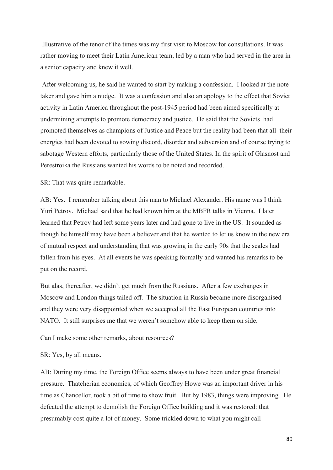Illustrative of the tenor of the times was my first visit to Moscow for consultations. It was rather moving to meet their Latin American team, led by a man who had served in the area in a senior capacity and knew it well.

 After welcoming us, he said he wanted to start by making a confession. I looked at the note taker and gave him a nudge. It was a confession and also an apology to the effect that Soviet activity in Latin America throughout the post-1945 period had been aimed specifically at undermining attempts to promote democracy and justice. He said that the Soviets had promoted themselves as champions of Justice and Peace but the reality had been that all their energies had been devoted to sowing discord, disorder and subversion and of course trying to sabotage Western efforts, particularly those of the United States. In the spirit of Glasnost and Perestroika the Russians wanted his words to be noted and recorded.

SR: That was quite remarkable.

AB: Yes. I remember talking about this man to Michael Alexander. His name was I think Yuri Petrov. Michael said that he had known him at the MBFR talks in Vienna. I later learned that Petrov had left some years later and had gone to live in the US. It sounded as though he himself may have been a believer and that he wanted to let us know in the new era of mutual respect and understanding that was growing in the early 90s that the scales had fallen from his eyes. At all events he was speaking formally and wanted his remarks to be put on the record.

But alas, thereafter, we didn't get much from the Russians. After a few exchanges in Moscow and London things tailed off. The situation in Russia became more disorganised and they were very disappointed when we accepted all the East European countries into NATO. It still surprises me that we weren't somehow able to keep them on side.

Can I make some other remarks, about resources?

SR: Yes, by all means.

AB: During my time, the Foreign Office seems always to have been under great financial pressure. Thatcherian economics, of which Geoffrey Howe was an important driver in his time as Chancellor, took a bit of time to show fruit. But by 1983, things were improving. He defeated the attempt to demolish the Foreign Office building and it was restored: that presumably cost quite a lot of money. Some trickled down to what you might call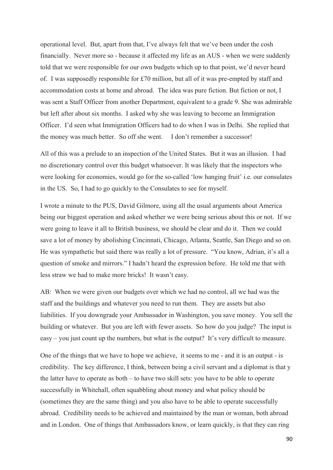operational level. But, apart from that, I've always felt that we've been under the cosh financially. Never more so - because it affected my life as an AUS - when we were suddenly told that we were responsible for our own budgets which up to that point, we'd never heard of. I was supposedly responsible for £70 million, but all of it was pre-empted by staff and accommodation costs at home and abroad. The idea was pure fiction. But fiction or not, I was sent a Staff Officer from another Department, equivalent to a grade 9. She was admirable but left after about six months. I asked why she was leaving to become an Immigration Officer. I'd seen what Immigration Officers had to do when I was in Delhi. She replied that the money was much better. So off she went. I don't remember a successor!

All of this was a prelude to an inspection of the United States. But it was an illusion. I had no discretionary control over this budget whatsoever. It was likely that the inspectors who were looking for economies, would go for the so-called 'low hanging fruit' i.e. our consulates in the US. So, I had to go quickly to the Consulates to see for myself.

I wrote a minute to the PUS, David Gilmore, using all the usual arguments about America being our biggest operation and asked whether we were being serious about this or not. If we were going to leave it all to British business, we should be clear and do it. Then we could save a lot of money by abolishing Cincinnati, Chicago, Atlanta, Seattle, San Diego and so on. He was sympathetic but said there was really a lot of pressure. "You know, Adrian, it's all a question of smoke and mirrors." I hadn't heard the expression before. He told me that with less straw we had to make more bricks! It wasn't easy.

AB: When we were given our budgets over which we had no control, all we had was the staff and the buildings and whatever you need to run them. They are assets but also liabilities. If you downgrade your Ambassador in Washington, you save money. You sell the building or whatever. But you are left with fewer assets. So how do you judge? The input is easy – you just count up the numbers, but what is the output? It's very difficult to measure.

One of the things that we have to hope we achieve, it seems to me - and it is an output - is credibility. The key difference, I think, between being a civil servant and a diplomat is that y the latter have to operate as both – to have two skill sets: you have to be able to operate successfully in Whitehall, often squabbling about money and what policy should be (sometimes they are the same thing) and you also have to be able to operate successfully abroad. Credibility needs to be achieved and maintained by the man or woman, both abroad and in London. One of things that Ambassadors know, or learn quickly, is that they can ring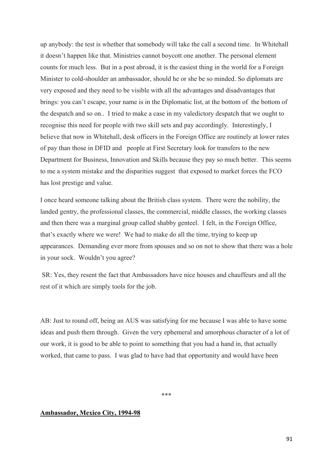up anybody: the test is whether that somebody will take the call a second time. In Whitehall it doesn't happen like that. Ministries cannot boycott one another. The personal element counts for much less. But in a post abroad, it is the easiest thing in the world for a Foreign Minister to cold-shoulder an ambassador, should he or she be so minded. So diplomats are very exposed and they need to be visible with all the advantages and disadvantages that brings: you can't escape, your name is in the Diplomatic list, at the bottom of the bottom of the despatch and so on.. I tried to make a case in my valedictory despatch that we ought to recognise this need for people with two skill sets and pay accordingly. Interestingly, I believe that now in Whitehall, desk officers in the Foreign Office are routinely at lower rates of pay than those in DFID and people at First Secretary look for transfers to the new Department for Business, Innovation and Skills because they pay so much better. This seems to me a system mistake and the disparities suggest that exposed to market forces the FCO has lost prestige and value.

I once heard someone talking about the British class system. There were the nobility, the landed gentry, the professional classes, the commercial, middle classes, the working classes and then there was a marginal group called shabby genteel. I felt, in the Foreign Office, that's exactly where we were! We had to make do all the time, trying to keep up appearances. Demanding ever more from spouses and so on not to show that there was a hole in your sock. Wouldn't you agree?

 SR: Yes, they resent the fact that Ambassadors have nice houses and chauffeurs and all the rest of it which are simply tools for the job.

AB: Just to round off, being an AUS was satisfying for me because I was able to have some ideas and push them through. Given the very ephemeral and amorphous character of a lot of our work, it is good to be able to point to something that you had a hand in, that actually worked, that came to pass. I was glad to have had that opportunity and would have been

\*\*\*

# **Ambassador, Mexico City, 1994-98**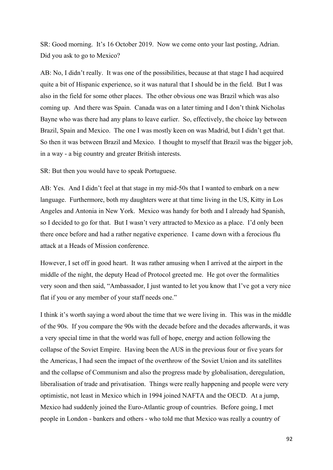SR: Good morning. It's 16 October 2019. Now we come onto your last posting, Adrian. Did you ask to go to Mexico?

AB: No, I didn't really. It was one of the possibilities, because at that stage I had acquired quite a bit of Hispanic experience, so it was natural that I should be in the field. But I was also in the field for some other places. The other obvious one was Brazil which was also coming up. And there was Spain. Canada was on a later timing and I don't think Nicholas Bayne who was there had any plans to leave earlier. So, effectively, the choice lay between Brazil, Spain and Mexico. The one I was mostly keen on was Madrid, but I didn't get that. So then it was between Brazil and Mexico. I thought to myself that Brazil was the bigger job, in a way - a big country and greater British interests.

SR: But then you would have to speak Portuguese.

AB: Yes. And I didn't feel at that stage in my mid-50s that I wanted to embark on a new language. Furthermore, both my daughters were at that time living in the US, Kitty in Los Angeles and Antonia in New York. Mexico was handy for both and I already had Spanish, so I decided to go for that. But I wasn't very attracted to Mexico as a place. I'd only been there once before and had a rather negative experience. I came down with a ferocious flu attack at a Heads of Mission conference.

However, I set off in good heart. It was rather amusing when I arrived at the airport in the middle of the night, the deputy Head of Protocol greeted me. He got over the formalities very soon and then said, "Ambassador, I just wanted to let you know that I've got a very nice flat if you or any member of your staff needs one."

I think it's worth saying a word about the time that we were living in. This was in the middle of the 90s. If you compare the 90s with the decade before and the decades afterwards, it was a very special time in that the world was full of hope, energy and action following the collapse of the Soviet Empire. Having been the AUS in the previous four or five years for the Americas, I had seen the impact of the overthrow of the Soviet Union and its satellites and the collapse of Communism and also the progress made by globalisation, deregulation, liberalisation of trade and privatisation. Things were really happening and people were very optimistic, not least in Mexico which in 1994 joined NAFTA and the OECD. At a jump, Mexico had suddenly joined the Euro-Atlantic group of countries. Before going, I met people in London - bankers and others - who told me that Mexico was really a country of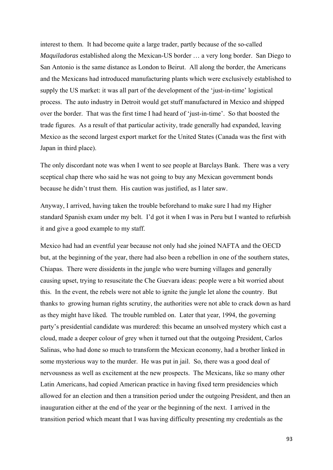interest to them. It had become quite a large trader, partly because of the so-called *Maquiladoras* established along the Mexican-US border … a very long border. San Diego to San Antonio is the same distance as London to Beirut. All along the border, the Americans and the Mexicans had introduced manufacturing plants which were exclusively established to supply the US market: it was all part of the development of the 'just-in-time' logistical process. The auto industry in Detroit would get stuff manufactured in Mexico and shipped over the border. That was the first time I had heard of 'just-in-time'. So that boosted the trade figures. As a result of that particular activity, trade generally had expanded, leaving Mexico as the second largest export market for the United States (Canada was the first with Japan in third place).

The only discordant note was when I went to see people at Barclays Bank. There was a very sceptical chap there who said he was not going to buy any Mexican government bonds because he didn't trust them. His caution was justified, as I later saw.

Anyway, I arrived, having taken the trouble beforehand to make sure I had my Higher standard Spanish exam under my belt. I'd got it when I was in Peru but I wanted to refurbish it and give a good example to my staff.

Mexico had had an eventful year because not only had she joined NAFTA and the OECD but, at the beginning of the year, there had also been a rebellion in one of the southern states, Chiapas. There were dissidents in the jungle who were burning villages and generally causing upset, trying to resuscitate the Che Guevara ideas: people were a bit worried about this. In the event, the rebels were not able to ignite the jungle let alone the country. But thanks to growing human rights scrutiny, the authorities were not able to crack down as hard as they might have liked. The trouble rumbled on. Later that year, 1994, the governing party's presidential candidate was murdered: this became an unsolved mystery which cast a cloud, made a deeper colour of grey when it turned out that the outgoing President, Carlos Salinas, who had done so much to transform the Mexican economy, had a brother linked in some mysterious way to the murder. He was put in jail. So, there was a good deal of nervousness as well as excitement at the new prospects. The Mexicans, like so many other Latin Americans, had copied American practice in having fixed term presidencies which allowed for an election and then a transition period under the outgoing President, and then an inauguration either at the end of the year or the beginning of the next. I arrived in the transition period which meant that I was having difficulty presenting my credentials as the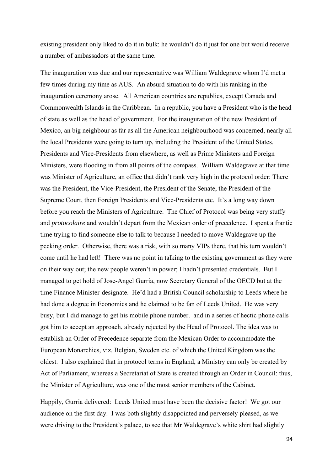existing president only liked to do it in bulk: he wouldn't do it just for one but would receive a number of ambassadors at the same time.

The inauguration was due and our representative was William Waldegrave whom I'd met a few times during my time as AUS. An absurd situation to do with his ranking in the inauguration ceremony arose. All American countries are republics, except Canada and Commonwealth Islands in the Caribbean. In a republic, you have a President who is the head of state as well as the head of government. For the inauguration of the new President of Mexico, an big neighbour as far as all the American neighbourhood was concerned, nearly all the local Presidents were going to turn up, including the President of the United States. Presidents and Vice-Presidents from elsewhere, as well as Prime Ministers and Foreign Ministers, were flooding in from all points of the compass. William Waldegrave at that time was Minister of Agriculture, an office that didn't rank very high in the protocol order: There was the President, the Vice-President, the President of the Senate, the President of the Supreme Court, then Foreign Presidents and Vice-Presidents etc. It's a long way down before you reach the Ministers of Agriculture. The Chief of Protocol was being very stuffy and *protocolaire* and wouldn't depart from the Mexican order of precedence. I spent a frantic time trying to find someone else to talk to because I needed to move Waldegrave up the pecking order. Otherwise, there was a risk, with so many VIPs there, that his turn wouldn't come until he had left! There was no point in talking to the existing government as they were on their way out; the new people weren't in power; I hadn't presented credentials. But I managed to get hold of Jose-Angel Gurría, now Secretary General of the OECD but at the time Finance Minister-designate. He'd had a British Council scholarship to Leeds where he had done a degree in Economics and he claimed to be fan of Leeds United. He was very busy, but I did manage to get his mobile phone number. and in a series of hectic phone calls got him to accept an approach, already rejected by the Head of Protocol. The idea was to establish an Order of Precedence separate from the Mexican Order to accommodate the European Monarchies, viz. Belgian, Sweden etc. of which the United Kingdom was the oldest. I also explained that in protocol terms in England, a Ministry can only be created by Act of Parliament, whereas a Secretariat of State is created through an Order in Council: thus, the Minister of Agriculture, was one of the most senior members of the Cabinet.

Happily, Gurria delivered: Leeds United must have been the decisive factor! We got our audience on the first day. I was both slightly disappointed and perversely pleased, as we were driving to the President's palace, to see that Mr Waldegrave's white shirt had slightly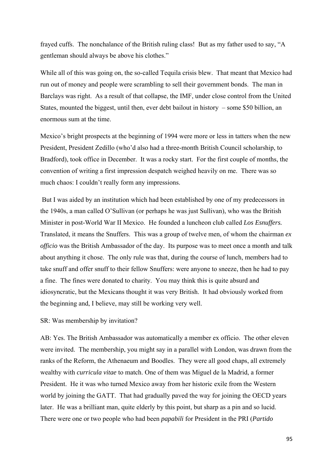frayed cuffs. The nonchalance of the British ruling class! But as my father used to say, "A gentleman should always be above his clothes."

While all of this was going on, the so-called Tequila crisis blew. That meant that Mexico had run out of money and people were scrambling to sell their government bonds. The man in Barclays was right. As a result of that collapse, the IMF, under close control from the United States, mounted the biggest, until then, ever debt bailout in history – some \$50 billion, an enormous sum at the time.

Mexico's bright prospects at the beginning of 1994 were more or less in tatters when the new President, President Zedillo (who'd also had a three-month British Council scholarship, to Bradford), took office in December. It was a rocky start. For the first couple of months, the convention of writing a first impression despatch weighed heavily on me. There was so much chaos: I couldn't really form any impressions.

 But I was aided by an institution which had been established by one of my predecessors in the 1940s, a man called O'Sullivan (or perhaps he was just Sullivan), who was the British Minister in post-World War II Mexico. He founded a luncheon club called *Los Esnuffers.*  Translated, it means the Snuffers. This was a group of twelve men, of whom the chairman *ex officio* was the British Ambassador of the day. Its purpose was to meet once a month and talk about anything it chose. The only rule was that, during the course of lunch, members had to take snuff and offer snuff to their fellow Snuffers: were anyone to sneeze, then he had to pay a fine. The fines were donated to charity. You may think this is quite absurd and idiosyncratic, but the Mexicans thought it was very British. It had obviously worked from the beginning and, I believe, may still be working very well.

SR: Was membership by invitation?

AB: Yes. The British Ambassador was automatically a member ex officio. The other eleven were invited. The membership, you might say in a parallel with London, was drawn from the ranks of the Reform, the Athenaeum and Boodles. They were all good chaps, all extremely wealthy with *curricula vitae* to match. One of them was Miguel de la Madrid, a former President. He it was who turned Mexico away from her historic exile from the Western world by joining the GATT. That had gradually paved the way for joining the OECD years later. He was a brilliant man, quite elderly by this point, but sharp as a pin and so lucid. There were one or two people who had been *papabili* for President in the PRI (*Partido*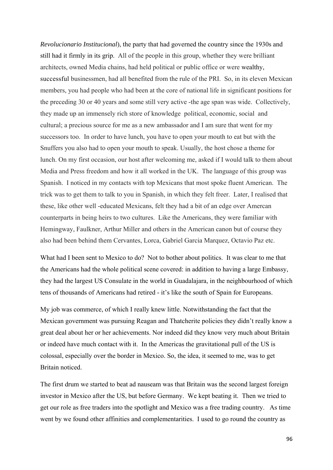*Revolucionario Institucional*), the party that had governed the country since the 1930s and still had it firmly in its grip. All of the people in this group, whether they were brilliant architects, owned Media chains, had held political or public office or were wealthy, successful businessmen, had all benefited from the rule of the PRI. So, in its eleven Mexican members, you had people who had been at the core of national life in significant positions for the preceding 30 or 40 years and some still very active -the age span was wide. Collectively, they made up an immensely rich store of knowledge political, economic, social and cultural; a precious source for me as a new ambassador and I am sure that went for my successors too. In order to have lunch, you have to open your mouth to eat but with the Snuffers you also had to open your mouth to speak. Usually, the host chose a theme for lunch. On my first occasion, our host after welcoming me, asked if I would talk to them about Media and Press freedom and how it all worked in the UK. The language of this group was Spanish. I noticed in my contacts with top Mexicans that most spoke fluent American. The trick was to get them to talk to you in Spanish, in which they felt freer. Later, I realised that these, like other well -educated Mexicans, felt they had a bit of an edge over Amercan counterparts in being heirs to two cultures. Like the Americans, they were familiar with Hemingway, Faulkner, Arthur Miller and others in the American canon but of course they also had been behind them Cervantes, Lorca, Gabriel Garcia Marquez, Octavio Paz etc.

What had I been sent to Mexico to do? Not to bother about politics. It was clear to me that the Americans had the whole political scene covered: in addition to having a large Embassy, they had the largest US Consulate in the world in Guadalajara, in the neighbourhood of which tens of thousands of Americans had retired - it's like the south of Spain for Europeans.

My job was commerce, of which I really knew little. Notwithstanding the fact that the Mexican government was pursuing Reagan and Thatcherite policies they didn't really know a great deal about her or her achievements. Nor indeed did they know very much about Britain or indeed have much contact with it. In the Americas the gravitational pull of the US is colossal, especially over the border in Mexico. So, the idea, it seemed to me, was to get Britain noticed.

The first drum we started to beat ad nauseam was that Britain was the second largest foreign investor in Mexico after the US, but before Germany. We kept beating it. Then we tried to get our role as free traders into the spotlight and Mexico was a free trading country. As time went by we found other affinities and complementarities. I used to go round the country as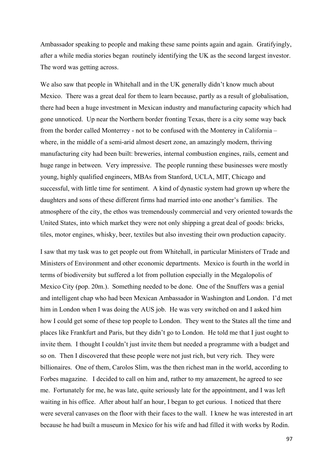Ambassador speaking to people and making these same points again and again. Gratifyingly, after a while media stories began routinely identifying the UK as the second largest investor. The word was getting across.

We also saw that people in Whitehall and in the UK generally didn't know much about Mexico. There was a great deal for them to learn because, partly as a result of globalisation, there had been a huge investment in Mexican industry and manufacturing capacity which had gone unnoticed. Up near the Northern border fronting Texas, there is a city some way back from the border called Monterrey - not to be confused with the Monterey in California – where, in the middle of a semi-arid almost desert zone, an amazingly modern, thriving manufacturing city had been built: breweries, internal combustion engines, rails, cement and huge range in between. Very impressive. The people running these businesses were mostly young, highly qualified engineers, MBAs from Stanford, UCLA, MIT, Chicago and successful, with little time for sentiment. A kind of dynastic system had grown up where the daughters and sons of these different firms had married into one another's families. The atmosphere of the city, the ethos was tremendously commercial and very oriented towards the United States, into which market they were not only shipping a great deal of goods: bricks, tiles, motor engines, whisky, beer, textiles but also investing their own production capacity.

I saw that my task was to get people out from Whitehall, in particular Ministers of Trade and Ministers of Environment and other economic departments. Mexico is fourth in the world in terms of biodiversity but suffered a lot from pollution especially in the Megalopolis of Mexico City (pop. 20m.). Something needed to be done. One of the Snuffers was a genial and intelligent chap who had been Mexican Ambassador in Washington and London. I'd met him in London when I was doing the AUS job. He was very switched on and I asked him how I could get some of these top people to London. They went to the States all the time and places like Frankfurt and Paris, but they didn't go to London. He told me that I just ought to invite them. I thought I couldn't just invite them but needed a programme with a budget and so on. Then I discovered that these people were not just rich, but very rich. They were billionaires. One of them, Carolos Slim, was the then richest man in the world, according to Forbes magazine. I decided to call on him and, rather to my amazement, he agreed to see me. Fortunately for me, he was late, quite seriously late for the appointment, and I was left waiting in his office. After about half an hour, I began to get curious. I noticed that there were several canvases on the floor with their faces to the wall. I knew he was interested in art because he had built a museum in Mexico for his wife and had filled it with works by Rodin.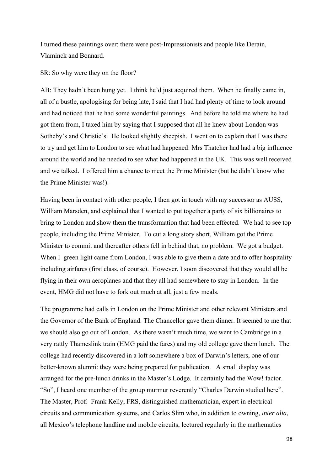I turned these paintings over: there were post-Impressionists and people like Derain, Vlaminck and Bonnard.

SR: So why were they on the floor?

AB: They hadn't been hung yet. I think he'd just acquired them. When he finally came in, all of a bustle, apologising for being late, I said that I had had plenty of time to look around and had noticed that he had some wonderful paintings. And before he told me where he had got them from, I taxed him by saying that I supposed that all he knew about London was Sotheby's and Christie's. He looked slightly sheepish. I went on to explain that I was there to try and get him to London to see what had happened: Mrs Thatcher had had a big influence around the world and he needed to see what had happened in the UK. This was well received and we talked. I offered him a chance to meet the Prime Minister (but he didn't know who the Prime Minister was!).

Having been in contact with other people, I then got in touch with my successor as AUSS, William Marsden, and explained that I wanted to put together a party of six billionaires to bring to London and show them the transformation that had been effected. We had to see top people, including the Prime Minister. To cut a long story short, William got the Prime Minister to commit and thereafter others fell in behind that, no problem. We got a budget. When I green light came from London, I was able to give them a date and to offer hospitality including airfares (first class, of course). However, I soon discovered that they would all be flying in their own aeroplanes and that they all had somewhere to stay in London. In the event, HMG did not have to fork out much at all, just a few meals.

The programme had calls in London on the Prime Minister and other relevant Ministers and the Governor of the Bank of England. The Chancellor gave them dinner. It seemed to me that we should also go out of London. As there wasn't much time, we went to Cambridge in a very rattly Thameslink train (HMG paid the fares) and my old college gave them lunch. The college had recently discovered in a loft somewhere a box of Darwin's letters, one of our better-known alumni: they were being prepared for publication. A small display was arranged for the pre-lunch drinks in the Master's Lodge. It certainly had the Wow! factor. "So", I heard one member of the group murmur reverently "Charles Darwin studied here". The Master, Prof. Frank Kelly, FRS, distinguished mathematician, expert in electrical circuits and communication systems, and Carlos Slim who, in addition to owning, *inter alia*, all Mexico's telephone landline and mobile circuits, lectured regularly in the mathematics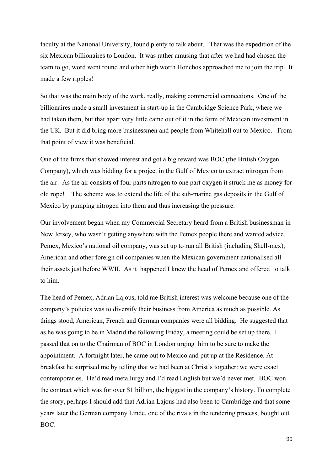faculty at the National University, found plenty to talk about. That was the expedition of the six Mexican billionaires to London. It was rather amusing that after we had had chosen the team to go, word went round and other high worth Honchos approached me to join the trip. It made a few ripples!

So that was the main body of the work, really, making commercial connections. One of the billionaires made a small investment in start-up in the Cambridge Science Park, where we had taken them, but that apart very little came out of it in the form of Mexican investment in the UK. But it did bring more businessmen and people from Whitehall out to Mexico. From that point of view it was beneficial.

One of the firms that showed interest and got a big reward was BOC (the British Oxygen Company), which was bidding for a project in the Gulf of Mexico to extract nitrogen from the air. As the air consists of four parts nitrogen to one part oxygen it struck me as money for old rope! The scheme was to extend the life of the sub-marine gas deposits in the Gulf of Mexico by pumping nitrogen into them and thus increasing the pressure.

Our involvement began when my Commercial Secretary heard from a British businessman in New Jersey, who wasn't getting anywhere with the Pemex people there and wanted advice. Pemex, Mexico's national oil company, was set up to run all British (including Shell-mex), American and other foreign oil companies when the Mexican government nationalised all their assets just before WWII. As it happened I knew the head of Pemex and offered to talk to him.

The head of Pemex, Adrian Lajous, told me British interest was welcome because one of the company's policies was to diversify their business from America as much as possible. As things stood, American, French and German companies were all bidding. He suggested that as he was going to be in Madrid the following Friday, a meeting could be set up there. I passed that on to the Chairman of BOC in London urging him to be sure to make the appointment. A fortnight later, he came out to Mexico and put up at the Residence. At breakfast he surprised me by telling that we had been at Christ's together: we were exact contemporaries. He'd read metallurgy and I'd read English but we'd never met. BOC won the contract which was for over \$1 billion, the biggest in the company's history. To complete the story, perhaps I should add that Adrian Lajous had also been to Cambridge and that some years later the German company Linde, one of the rivals in the tendering process, bought out BOC.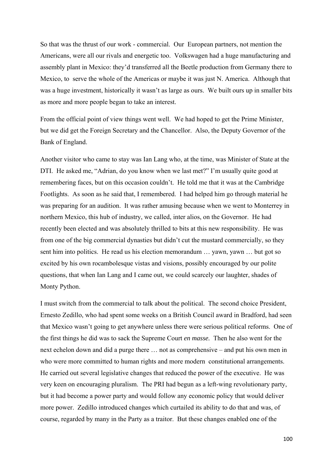So that was the thrust of our work - commercial. Our European partners, not mention the Americans, were all our rivals and energetic too. Volkswagen had a huge manufacturing and assembly plant in Mexico: they'd transferred all the Beetle production from Germany there to Mexico, to serve the whole of the Americas or maybe it was just N. America. Although that was a huge investment, historically it wasn't as large as ours. We built ours up in smaller bits as more and more people began to take an interest.

From the official point of view things went well. We had hoped to get the Prime Minister, but we did get the Foreign Secretary and the Chancellor. Also, the Deputy Governor of the Bank of England.

Another visitor who came to stay was Ian Lang who, at the time, was Minister of State at the DTI. He asked me, "Adrian, do you know when we last met?" I'm usually quite good at remembering faces, but on this occasion couldn't. He told me that it was at the Cambridge Footlights. As soon as he said that, I remembered. I had helped him go through material he was preparing for an audition. It was rather amusing because when we went to Monterrey in northern Mexico, this hub of industry, we called, inter alios, on the Governor. He had recently been elected and was absolutely thrilled to bits at this new responsibility. He was from one of the big commercial dynasties but didn't cut the mustard commercially, so they sent him into politics. He read us his election memorandum … yawn, yawn … but got so excited by his own rocambolesque vistas and visions, possibly encouraged by our polite questions, that when Ian Lang and I came out, we could scarcely our laughter, shades of Monty Python.

I must switch from the commercial to talk about the political. The second choice President, Ernesto Zedillo, who had spent some weeks on a British Council award in Bradford, had seen that Mexico wasn't going to get anywhere unless there were serious political reforms. One of the first things he did was to sack the Supreme Court *en masse.* Then he also went for the next echelon down and did a purge there … not as comprehensive – and put his own men in who were more committed to human rights and more modern constitutional arrangements. He carried out several legislative changes that reduced the power of the executive. He was very keen on encouraging pluralism. The PRI had begun as a left-wing revolutionary party, but it had become a power party and would follow any economic policy that would deliver more power. Zedillo introduced changes which curtailed its ability to do that and was, of course, regarded by many in the Party as a traitor. But these changes enabled one of the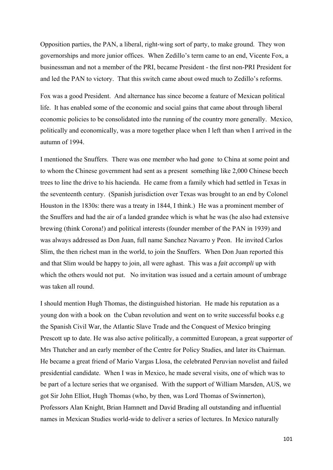Opposition parties, the PAN, a liberal, right-wing sort of party, to make ground. They won governorships and more junior offices. When Zedillo's term came to an end, Vicente Fox, a businessman and not a member of the PRI, became President - the first non-PRI President for and led the PAN to victory. That this switch came about owed much to Zedillo's reforms.

Fox was a good President. And alternance has since become a feature of Mexican political life. It has enabled some of the economic and social gains that came about through liberal economic policies to be consolidated into the running of the country more generally. Mexico, politically and economically, was a more together place when I left than when I arrived in the autumn of 1994.

I mentioned the Snuffers. There was one member who had gone to China at some point and to whom the Chinese government had sent as a present something like 2,000 Chinese beech trees to line the drive to his hacienda. He came from a family which had settled in Texas in the seventeenth century. (Spanish jurisdiction over Texas was brought to an end by Colonel Houston in the 1830s: there was a treaty in 1844, I think.) He was a prominent member of the Snuffers and had the air of a landed grandee which is what he was (he also had extensive brewing (think Corona!) and political interests (founder member of the PAN in 1939) and was always addressed as Don Juan, full name Sanchez Navarro y Peon. He invited Carlos Slim, the then richest man in the world, to join the Snuffers. When Don Juan reported this and that Slim would be happy to join, all were aghast. This was a *fait accompli* up with which the others would not put. No invitation was issued and a certain amount of umbrage was taken all round.

I should mention Hugh Thomas, the distinguished historian. He made his reputation as a young don with a book on the Cuban revolution and went on to write successful books e.g the Spanish Civil War, the Atlantic Slave Trade and the Conquest of Mexico bringing Prescott up to date. He was also active politically, a committed European, a great supporter of Mrs Thatcher and an early member of the Centre for Policy Studies, and later its Chairman. He became a great friend of Mario Vargas Llosa, the celebrated Peruvian novelist and failed presidential candidate. When I was in Mexico, he made several visits, one of which was to be part of a lecture series that we organised. With the support of William Marsden, AUS, we got Sir John Elliot, Hugh Thomas (who, by then, was Lord Thomas of Swinnerton), Professors Alan Knight, Brian Hamnett and David Brading all outstanding and influential names in Mexican Studies world-wide to deliver a series of lectures. In Mexico naturally

101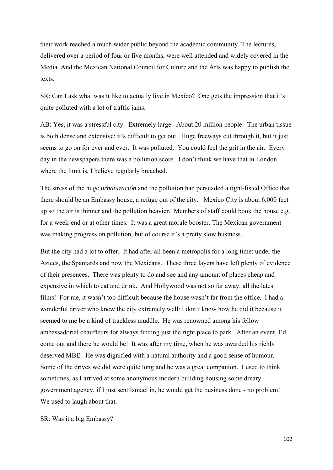their work reached a much wider public beyond the academic community. The lectures, delivered over a period of four or five months, were well attended and widely covered in the Media. And the Mexican National Council for Culture and the Arts was happy to publish the texts.

SR: Can I ask what was it like to actually live in Mexico? One gets the impression that it's quite polluted with a lot of traffic jams.

AB: Yes, it was a stressful city. Extremely large. About 20 million people. The urban tissue is both dense and extensive: it's difficult to get out. Huge freeways cut through it, but it just seems to go on for ever and ever. It was polluted. You could feel the grit in the air. Every day in the newspapers there was a pollution score. I don't think we have that in London where the limit is, I believe regularly breached.

The stress of the huge *urbanización* and the pollution had persuaded a tight-fisted Office that there should be an Embassy house, a refuge out of the city. Mexico City is about 6,000 feet up so the air is thinner and the pollution heavier. Members of staff could book the house e.g. for a week-end or at other times. It was a great morale booster. The Mexican government was making progress on pollution, but of course it's a pretty slow business.

But the city had a lot to offer. It had after all been a metropolis for a long time; under the Aztecs, the Spaniards and now the Mexicans. These three layers have left plenty of evidence of their presences. There was plenty to do and see and any amount of places cheap and expensive in which to eat and drink. And Hollywood was not so far away; all the latest films! For me, it wasn't too difficult because the house wasn't far from the office. I had a wonderful driver who knew the city extremely well: I don't know how he did it because it seemed to me be a kind of trackless muddle. He was renowned among his fellow ambassadorial chauffeurs for always finding just the right place to park. After an event, I'd come out and there he would be! It was after my time, when he was awarded his richly deserved MBE. He was dignified with a natural authority and a good sense of humour. Some of the drives we did were quite long and he was a great companion. I used to think sometimes, as I arrived at some anonymous modern building housing some dreary government agency, if I just sent Ismael in, he would get the business done - no problem! We used to laugh about that.

SR: Was it a big Embassy?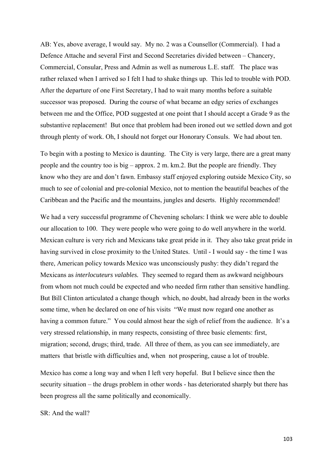AB: Yes, above average, I would say. My no. 2 was a Counsellor (Commercial). I had a Defence Attache and several First and Second Secretaries divided between – Chancery, Commercial, Consular, Press and Admin as well as numerous L.E. staff. The place was rather relaxed when I arrived so I felt I had to shake things up. This led to trouble with POD. After the departure of one First Secretary, I had to wait many months before a suitable successor was proposed. During the course of what became an edgy series of exchanges between me and the Office, POD suggested at one point that I should accept a Grade 9 as the substantive replacement! But once that problem had been ironed out we settled down and got through plenty of work. Oh, I should not forget our Honorary Consuls. We had about ten.

To begin with a posting to Mexico is daunting. The City is very large, there are a great many people and the country too is big – approx. 2 m. km.2. But the people are friendly. They know who they are and don't fawn. Embassy staff enjoyed exploring outside Mexico City, so much to see of colonial and pre-colonial Mexico, not to mention the beautiful beaches of the Caribbean and the Pacific and the mountains, jungles and deserts. Highly recommended!

We had a very successful programme of Chevening scholars: I think we were able to double our allocation to 100. They were people who were going to do well anywhere in the world. Mexican culture is very rich and Mexicans take great pride in it. They also take great pride in having survived in close proximity to the United States. Until - I would say - the time I was there, American policy towards Mexico was unconsciously pushy: they didn't regard the Mexicans as *interlocuteurs valables.* They seemed to regard them as awkward neighbours from whom not much could be expected and who needed firm rather than sensitive handling. But Bill Clinton articulated a change though which, no doubt, had already been in the works some time, when he declared on one of his visits "We must now regard one another as having a common future." You could almost hear the sigh of relief from the audience. It's a very stressed relationship, in many respects, consisting of three basic elements: first, migration; second, drugs; third, trade. All three of them, as you can see immediately, are matters that bristle with difficulties and, when not prospering, cause a lot of trouble.

Mexico has come a long way and when I left very hopeful. But I believe since then the security situation – the drugs problem in other words - has deteriorated sharply but there has been progress all the same politically and economically.

 $SR:$  And the wall?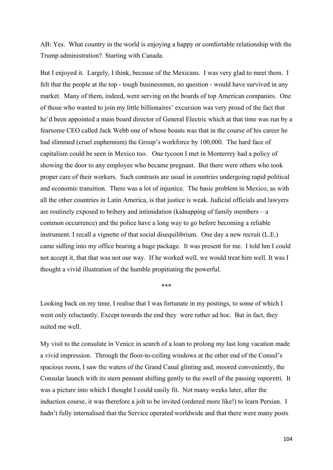AB: Yes. What country in the world is enjoying a happy or comfortable relationship with the Trump administration? Starting with Canada.

But I enjoyed it. Largely, I think, because of the Mexicans. I was very glad to meet them. I felt that the people at the top - tough businessmen, no question - would have survived in any market. Many of them, indeed, were serving on the boards of top American companies. One of those who wanted to join my little billionaires' excursion was very proud of the fact that he'd been appointed a main board director of General Electric which at that time was run by a fearsome CEO called Jack Webb one of whose boasts was that in the course of his career he had slimmed (cruel euphemism) the Group's workforce by 100,000. The hard face of capitalism could be seen in Mexico too. One tycoon I met in Monterrey had a policy of showing the door to any employee who became pregnant. But there were others who took proper care of their workers. Such contrasts are usual in countries undergoing rapid political and economic transition. There was a lot of injustice. The basic problem in Mexico, as with all the other countries in Latin America, is that justice is weak. Judicial officials and lawyers are routinely exposed to bribery and intimidation (kidnapping of family members – a common occurrence) and the police have a long way to go before becoming a reliable instrument. I recall a vignette of that social disequilibrium. One day a new recruit (L.E.) came sidling into my office bearing a huge package. It was present for me. I told hm I could not accept it, that that was not our way. If he worked well, we would treat him well. It was I thought a vivid illustration of the humble propitiating the powerful.

\*\*\*

Looking back on my time, I realise that I was fortunate in my postings, to some of which I went only reluctantly. Except towards the end they were rather ad hoc. But in fact, they suited me well.

My visit to the consulate in Venice in search of a loan to prolong my last long vacation made a vivid impression. Through the floor-to-ceiling windows at the other end of the Consul's spacious room, I saw the waters of the Grand Canal glinting and, moored conveniently, the Consular launch with its stern pennant shifting gently to the swell of the passing *vaporetti.* It was a picture into which I thought I could easily fit. Not many weeks later, after the induction course, it was therefore a jolt to be invited (ordered more like!) to learn Persian. I hadn't fully internalised that the Service operated worldwide and that there were many posts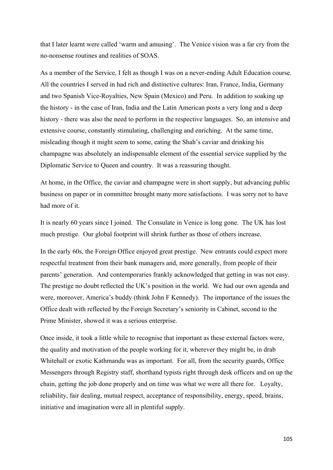that I later learnt were called 'warm and amusing'. The Venice vision was a far cry from the no-nonsense routines and realities of SOAS.

As a member of the Service, I felt as though I was on a never-ending Adult Education course. All the countries I served in had rich and distinctive cultures: Iran, France, India, Germany and two Spanish Vice-Royalties, New Spain (Mexico) and Peru. In addition to soaking up the history - in the case of Iran, India and the Latin American posts a very long and a deep history - there was also the need to perform in the respective languages. So, an intensive and extensive course, constantly stimulating, challenging and enriching. At the same time, misleading though it might seem to some, eating the Shah's caviar and drinking his champagne was absolutely an indispensable element of the essential service supplied by the Diplomatic Service to Queen and country. It was a reassuring thought.

At home, in the Office, the caviar and champagne were in short supply, but advancing public business on paper or in committee brought many more satisfactions. I was sorry not to have had more of it.

It is nearly 60 years since I joined. The Consulate in Venice is long gone. The UK has lost much prestige. Our global footprint will shrink further as those of others increase.

In the early 60s, the Foreign Office enjoyed great prestige. New entrants could expect more respectful treatment from their bank managers and, more generally, from people of their parents' generation. And contemporaries frankly acknowledged that getting in was not easy. The prestige no doubt reflected the UK's position in the world. We had our own agenda and were, moreover, America's buddy (think John F Kennedy). The importance of the issues the Office dealt with reflected by the Foreign Secretary's seniority in Cabinet, second to the Prime Minister, showed it was a serious enterprise.

Once inside, it took a little while to recognise that important as these external factors were, the quality and motivation of the people working for it, wherever they might be, in drab Whitehall or exotic Kathmandu was as important. For all, from the security guards, Office Messengers through Registry staff, shorthand typists right through desk officers and on up the chain, getting the job done properly and on time was what we were all there for. Loyalty, reliability, fair dealing, mutual respect, acceptance of responsibility, energy, speed, brains, initiative and imagination were all in plentiful supply.